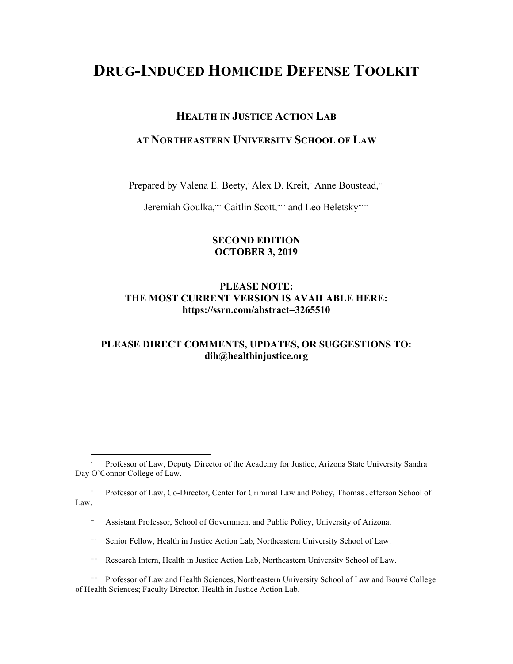# **DRUG-INDUCED HOMICIDE DEFENSE TOOLKIT**

# **HEALTH IN JUSTICE ACTION LAB**

# **AT NORTHEASTERN UNIVERSITY SCHOOL OF LAW**

Prepared by Valena E. Beety, Alex D. Kreit, Anne Boustead,"

Jeremiah Goulka," Caitlin Scott," and Leo Beletsky""

### **SECOND EDITION OCTOBER 3, 2019**

# **PLEASE NOTE: THE MOST CURRENT VERSION IS AVAILABLE HERE: https://ssrn.com/abstract=3265510**

# **PLEASE DIRECT COMMENTS, UPDATES, OR SUGGESTIONS TO: dih@healthinjustice.org**

.. Professor of Law, Co-Director, Center for Criminal Law and Policy, Thomas Jefferson School of Law.

Assistant Professor, School of Government and Public Policy, University of Arizona.

- .... Senior Fellow, Health in Justice Action Lab, Northeastern University School of Law.
- ..... Research Intern, Health in Justice Action Lab, Northeastern University School of Law.
- ...... Professor of Law and Health Sciences, Northeastern University School of Law and Bouvé College of Health Sciences; Faculty Director, Health in Justice Action Lab.

 <sup>.</sup> Professor of Law, Deputy Director of the Academy for Justice, Arizona State University Sandra Day O'Connor College of Law.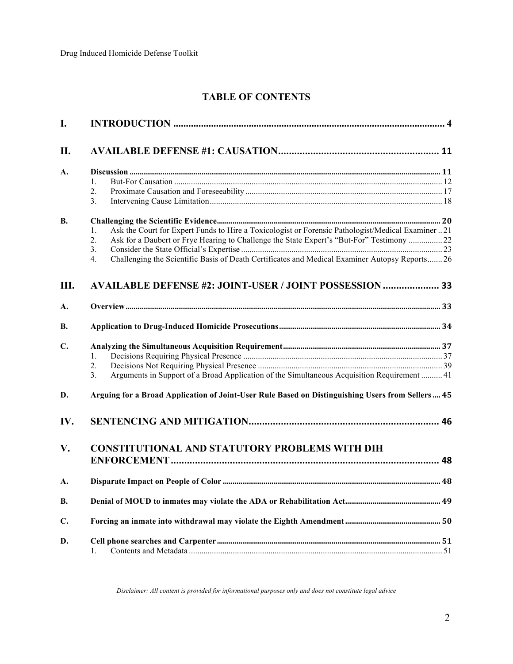# **TABLE OF CONTENTS**

| I.        |                                                                                                          |  |  |
|-----------|----------------------------------------------------------------------------------------------------------|--|--|
| II.       |                                                                                                          |  |  |
| A.        |                                                                                                          |  |  |
|           | $\mathbf{1}$ .                                                                                           |  |  |
|           | 2.                                                                                                       |  |  |
|           | 3.                                                                                                       |  |  |
| <b>B.</b> |                                                                                                          |  |  |
|           | Ask the Court for Expert Funds to Hire a Toxicologist or Forensic Pathologist/Medical Examiner  21<br>1. |  |  |
|           | 2.<br>Ask for a Daubert or Frye Hearing to Challenge the State Expert's "But-For" Testimony  22          |  |  |
|           | $\overline{3}$ .                                                                                         |  |  |
|           | Challenging the Scientific Basis of Death Certificates and Medical Examiner Autopsy Reports 26<br>4.     |  |  |
| Ш.        | <b>AVAILABLE DEFENSE #2: JOINT-USER / JOINT POSSESSION  33</b>                                           |  |  |
| A.        |                                                                                                          |  |  |
| В.        |                                                                                                          |  |  |
|           |                                                                                                          |  |  |
| C.        |                                                                                                          |  |  |
|           | 1.                                                                                                       |  |  |
|           | 2.                                                                                                       |  |  |
|           | Arguments in Support of a Broad Application of the Simultaneous Acquisition Requirement  41<br>3.        |  |  |
| D.        | Arguing for a Broad Application of Joint-User Rule Based on Distinguishing Users from Sellers  45        |  |  |
| IV.       |                                                                                                          |  |  |
| V.        | <b>CONSTITUTIONAL AND STATUTORY PROBLEMS WITH DIH</b>                                                    |  |  |
|           |                                                                                                          |  |  |
| A.        |                                                                                                          |  |  |
| <b>B.</b> |                                                                                                          |  |  |
| C.        |                                                                                                          |  |  |
| D.        | 1.                                                                                                       |  |  |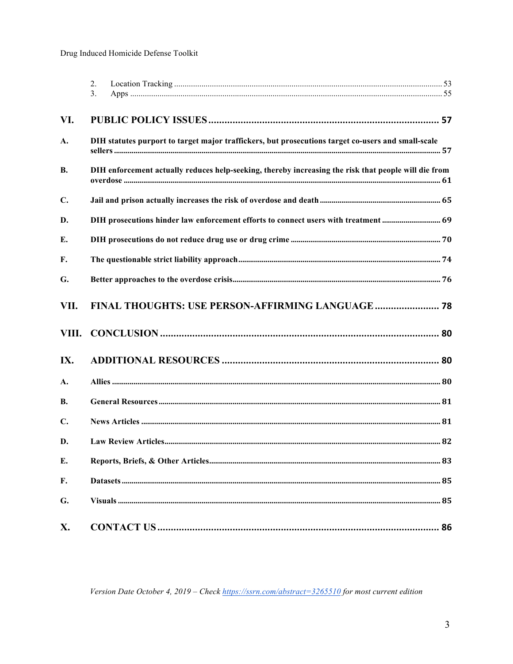|                | 2.<br>3 <sub>1</sub>                                                                                 |  |  |
|----------------|------------------------------------------------------------------------------------------------------|--|--|
| VI.            |                                                                                                      |  |  |
| A.             | DIH statutes purport to target major traffickers, but prosecutions target co-users and small-scale   |  |  |
| <b>B.</b>      | DIH enforcement actually reduces help-seeking, thereby increasing the risk that people will die from |  |  |
| $\mathbf{C}$ . |                                                                                                      |  |  |
| D.             | DIH prosecutions hinder law enforcement efforts to connect users with treatment  69                  |  |  |
| E.             |                                                                                                      |  |  |
| F.             |                                                                                                      |  |  |
| G.             |                                                                                                      |  |  |
| VII.           |                                                                                                      |  |  |
| VIII.          |                                                                                                      |  |  |
| IX.            |                                                                                                      |  |  |
| A.             |                                                                                                      |  |  |
| <b>B.</b>      |                                                                                                      |  |  |
| C.             |                                                                                                      |  |  |
| D.             |                                                                                                      |  |  |
| E.             |                                                                                                      |  |  |
| F.             |                                                                                                      |  |  |
| G.             |                                                                                                      |  |  |
| X.             |                                                                                                      |  |  |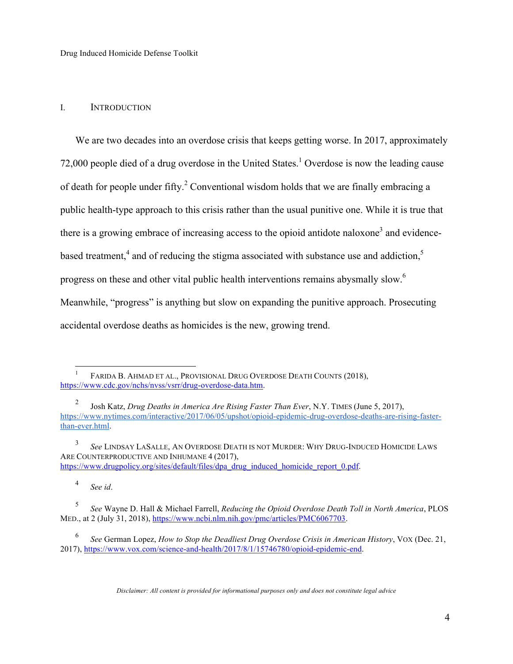#### I. INTRODUCTION

We are two decades into an overdose crisis that keeps getting worse. In 2017, approximately 72,000 people died of a drug overdose in the United States.<sup>1</sup> Overdose is now the leading cause of death for people under fifty.<sup>2</sup> Conventional wisdom holds that we are finally embracing a public health-type approach to this crisis rather than the usual punitive one. While it is true that there is a growing embrace of increasing access to the opioid antidote naloxone<sup>3</sup> and evidencebased treatment,<sup>4</sup> and of reducing the stigma associated with substance use and addiction,<sup>5</sup> progress on these and other vital public health interventions remains abysmally slow.6 Meanwhile, "progress" is anything but slow on expanding the punitive approach. Prosecuting accidental overdose deaths as homicides is the new, growing trend.

<sup>4</sup> *See id*.

FARIDA B. AHMAD ET AL., PROVISIONAL DRUG OVERDOSE DEATH COUNTS (2018), https://www.cdc.gov/nchs/nvss/vsrr/drug-overdose-data.htm.

<sup>2</sup> Josh Katz, *Drug Deaths in America Are Rising Faster Than Ever*, N.Y. TIMES (June 5, 2017), https://www.nytimes.com/interactive/2017/06/05/upshot/opioid-epidemic-drug-overdose-deaths-are-rising-fasterthan-ever.html.

<sup>3</sup> *See* LINDSAY LASALLE, AN OVERDOSE DEATH IS NOT MURDER: WHY DRUG-INDUCED HOMICIDE LAWS ARE COUNTERPRODUCTIVE AND INHUMANE 4 (2017), https://www.drugpolicy.org/sites/default/files/dpa\_drug\_induced\_homicide\_report\_0.pdf.

<sup>5</sup> *See* Wayne D. Hall & Michael Farrell, *Reducing the Opioid Overdose Death Toll in North America*, PLOS MED., at 2 (July 31, 2018), https://www.ncbi.nlm.nih.gov/pmc/articles/PMC6067703.

<sup>6</sup> *See* German Lopez, *How to Stop the Deadliest Drug Overdose Crisis in American History*, VOX (Dec. 21, 2017), https://www.vox.com/science-and-health/2017/8/1/15746780/opioid-epidemic-end.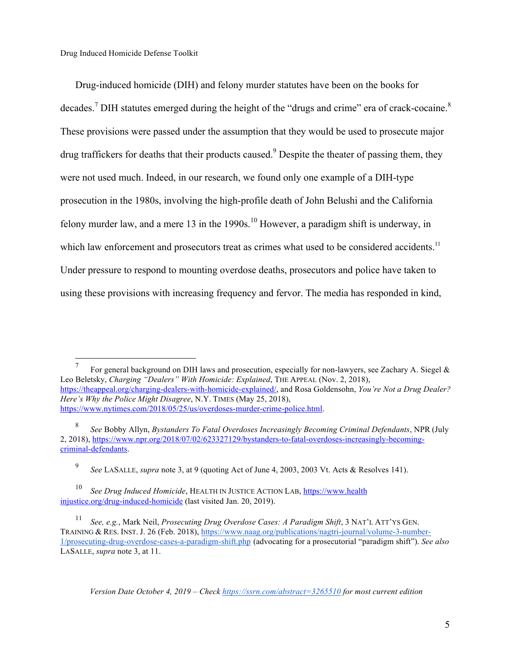Drug-induced homicide (DIH) and felony murder statutes have been on the books for decades.<sup>7</sup> DIH statutes emerged during the height of the "drugs and crime" era of crack-cocaine.<sup>8</sup> These provisions were passed under the assumption that they would be used to prosecute major drug traffickers for deaths that their products caused.<sup>9</sup> Despite the theater of passing them, they were not used much. Indeed, in our research, we found only one example of a DIH-type prosecution in the 1980s, involving the high-profile death of John Belushi and the California felony murder law, and a mere 13 in the 1990s.<sup>10</sup> However, a paradigm shift is underway, in which law enforcement and prosecutors treat as crimes what used to be considered accidents.<sup>11</sup> Under pressure to respond to mounting overdose deaths, prosecutors and police have taken to using these provisions with increasing frequency and fervor. The media has responded in kind,

For general background on DIH laws and prosecution, especially for non-lawyers, see Zachary A. Siegel  $\&$ Leo Beletsky, *Charging "Dealers" With Homicide: Explained*, THE APPEAL (Nov. 2, 2018), https://theappeal.org/charging-dealers-with-homicide-explained/, and Rosa Goldensohn, *You're Not a Drug Dealer? Here's Why the Police Might Disagree*, N.Y. TIMES (May 25, 2018), https://www.nytimes.com/2018/05/25/us/overdoses-murder-crime-police.html.

<sup>9</sup> *See* LASALLE, *supra* note 3, at 9 (quoting Act of June 4, 2003, 2003 Vt. Acts & Resolves 141).

<sup>10</sup> *See Drug Induced Homicide*, HEALTH IN JUSTICE ACTION LAB, https://www.health injustice.org/drug-induced-homicide (last visited Jan. 20, 2019).

<sup>11</sup> *See, e.g.*, Mark Neil, *Prosecuting Drug Overdose Cases: A Paradigm Shift*, 3 NAT'L ATT'YS GEN. TRAINING & RES. INST. J. 26 (Feb. 2018), https://www.naag.org/publications/nagtri-journal/volume-3-number-1/prosecuting-drug-overdose-cases-a-paradigm-shift.php (advocating for a prosecutorial "paradigm shift"). *See also* LASALLE, *supra* note 3, at 11.

<sup>8</sup> *See* Bobby Allyn, *Bystanders To Fatal Overdoses Increasingly Becoming Criminal Defendants*, NPR (July 2, 2018), https://www.npr.org/2018/07/02/623327129/bystanders-to-fatal-overdoses-increasingly-becomingcriminal-defendants.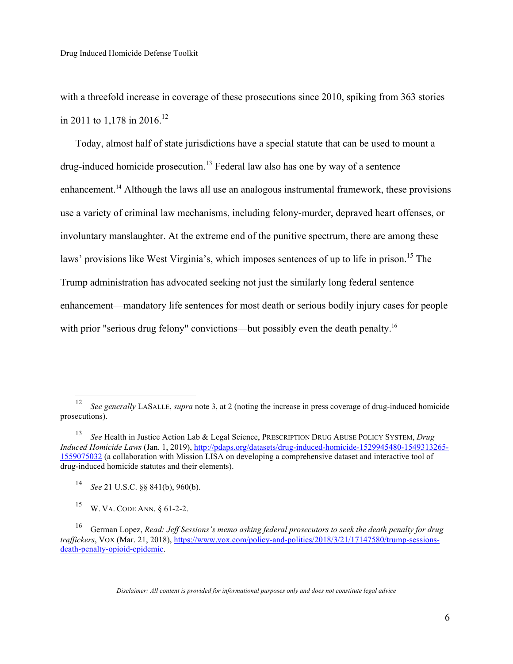with a threefold increase in coverage of these prosecutions since 2010, spiking from 363 stories in 2011 to 1,178 in 2016.<sup>12</sup>

Today, almost half of state jurisdictions have a special statute that can be used to mount a drug-induced homicide prosecution.<sup>13</sup> Federal law also has one by way of a sentence enhancement.<sup>14</sup> Although the laws all use an analogous instrumental framework, these provisions use a variety of criminal law mechanisms, including felony-murder, depraved heart offenses, or involuntary manslaughter. At the extreme end of the punitive spectrum, there are among these laws' provisions like West Virginia's, which imposes sentences of up to life in prison.<sup>15</sup> The Trump administration has advocated seeking not just the similarly long federal sentence enhancement—mandatory life sentences for most death or serious bodily injury cases for people with prior "serious drug felony" convictions—but possibly even the death penalty.<sup>16</sup>

 <sup>12</sup> *See generally* LASALLE, *supra* note 3, at 2 (noting the increase in press coverage of drug-induced homicide prosecutions).

<sup>13</sup> *See* Health in Justice Action Lab & Legal Science, PRESCRIPTION DRUG ABUSE POLICY SYSTEM, *Drug Induced Homicide Laws* (Jan. 1, 2019), http://pdaps.org/datasets/drug-induced-homicide-1529945480-1549313265- 1559075032 (a collaboration with Mission LISA on developing a comprehensive dataset and interactive tool of drug-induced homicide statutes and their elements).

<sup>14</sup> *See* 21 U.S.C. §§ 841(b), 960(b).

<sup>15</sup> W. VA. CODE ANN. § 61-2-2.

<sup>16</sup> German Lopez, *Read: Jeff Sessions's memo asking federal prosecutors to seek the death penalty for drug traffickers*, VOX (Mar. 21, 2018), https://www.vox.com/policy-and-politics/2018/3/21/17147580/trump-sessionsdeath-penalty-opioid-epidemic.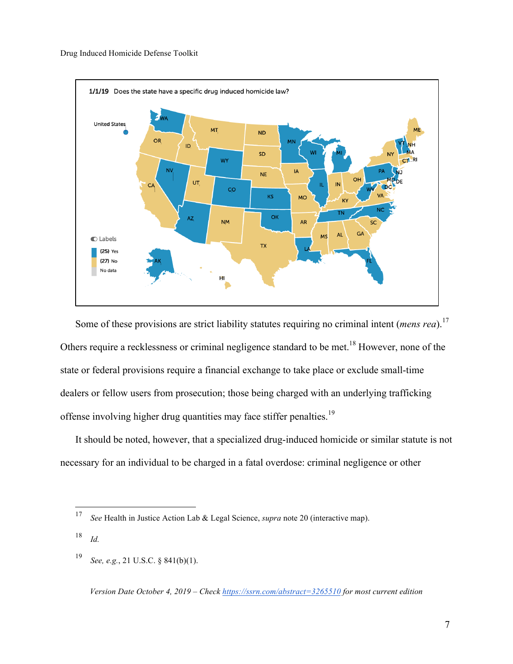

Some of these provisions are strict liability statutes requiring no criminal intent (*mens rea*).<sup>17</sup> Others require a recklessness or criminal negligence standard to be met.<sup>18</sup> However, none of the state or federal provisions require a financial exchange to take place or exclude small-time dealers or fellow users from prosecution; those being charged with an underlying trafficking offense involving higher drug quantities may face stiffer penalties.<sup>19</sup>

It should be noted, however, that a specialized drug-induced homicide or similar statute is not necessary for an individual to be charged in a fatal overdose: criminal negligence or other

<sup>18</sup> *Id.*

<sup>19</sup> *See, e.g.*, 21 U.S.C. § 841(b)(1).

 <sup>17</sup> *See* Health in Justice Action Lab & Legal Science, *supra* note 20 (interactive map).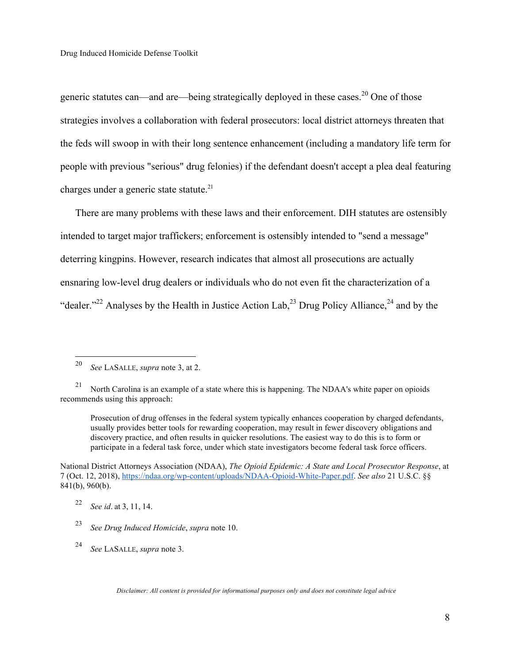generic statutes can—and are—being strategically deployed in these cases.<sup>20</sup> One of those strategies involves a collaboration with federal prosecutors: local district attorneys threaten that the feds will swoop in with their long sentence enhancement (including a mandatory life term for people with previous "serious" drug felonies) if the defendant doesn't accept a plea deal featuring charges under a generic state statute. $^{21}$ 

There are many problems with these laws and their enforcement. DIH statutes are ostensibly intended to target major traffickers; enforcement is ostensibly intended to "send a message" deterring kingpins. However, research indicates that almost all prosecutions are actually ensnaring low-level drug dealers or individuals who do not even fit the characterization of a "dealer."<sup>22</sup> Analyses by the Health in Justice Action Lab.<sup>23</sup> Drug Policy Alliance.<sup>24</sup> and by the

Prosecution of drug offenses in the federal system typically enhances cooperation by charged defendants, usually provides better tools for rewarding cooperation, may result in fewer discovery obligations and discovery practice, and often results in quicker resolutions. The easiest way to do this is to form or participate in a federal task force, under which state investigators become federal task force officers.

<sup>24</sup> *See* LASALLE, *supra* note 3.

 <sup>20</sup> *See* LASALLE, *supra* note 3, at 2.

<sup>&</sup>lt;sup>21</sup> North Carolina is an example of a state where this is happening. The NDAA's white paper on opioids recommends using this approach:

National District Attorneys Association (NDAA), *The Opioid Epidemic: A State and Local Prosecutor Response*, at 7 (Oct. 12, 2018), https://ndaa.org/wp-content/uploads/NDAA-Opioid-White-Paper.pdf. *See also* 21 U.S.C. §§ 841(b), 960(b).

<sup>22</sup> *See id*. at 3, 11, 14.

<sup>23</sup> *See Drug Induced Homicide*, *supra* note 10.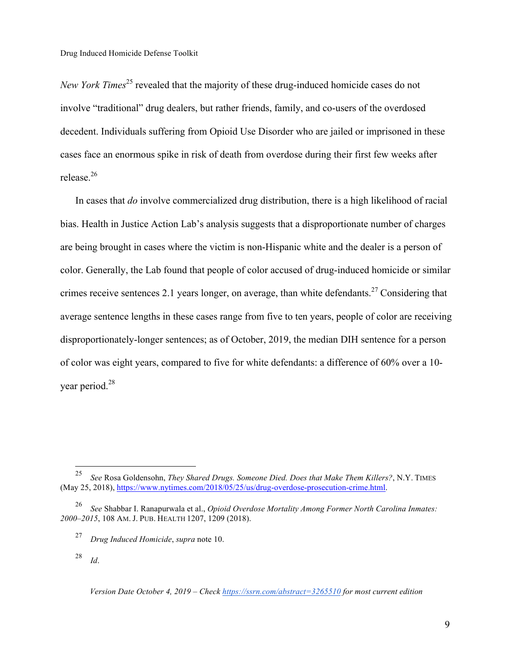*New York Times*<sup>25</sup> revealed that the majority of these drug-induced homicide cases do not involve "traditional" drug dealers, but rather friends, family, and co-users of the overdosed decedent. Individuals suffering from Opioid Use Disorder who are jailed or imprisoned in these cases face an enormous spike in risk of death from overdose during their first few weeks after release.26

In cases that *do* involve commercialized drug distribution, there is a high likelihood of racial bias. Health in Justice Action Lab's analysis suggests that a disproportionate number of charges are being brought in cases where the victim is non-Hispanic white and the dealer is a person of color. Generally, the Lab found that people of color accused of drug-induced homicide or similar crimes receive sentences 2.1 years longer, on average, than white defendants.<sup>27</sup> Considering that average sentence lengths in these cases range from five to ten years, people of color are receiving disproportionately-longer sentences; as of October, 2019, the median DIH sentence for a person of color was eight years, compared to five for white defendants: a difference of 60% over a 10 year period.<sup>28</sup>

 <sup>25</sup> *See* Rosa Goldensohn, *They Shared Drugs. Someone Died. Does that Make Them Killers?*, N.Y. TIMES (May 25, 2018), https://www.nytimes.com/2018/05/25/us/drug-overdose-prosecution-crime.html.

<sup>26</sup> *See* Shabbar I. Ranapurwala et al., *Opioid Overdose Mortality Among Former North Carolina Inmates: 2000–2015*, 108 AM. J. PUB. HEALTH 1207, 1209 (2018).

<sup>27</sup> *Drug Induced Homicide*, *supra* note 10.

<sup>28</sup> *Id*.

*Version Date October 4, 2019 – Check https://ssrn.com/abstract=3265510 for most current edition*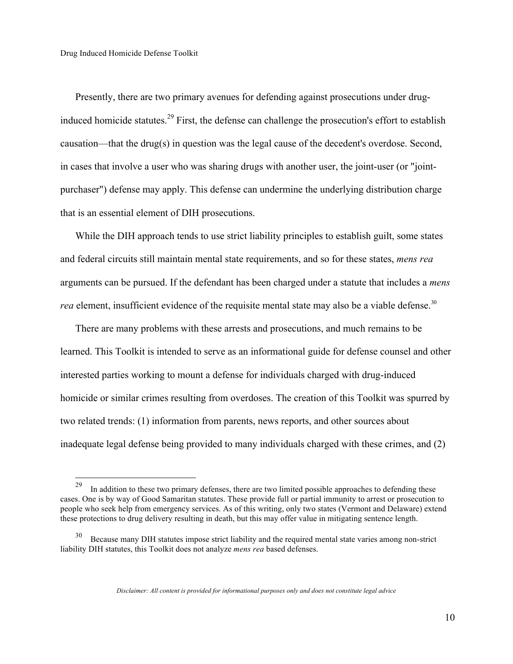Presently, there are two primary avenues for defending against prosecutions under druginduced homicide statutes.<sup>29</sup> First, the defense can challenge the prosecution's effort to establish causation—that the drug(s) in question was the legal cause of the decedent's overdose. Second, in cases that involve a user who was sharing drugs with another user, the joint-user (or "jointpurchaser") defense may apply. This defense can undermine the underlying distribution charge that is an essential element of DIH prosecutions.

While the DIH approach tends to use strict liability principles to establish guilt, some states and federal circuits still maintain mental state requirements, and so for these states, *mens rea*  arguments can be pursued. If the defendant has been charged under a statute that includes a *mens rea* element, insufficient evidence of the requisite mental state may also be a viable defense.<sup>30</sup>

There are many problems with these arrests and prosecutions, and much remains to be learned. This Toolkit is intended to serve as an informational guide for defense counsel and other interested parties working to mount a defense for individuals charged with drug-induced homicide or similar crimes resulting from overdoses. The creation of this Toolkit was spurred by two related trends: (1) information from parents, news reports, and other sources about inadequate legal defense being provided to many individuals charged with these crimes, and (2)

<sup>&</sup>lt;sup>29</sup> In addition to these two primary defenses, there are two limited possible approaches to defending these cases. One is by way of Good Samaritan statutes. These provide full or partial immunity to arrest or prosecution to people who seek help from emergency services. As of this writing, only two states (Vermont and Delaware) extend these protections to drug delivery resulting in death, but this may offer value in mitigating sentence length.

<sup>&</sup>lt;sup>30</sup> Because many DIH statutes impose strict liability and the required mental state varies among non-strict liability DIH statutes, this Toolkit does not analyze *mens rea* based defenses.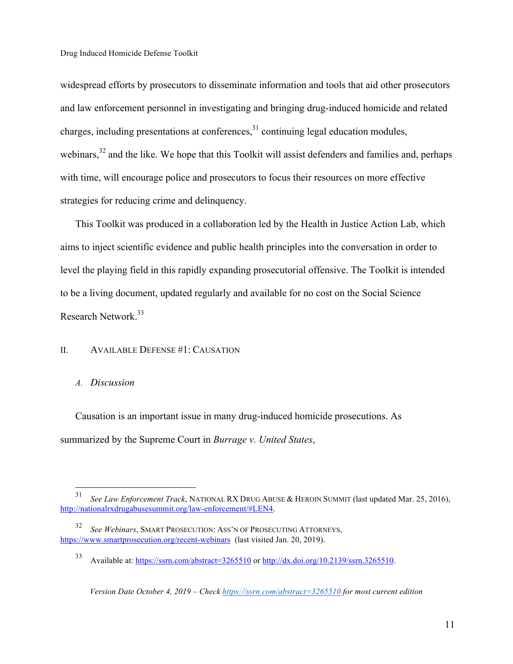widespread efforts by prosecutors to disseminate information and tools that aid other prosecutors and law enforcement personnel in investigating and bringing drug-induced homicide and related charges, including presentations at conferences,  $31$  continuing legal education modules, webinars,<sup>32</sup> and the like. We hope that this Toolkit will assist defenders and families and, perhaps with time, will encourage police and prosecutors to focus their resources on more effective strategies for reducing crime and delinquency.

This Toolkit was produced in a collaboration led by the Health in Justice Action Lab, which aims to inject scientific evidence and public health principles into the conversation in order to level the playing field in this rapidly expanding prosecutorial offensive. The Toolkit is intended to be a living document, updated regularly and available for no cost on the Social Science Research Network.<sup>33</sup>

### II. AVAILABLE DEFENSE #1: CAUSATION

#### *A. Discussion*

Causation is an important issue in many drug-induced homicide prosecutions. As summarized by the Supreme Court in *Burrage v. United States*,

 <sup>31</sup> *See Law Enforcement Track*, NATIONAL RX DRUG ABUSE & HEROIN SUMMIT (last updated Mar. 25, 2016), http://nationalrxdrugabusesummit.org/law-enforcement/#LEN4.

See Webinars, SMART PROSECUTION: ASS'N OF PROSECUTING ATTORNEYS, https://www.smartprosecution.org/recent-webinars (last visited Jan. 20, 2019).

<sup>33</sup> Available at: https://ssrn.com/abstract=3265510 or http://dx.doi.org/10.2139/ssrn.3265510.

*Version Date October 4, 2019 – Check https://ssrn.com/abstract=3265510 for most current edition*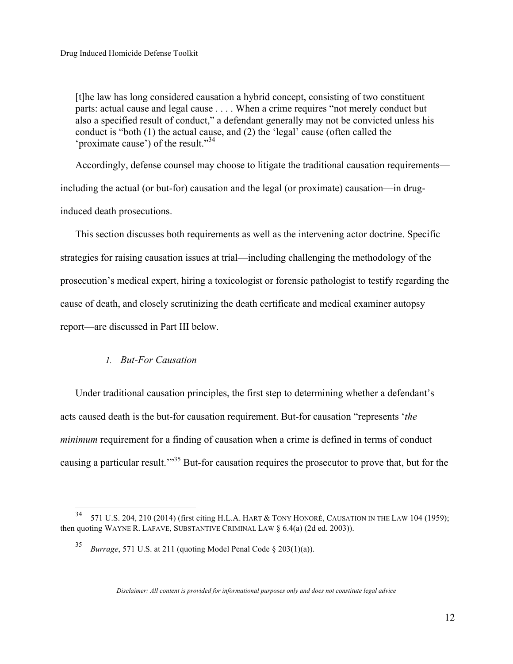[t]he law has long considered causation a hybrid concept, consisting of two constituent parts: actual cause and legal cause . . . . When a crime requires "not merely conduct but also a specified result of conduct," a defendant generally may not be convicted unless his conduct is "both (1) the actual cause, and (2) the 'legal' cause (often called the 'proximate cause') of the result."<sup>34</sup>

Accordingly, defense counsel may choose to litigate the traditional causation requirements including the actual (or but-for) causation and the legal (or proximate) causation—in druginduced death prosecutions.

This section discusses both requirements as well as the intervening actor doctrine. Specific strategies for raising causation issues at trial—including challenging the methodology of the prosecution's medical expert, hiring a toxicologist or forensic pathologist to testify regarding the cause of death, and closely scrutinizing the death certificate and medical examiner autopsy report—are discussed in Part III below.

## *1. But-For Causation*

Under traditional causation principles, the first step to determining whether a defendant's acts caused death is the but-for causation requirement. But-for causation "represents '*the minimum* requirement for a finding of causation when a crime is defined in terms of conduct causing a particular result.<sup>"35</sup> But-for causation requires the prosecutor to prove that, but for the

 $34$  571 U.S. 204, 210 (2014) (first citing H.L.A. HART & TONY HONORÉ, CAUSATION IN THE LAW 104 (1959); then quoting WAYNE R. LAFAVE, SUBSTANTIVE CRIMINAL LAW  $\S$  6.4(a) (2d ed. 2003)).

<sup>35</sup> *Burrage*, 571 U.S. at 211 (quoting Model Penal Code § 203(1)(a)).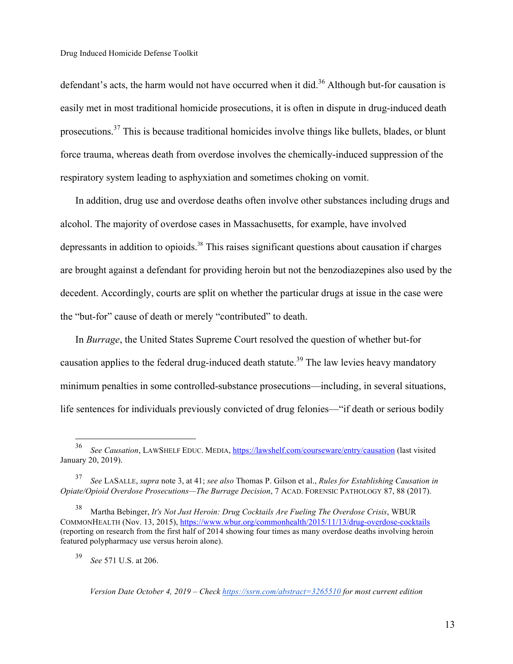defendant's acts, the harm would not have occurred when it did.<sup>36</sup> Although but-for causation is easily met in most traditional homicide prosecutions, it is often in dispute in drug-induced death prosecutions.37 This is because traditional homicides involve things like bullets, blades, or blunt force trauma, whereas death from overdose involves the chemically-induced suppression of the respiratory system leading to asphyxiation and sometimes choking on vomit.

In addition, drug use and overdose deaths often involve other substances including drugs and alcohol. The majority of overdose cases in Massachusetts, for example, have involved depressants in addition to opioids.<sup>38</sup> This raises significant questions about causation if charges are brought against a defendant for providing heroin but not the benzodiazepines also used by the decedent. Accordingly, courts are split on whether the particular drugs at issue in the case were the "but-for" cause of death or merely "contributed" to death.

In *Burrage*, the United States Supreme Court resolved the question of whether but-for causation applies to the federal drug-induced death statute.<sup>39</sup> The law levies heavy mandatory minimum penalties in some controlled-substance prosecutions—including, in several situations, life sentences for individuals previously convicted of drug felonies—"if death or serious bodily

<sup>39</sup> *See* 571 U.S. at 206.

 <sup>36</sup> *See Causation*, LAWSHELF EDUC. MEDIA, https://lawshelf.com/courseware/entry/causation (last visited January 20, 2019).

<sup>37</sup> *See* LASALLE, *supra* note 3, at 41; *see also* Thomas P. Gilson et al., *Rules for Establishing Causation in Opiate/Opioid Overdose Prosecutions—The Burrage Decision*, 7 ACAD. FORENSIC PATHOLOGY 87, 88 (2017).

<sup>38</sup> Martha Bebinger, *It's Not Just Heroin: Drug Cocktails Are Fueling The Overdose Crisis*, WBUR COMMONHEALTH (Nov. 13, 2015), https://www.wbur.org/commonhealth/2015/11/13/drug-overdose-cocktails (reporting on research from the first half of 2014 showing four times as many overdose deaths involving heroin featured polypharmacy use versus heroin alone).

*Version Date October 4, 2019 – Check https://ssrn.com/abstract=3265510 for most current edition*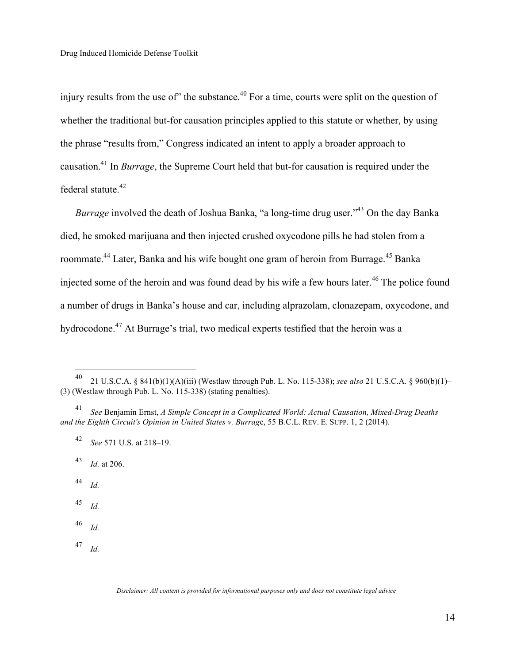injury results from the use of" the substance.<sup>40</sup> For a time, courts were split on the question of whether the traditional but-for causation principles applied to this statute or whether, by using the phrase "results from," Congress indicated an intent to apply a broader approach to causation.41 In *Burrage*, the Supreme Court held that but-for causation is required under the federal statute.<sup>42</sup>

*Burrage* involved the death of Joshua Banka, "a long-time drug user."<sup>43</sup> On the day Banka died, he smoked marijuana and then injected crushed oxycodone pills he had stolen from a roommate.<sup>44</sup> Later, Banka and his wife bought one gram of heroin from Burrage.<sup>45</sup> Banka injected some of the heroin and was found dead by his wife a few hours later.<sup>46</sup> The police found a number of drugs in Banka's house and car, including alprazolam, clonazepam, oxycodone, and hydrocodone.47 At Burrage's trial, two medical experts testified that the heroin was a

<sup>43</sup> *Id.* at 206.

<sup>44</sup> *Id.*

<sup>45</sup> *Id.*

<sup>46</sup> *Id.*

<sup>47</sup> *Id.*

 <sup>40</sup> 21 U.S.C.A. § 841(b)(1)(A)(iii) (Westlaw through Pub. L. No. 115-338); *see also* 21 U.S.C.A. § 960(b)(1)– (3) (Westlaw through Pub. L. No. 115-338) (stating penalties).

<sup>41</sup> *See* Benjamin Ernst, *A Simple Concept in a Complicated World: Actual Causation, Mixed-Drug Deaths and the Eighth Circuit's Opinion in United States v. Burrag*e, 55 B.C.L. REV. E. SUPP. 1, 2 (2014).

<sup>42</sup> *See* 571 U.S. at 218–19.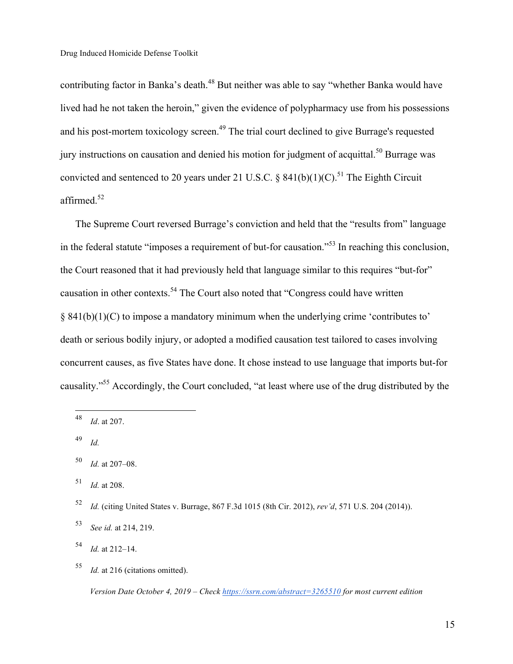contributing factor in Banka's death.<sup>48</sup> But neither was able to say "whether Banka would have lived had he not taken the heroin," given the evidence of polypharmacy use from his possessions and his post-mortem toxicology screen.<sup>49</sup> The trial court declined to give Burrage's requested jury instructions on causation and denied his motion for judgment of acquittal.<sup>50</sup> Burrage was convicted and sentenced to 20 years under 21 U.S.C. § 841(b)(1)(C).<sup>51</sup> The Eighth Circuit affirmed.<sup>52</sup>

The Supreme Court reversed Burrage's conviction and held that the "results from" language in the federal statute "imposes a requirement of but-for causation."53 In reaching this conclusion, the Court reasoned that it had previously held that language similar to this requires "but-for" causation in other contexts.54 The Court also noted that "Congress could have written § 841(b)(1)(C) to impose a mandatory minimum when the underlying crime 'contributes to' death or serious bodily injury, or adopted a modified causation test tailored to cases involving concurrent causes, as five States have done. It chose instead to use language that imports but-for causality."55 Accordingly, the Court concluded, "at least where use of the drug distributed by the

<sup>49</sup> *Id.*

 <sup>48</sup> *Id*. at 207.

<sup>50</sup> *Id.* at 207–08.

<sup>51</sup> *Id.* at 208.

<sup>52</sup> *Id.* (citing United States v. Burrage, 867 F.3d 1015 (8th Cir. 2012), *rev'd*, 571 U.S. 204 (2014)).

<sup>53</sup> *See id.* at 214, 219.

<sup>54</sup> *Id.* at 212–14.

<sup>55</sup> *Id.* at 216 (citations omitted).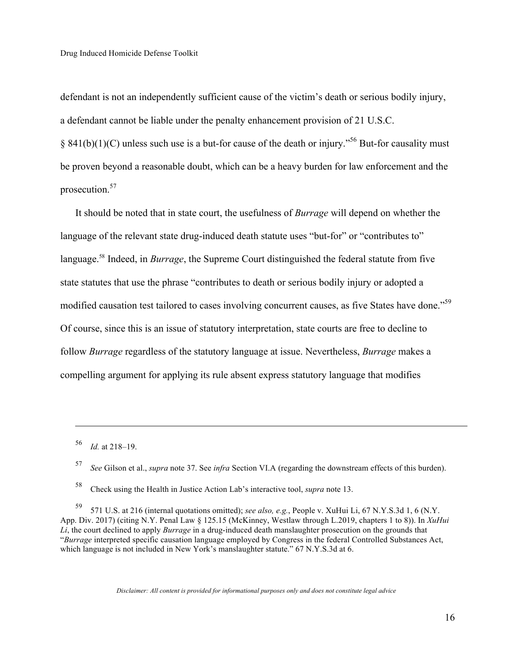defendant is not an independently sufficient cause of the victim's death or serious bodily injury, a defendant cannot be liable under the penalty enhancement provision of 21 U.S.C. § 841(b)(1)(C) unless such use is a but-for cause of the death or injury."<sup>56</sup> But-for causality must be proven beyond a reasonable doubt, which can be a heavy burden for law enforcement and the prosecution.<sup>57</sup>

It should be noted that in state court, the usefulness of *Burrage* will depend on whether the language of the relevant state drug-induced death statute uses "but-for" or "contributes to" language.58 Indeed, in *Burrage*, the Supreme Court distinguished the federal statute from five state statutes that use the phrase "contributes to death or serious bodily injury or adopted a modified causation test tailored to cases involving concurrent causes, as five States have done."<sup>59</sup> Of course, since this is an issue of statutory interpretation, state courts are free to decline to follow *Burrage* regardless of the statutory language at issue. Nevertheless, *Burrage* makes a compelling argument for applying its rule absent express statutory language that modifies

<sup>56</sup> *Id.* at 218–19.

 $\overline{a}$ 

<sup>57</sup> *See* Gilson et al., *supra* note 37. See *infra* Section VI.A (regarding the downstream effects of this burden).

<sup>58</sup> Check using the Health in Justice Action Lab's interactive tool, *supra* note 13.

<sup>59</sup> 571 U.S. at 216 (internal quotations omitted); *see also, e.g.*, People v. XuHui Li, 67 N.Y.S.3d 1, 6 (N.Y. App. Div. 2017) (citing N.Y. Penal Law § 125.15 (McKinney, Westlaw through L.2019, chapters 1 to 8)). In *XuHui Li*, the court declined to apply *Burrage* in a drug-induced death manslaughter prosecution on the grounds that "*Burrage* interpreted specific causation language employed by Congress in the federal Controlled Substances Act, which language is not included in New York's manslaughter statute." 67 N.Y.S.3d at 6.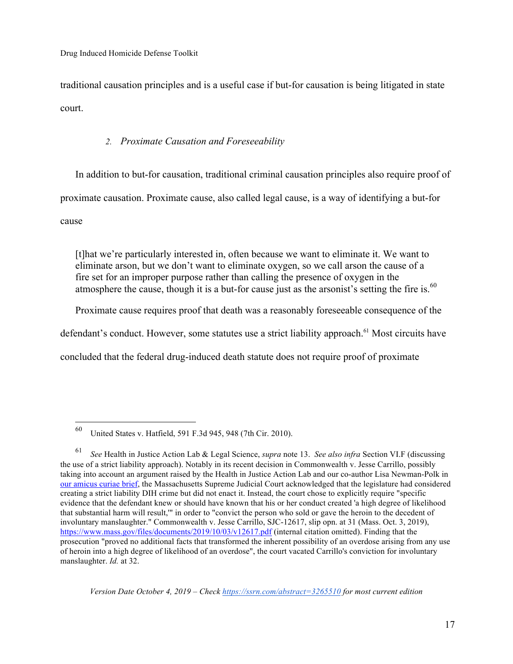traditional causation principles and is a useful case if but-for causation is being litigated in state court.

## *2. Proximate Causation and Foreseeability*

In addition to but-for causation, traditional criminal causation principles also require proof of proximate causation. Proximate cause, also called legal cause, is a way of identifying a but-for cause

[t]hat we're particularly interested in, often because we want to eliminate it. We want to eliminate arson, but we don't want to eliminate oxygen, so we call arson the cause of a fire set for an improper purpose rather than calling the presence of oxygen in the atmosphere the cause, though it is a but-for cause just as the arsonist's setting the fire is.<sup>60</sup>

Proximate cause requires proof that death was a reasonably foreseeable consequence of the

defendant's conduct. However, some statutes use a strict liability approach.<sup>61</sup> Most circuits have

concluded that the federal drug-induced death statute does not require proof of proximate

 <sup>60</sup> United States v. Hatfield, 591 F.3d 945, 948 (7th Cir. 2010).

<sup>61</sup> *See* Health in Justice Action Lab & Legal Science, *supra* note 13. *See also infra* Section VI.F (discussing the use of a strict liability approach). Notably in its recent decision in Commonwealth v. Jesse Carrillo, possibly taking into account an argument raised by the Health in Justice Action Lab and our co-author Lisa Newman-Polk in our amicus curiae brief, the Massachusetts Supreme Judicial Court acknowledged that the legislature had considered creating a strict liability DIH crime but did not enact it. Instead, the court chose to explicitly require "specific evidence that the defendant knew or should have known that his or her conduct created 'a high degree of likelihood that substantial harm will result,'" in order to "convict the person who sold or gave the heroin to the decedent of involuntary manslaughter." Commonwealth v. Jesse Carrillo, SJC-12617, slip opn. at 31 (Mass. Oct. 3, 2019), https://www.mass.gov/files/documents/2019/10/03/v12617.pdf (internal citation omitted). Finding that the prosecution "proved no additional facts that transformed the inherent possibility of an overdose arising from any use of heroin into a high degree of likelihood of an overdose", the court vacated Carrillo's conviction for involuntary manslaughter. *Id.* at 32.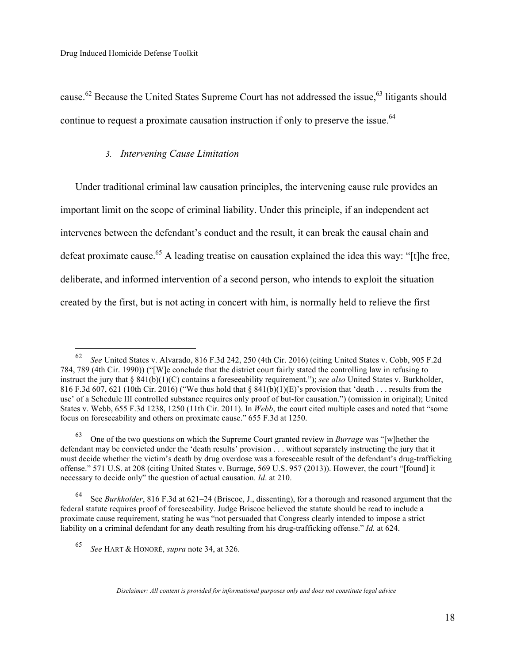cause.<sup>62</sup> Because the United States Supreme Court has not addressed the issue,<sup>63</sup> litigants should continue to request a proximate causation instruction if only to preserve the issue.<sup>64</sup>

### *3. Intervening Cause Limitation*

Under traditional criminal law causation principles, the intervening cause rule provides an important limit on the scope of criminal liability. Under this principle, if an independent act intervenes between the defendant's conduct and the result, it can break the causal chain and defeat proximate cause.<sup>65</sup> A leading treatise on causation explained the idea this way: "[t]he free, deliberate, and informed intervention of a second person, who intends to exploit the situation created by the first, but is not acting in concert with him, is normally held to relieve the first

 <sup>62</sup> *See* United States v. Alvarado, 816 F.3d 242, 250 (4th Cir. 2016) (citing United States v. Cobb, 905 F.2d 784, 789 (4th Cir. 1990)) ("[W]e conclude that the district court fairly stated the controlling law in refusing to instruct the jury that § 841(b)(1)(C) contains a foreseeability requirement."); *see also* United States v. Burkholder, 816 F.3d 607, 621 (10th Cir. 2016) ("We thus hold that  $\S 841(b)(1)(E)$ "s provision that 'death . . . results from the use' of a Schedule III controlled substance requires only proof of but-for causation.") (omission in original); United States v. Webb, 655 F.3d 1238, 1250 (11th Cir. 2011). In *Webb*, the court cited multiple cases and noted that "some focus on foreseeability and others on proximate cause." 655 F.3d at 1250.

<sup>63</sup> One of the two questions on which the Supreme Court granted review in *Burrage* was "[w]hether the defendant may be convicted under the 'death results' provision . . . without separately instructing the jury that it must decide whether the victim's death by drug overdose was a foreseeable result of the defendant's drug-trafficking offense." 571 U.S. at 208 (citing United States v. Burrage, 569 U.S. 957 (2013)). However, the court "[found] it necessary to decide only" the question of actual causation. *Id*. at 210.

<sup>64</sup> See *Burkholder*, 816 F.3d at 621–24 (Briscoe, J., dissenting), for a thorough and reasoned argument that the federal statute requires proof of foreseeability. Judge Briscoe believed the statute should be read to include a proximate cause requirement, stating he was "not persuaded that Congress clearly intended to impose a strict liability on a criminal defendant for any death resulting from his drug-trafficking offense." *Id.* at 624.

<sup>65</sup> *See* HART & HONORÉ, *supra* note 34, at 326.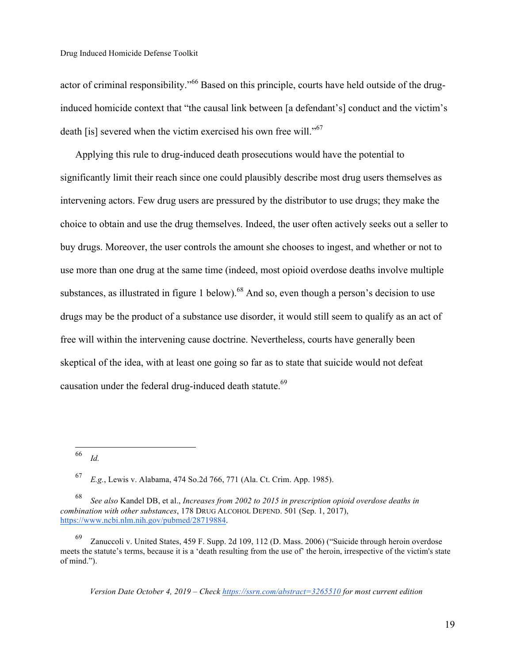actor of criminal responsibility."<sup>66</sup> Based on this principle, courts have held outside of the druginduced homicide context that "the causal link between [a defendant's] conduct and the victim's death [is] severed when the victim exercised his own free will."<sup>67</sup>

Applying this rule to drug-induced death prosecutions would have the potential to significantly limit their reach since one could plausibly describe most drug users themselves as intervening actors. Few drug users are pressured by the distributor to use drugs; they make the choice to obtain and use the drug themselves. Indeed, the user often actively seeks out a seller to buy drugs. Moreover, the user controls the amount she chooses to ingest, and whether or not to use more than one drug at the same time (indeed, most opioid overdose deaths involve multiple substances, as illustrated in figure 1 below).<sup>68</sup> And so, even though a person's decision to use drugs may be the product of a substance use disorder, it would still seem to qualify as an act of free will within the intervening cause doctrine. Nevertheless, courts have generally been skeptical of the idea, with at least one going so far as to state that suicide would not defeat causation under the federal drug-induced death statute.<sup>69</sup>

 <sup>66</sup> *Id.*

<sup>67</sup> *E.g.*, Lewis v. Alabama, 474 So.2d 766, 771 (Ala. Ct. Crim. App. 1985).

<sup>68</sup> *See also* Kandel DB, et al., *Increases from 2002 to 2015 in prescription opioid overdose deaths in combination with other substances*, 178 DRUG ALCOHOL DEPEND. 501 (Sep. 1, 2017), https://www.ncbi.nlm.nih.gov/pubmed/28719884.

Zanuccoli v. United States, 459 F. Supp. 2d 109, 112 (D. Mass. 2006) ("Suicide through heroin overdose meets the statute's terms, because it is a 'death resulting from the use of' the heroin, irrespective of the victim's state of mind.").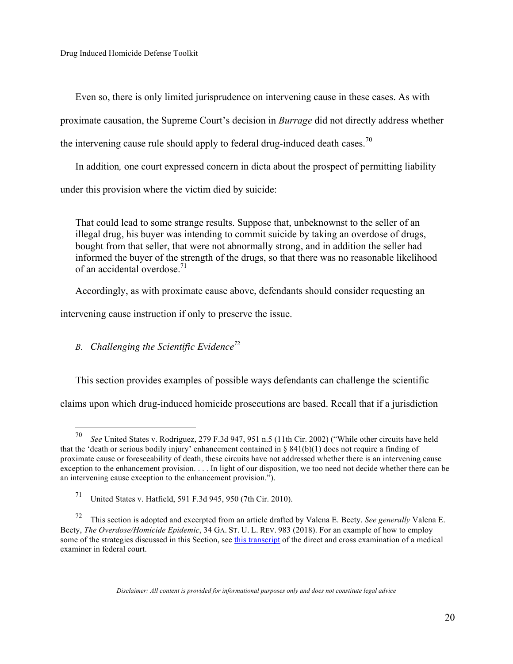Even so, there is only limited jurisprudence on intervening cause in these cases. As with proximate causation, the Supreme Court's decision in *Burrage* did not directly address whether the intervening cause rule should apply to federal drug-induced death cases.<sup>70</sup>

In addition*,* one court expressed concern in dicta about the prospect of permitting liability under this provision where the victim died by suicide:

That could lead to some strange results. Suppose that, unbeknownst to the seller of an illegal drug, his buyer was intending to commit suicide by taking an overdose of drugs, bought from that seller, that were not abnormally strong, and in addition the seller had informed the buyer of the strength of the drugs, so that there was no reasonable likelihood of an accidental overdose  $^{71}$ 

Accordingly, as with proximate cause above, defendants should consider requesting an

intervening cause instruction if only to preserve the issue.

# *B. Challenging the Scientific Evidence72*

This section provides examples of possible ways defendants can challenge the scientific

claims upon which drug-induced homicide prosecutions are based. Recall that if a jurisdiction

 <sup>70</sup> *See* United States v. Rodriguez, 279 F.3d 947, 951 n.5 (11th Cir. 2002) ("While other circuits have held that the 'death or serious bodily injury' enhancement contained in § 841(b)(1) does not require a finding of proximate cause or foreseeability of death, these circuits have not addressed whether there is an intervening cause exception to the enhancement provision. . . . In light of our disposition, we too need not decide whether there can be an intervening cause exception to the enhancement provision.").

<sup>71</sup> United States v. Hatfield, 591 F.3d 945, 950 (7th Cir. 2010).

<sup>72</sup> This section is adopted and excerpted from an article drafted by Valena E. Beety. *See generally* Valena E. Beety, *The Overdose/Homicide Epidemic*, 34 GA. ST. U. L. REV. 983 (2018). For an example of how to employ some of the strategies discussed in this Section, see this transcript of the direct and cross examination of a medical examiner in federal court.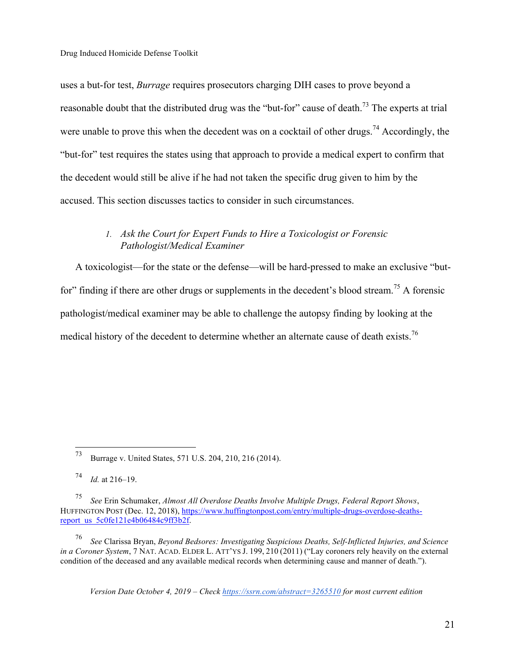uses a but-for test, *Burrage* requires prosecutors charging DIH cases to prove beyond a reasonable doubt that the distributed drug was the "but-for" cause of death.<sup>73</sup> The experts at trial were unable to prove this when the decedent was on a cocktail of other drugs.<sup>74</sup> Accordingly, the "but-for" test requires the states using that approach to provide a medical expert to confirm that the decedent would still be alive if he had not taken the specific drug given to him by the accused. This section discusses tactics to consider in such circumstances.

# *1. Ask the Court for Expert Funds to Hire a Toxicologist or Forensic Pathologist/Medical Examiner*

A toxicologist—for the state or the defense—will be hard-pressed to make an exclusive "butfor" finding if there are other drugs or supplements in the decedent's blood stream.<sup>75</sup> A forensic pathologist/medical examiner may be able to challenge the autopsy finding by looking at the medical history of the decedent to determine whether an alternate cause of death exists.<sup>76</sup>

<sup>76</sup> *See* Clarissa Bryan, *Beyond Bedsores: Investigating Suspicious Deaths, Self-Inflicted Injuries, and Science in a Coroner System*, 7 NAT. ACAD. ELDER L. ATT'YS J. 199, 210 (2011) ("Lay coroners rely heavily on the external condition of the deceased and any available medical records when determining cause and manner of death.").

 <sup>73</sup> Burrage v. United States, 571 U.S. 204, 210, 216 (2014).

<sup>74</sup> *Id.* at 216–19.

<sup>75</sup> *See* Erin Schumaker, *Almost All Overdose Deaths Involve Multiple Drugs, Federal Report Shows*, HUFFINGTON POST (Dec. 12, 2018), https://www.huffingtonpost.com/entry/multiple-drugs-overdose-deathsreport\_us\_5c0fe121e4b06484c9ff3b2f.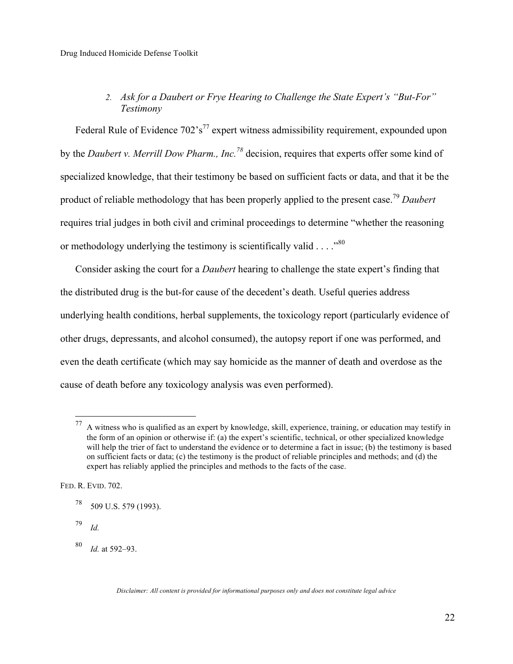# *2. Ask for a Daubert or Frye Hearing to Challenge the State Expert's "But-For" Testimony*

Federal Rule of Evidence  $702's^{77}$  expert witness admissibility requirement, expounded upon by the *Daubert v. Merrill Dow Pharm., Inc.78* decision, requires that experts offer some kind of specialized knowledge, that their testimony be based on sufficient facts or data, and that it be the product of reliable methodology that has been properly applied to the present case.<sup>79</sup> *Daubert*  requires trial judges in both civil and criminal proceedings to determine "whether the reasoning or methodology underlying the testimony is scientifically valid  $\ldots$ .<sup>80</sup>

Consider asking the court for a *Daubert* hearing to challenge the state expert's finding that the distributed drug is the but-for cause of the decedent's death. Useful queries address underlying health conditions, herbal supplements, the toxicology report (particularly evidence of other drugs, depressants, and alcohol consumed), the autopsy report if one was performed, and even the death certificate (which may say homicide as the manner of death and overdose as the cause of death before any toxicology analysis was even performed).

FED. R. EVID. 702.

 $77$  A witness who is qualified as an expert by knowledge, skill, experience, training, or education may testify in the form of an opinion or otherwise if: (a) the expert's scientific, technical, or other specialized knowledge will help the trier of fact to understand the evidence or to determine a fact in issue; (b) the testimony is based on sufficient facts or data; (c) the testimony is the product of reliable principles and methods; and (d) the expert has reliably applied the principles and methods to the facts of the case.

 $^{78}$  509 U.S. 579 (1993).

<sup>79</sup> *Id.*

<sup>80</sup> *Id.* at 592–93.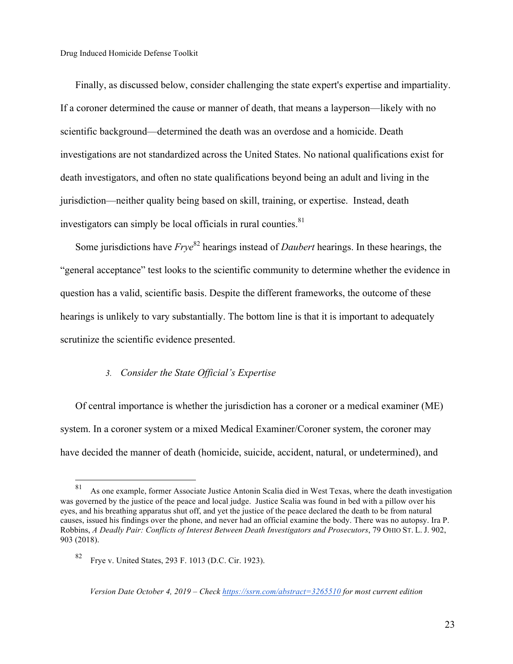Finally, as discussed below, consider challenging the state expert's expertise and impartiality. If a coroner determined the cause or manner of death, that means a layperson—likely with no scientific background—determined the death was an overdose and a homicide. Death investigations are not standardized across the United States. No national qualifications exist for death investigators, and often no state qualifications beyond being an adult and living in the jurisdiction—neither quality being based on skill, training, or expertise. Instead, death investigators can simply be local officials in rural counties. $81$ 

Some jurisdictions have *Frye*82 hearings instead of *Daubert* hearings. In these hearings, the "general acceptance" test looks to the scientific community to determine whether the evidence in question has a valid, scientific basis. Despite the different frameworks, the outcome of these hearings is unlikely to vary substantially. The bottom line is that it is important to adequately scrutinize the scientific evidence presented.

### *3. Consider the State Official's Expertise*

Of central importance is whether the jurisdiction has a coroner or a medical examiner (ME) system. In a coroner system or a mixed Medical Examiner/Coroner system, the coroner may have decided the manner of death (homicide, suicide, accident, natural, or undetermined), and

 <sup>81</sup> As one example, former Associate Justice Antonin Scalia died in West Texas, where the death investigation was governed by the justice of the peace and local judge. Justice Scalia was found in bed with a pillow over his eyes, and his breathing apparatus shut off, and yet the justice of the peace declared the death to be from natural causes, issued his findings over the phone, and never had an official examine the body. There was no autopsy. Ira P. Robbins, *A Deadly Pair: Conflicts of Interest Between Death Investigators and Prosecutors*, 79 OHIO ST. L. J. 902, 903 (2018).

<sup>82</sup> Frye v. United States, 293 F. 1013 (D.C. Cir. 1923).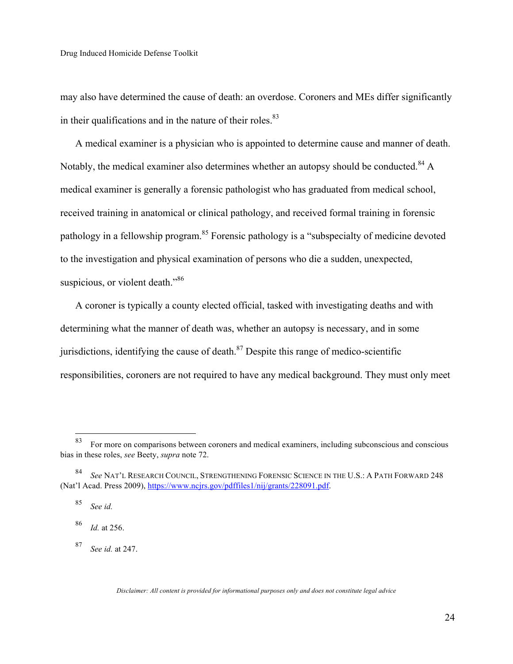may also have determined the cause of death: an overdose. Coroners and MEs differ significantly in their qualifications and in the nature of their roles. $83$ 

A medical examiner is a physician who is appointed to determine cause and manner of death. Notably, the medical examiner also determines whether an autopsy should be conducted.<sup>84</sup> A medical examiner is generally a forensic pathologist who has graduated from medical school, received training in anatomical or clinical pathology, and received formal training in forensic pathology in a fellowship program.<sup>85</sup> Forensic pathology is a "subspecialty of medicine devoted to the investigation and physical examination of persons who die a sudden, unexpected, suspicious, or violent death."<sup>86</sup>

A coroner is typically a county elected official, tasked with investigating deaths and with determining what the manner of death was, whether an autopsy is necessary, and in some jurisdictions, identifying the cause of death. $87$  Despite this range of medico-scientific responsibilities, coroners are not required to have any medical background. They must only meet

<sup>87</sup> *See id.* at 247.

 <sup>83</sup> For more on comparisons between coroners and medical examiners, including subconscious and conscious bias in these roles, *see* Beety, *supra* note 72.

<sup>84</sup> *See* NAT'L RESEARCH COUNCIL, STRENGTHENING FORENSIC SCIENCE IN THE U.S.: A PATH FORWARD 248 (Nat'l Acad. Press 2009), https://www.ncjrs.gov/pdffiles1/nij/grants/228091.pdf.

<sup>85</sup> *See id.*

<sup>86</sup> *Id.* at 256.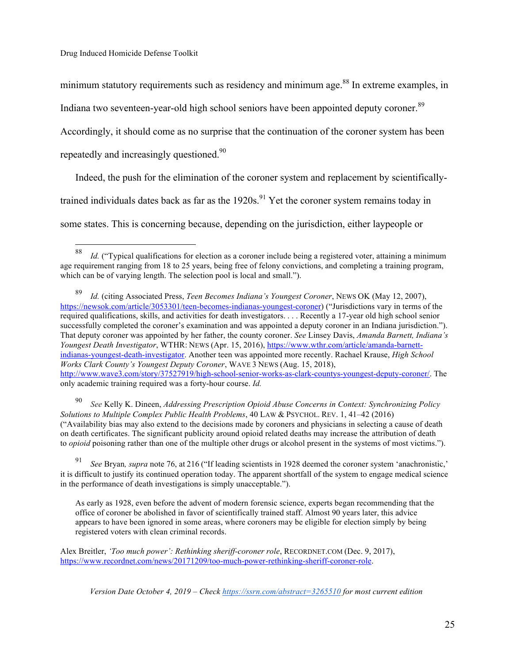minimum statutory requirements such as residency and minimum age.<sup>88</sup> In extreme examples, in

Indiana two seventeen-year-old high school seniors have been appointed deputy coroner.<sup>89</sup>

Accordingly, it should come as no surprise that the continuation of the coroner system has been

repeatedly and increasingly questioned.<sup>90</sup>

Indeed, the push for the elimination of the coroner system and replacement by scientifically-

trained individuals dates back as far as the  $1920s$ .<sup>91</sup> Yet the coroner system remains today in

some states. This is concerning because, depending on the jurisdiction, either laypeople or

<sup>90</sup> *See* Kelly K. Dineen, *Addressing Prescription Opioid Abuse Concerns in Context: Synchronizing Policy Solutions to Multiple Complex Public Health Problems*, 40 LAW & PSYCHOL. REV. 1, 41–42 (2016) ("Availability bias may also extend to the decisions made by coroners and physicians in selecting a cause of death on death certificates. The significant publicity around opioid related deaths may increase the attribution of death to *opioid* poisoning rather than one of the multiple other drugs or alcohol present in the systems of most victims.").

<sup>91</sup> *See* Bryan*, supra* note 76, at 216 ("If leading scientists in 1928 deemed the coroner system 'anachronistic,' it is difficult to justify its continued operation today. The apparent shortfall of the system to engage medical science in the performance of death investigations is simply unacceptable.").

As early as 1928, even before the advent of modern forensic science, experts began recommending that the office of coroner be abolished in favor of scientifically trained staff. Almost 90 years later, this advice appears to have been ignored in some areas, where coroners may be eligible for election simply by being registered voters with clean criminal records.

Alex Breitler, *'Too much power': Rethinking sheriff-coroner role*, RECORDNET.COM (Dec. 9, 2017), https://www.recordnet.com/news/20171209/too-much-power-rethinking-sheriff-coroner-role.

 <sup>88</sup> *Id.* ("Typical qualifications for election as a coroner include being a registered voter, attaining a minimum age requirement ranging from 18 to 25 years, being free of felony convictions, and completing a training program, which can be of varying length. The selection pool is local and small.").

<sup>89</sup> *Id.* (citing Associated Press, *Teen Becomes Indiana's Youngest Coroner*, NEWS OK (May 12, 2007), https://newsok.com/article/3053301/teen-becomes-indianas-youngest-coroner) ("Jurisdictions vary in terms of the required qualifications, skills, and activities for death investigators. . . . Recently a 17-year old high school senior successfully completed the coroner's examination and was appointed a deputy coroner in an Indiana jurisdiction."). That deputy coroner was appointed by her father, the county coroner. *See* Linsey Davis, *Amanda Barnett, Indiana's Youngest Death Investigator*, WTHR: NEWS (Apr. 15, 2016), https://www.wthr.com/article/amanda-barnettindianas-youngest-death-investigator. Another teen was appointed more recently. Rachael Krause, *High School Works Clark County's Youngest Deputy Coroner*, WAVE 3 NEWS (Aug. 15, 2018), http://www.wave3.com/story/37527919/high-school-senior-works-as-clark-countys-youngest-deputy-coroner/. The only academic training required was a forty-hour course. *Id.*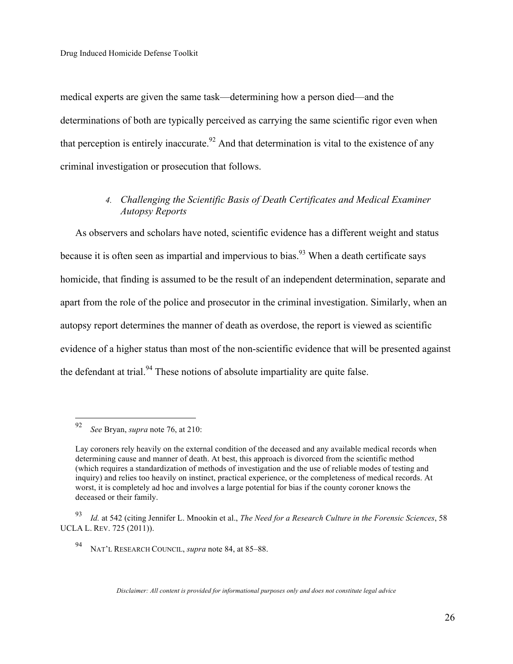medical experts are given the same task—determining how a person died—and the determinations of both are typically perceived as carrying the same scientific rigor even when that perception is entirely inaccurate.<sup>92</sup> And that determination is vital to the existence of any criminal investigation or prosecution that follows.

# *4. Challenging the Scientific Basis of Death Certificates and Medical Examiner Autopsy Reports*

As observers and scholars have noted, scientific evidence has a different weight and status because it is often seen as impartial and impervious to bias.<sup>93</sup> When a death certificate says homicide, that finding is assumed to be the result of an independent determination, separate and apart from the role of the police and prosecutor in the criminal investigation. Similarly, when an autopsy report determines the manner of death as overdose, the report is viewed as scientific evidence of a higher status than most of the non-scientific evidence that will be presented against the defendant at trial.<sup>94</sup> These notions of absolute impartiality are quite false.

 <sup>92</sup> *See* Bryan, *supra* note 76, at 210:

Lay coroners rely heavily on the external condition of the deceased and any available medical records when determining cause and manner of death. At best, this approach is divorced from the scientific method (which requires a standardization of methods of investigation and the use of reliable modes of testing and inquiry) and relies too heavily on instinct, practical experience, or the completeness of medical records. At worst, it is completely ad hoc and involves a large potential for bias if the county coroner knows the deceased or their family.

<sup>93</sup> *Id.* at 542 (citing Jennifer L. Mnookin et al., *The Need for a Research Culture in the Forensic Sciences*, 58 UCLA L. REV. 725 (2011)).

<sup>94</sup> NAT'L RESEARCH COUNCIL, *supra* note 84, at 85–88.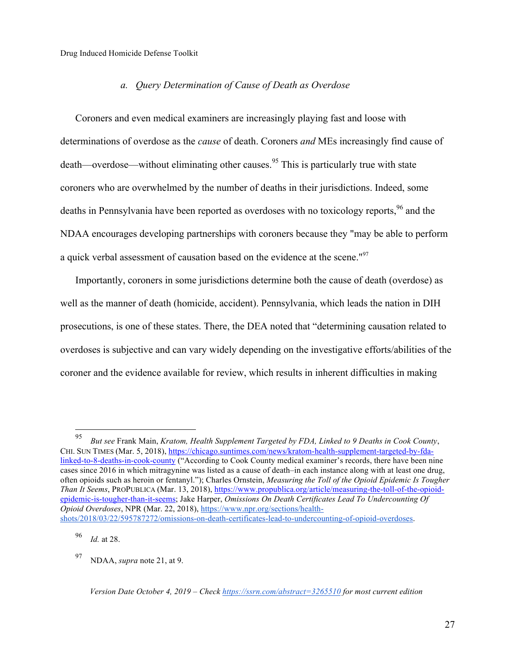### *a. Query Determination of Cause of Death as Overdose*

Coroners and even medical examiners are increasingly playing fast and loose with determinations of overdose as the *cause* of death. Coroners *and* MEs increasingly find cause of death—overdose—without eliminating other causes.<sup>95</sup> This is particularly true with state coroners who are overwhelmed by the number of deaths in their jurisdictions. Indeed, some deaths in Pennsylvania have been reported as overdoses with no toxicology reports,<sup>96</sup> and the NDAA encourages developing partnerships with coroners because they "may be able to perform a quick verbal assessment of causation based on the evidence at the scene."97

Importantly, coroners in some jurisdictions determine both the cause of death (overdose) as well as the manner of death (homicide, accident). Pennsylvania, which leads the nation in DIH prosecutions, is one of these states. There, the DEA noted that "determining causation related to overdoses is subjective and can vary widely depending on the investigative efforts/abilities of the coroner and the evidence available for review, which results in inherent difficulties in making

<sup>96</sup> *Id.* at 28.

<sup>97</sup> NDAA, *supra* note 21, at 9.

 <sup>95</sup> *But see* Frank Main, *Kratom, Health Supplement Targeted by FDA, Linked to 9 Deaths in Cook County*, CHI. SUN TIMES (Mar. 5, 2018), https://chicago.suntimes.com/news/kratom-health-supplement-targeted-by-fdalinked-to-8-deaths-in-cook-county ("According to Cook County medical examiner's records, there have been nine cases since 2016 in which mitragynine was listed as a cause of death–in each instance along with at least one drug, often opioids such as heroin or fentanyl."); Charles Ornstein, *Measuring the Toll of the Opioid Epidemic Is Tougher Than It Seems*, PROPUBLICA (Mar. 13, 2018), https://www.propublica.org/article/measuring-the-toll-of-the-opioidepidemic-is-tougher-than-it-seems; Jake Harper, *Omissions On Death Certificates Lead To Undercounting Of Opioid Overdoses*, NPR (Mar. 22, 2018), https://www.npr.org/sections/healthshots/2018/03/22/595787272/omissions-on-death-certificates-lead-to-undercounting-of-opioid-overdoses.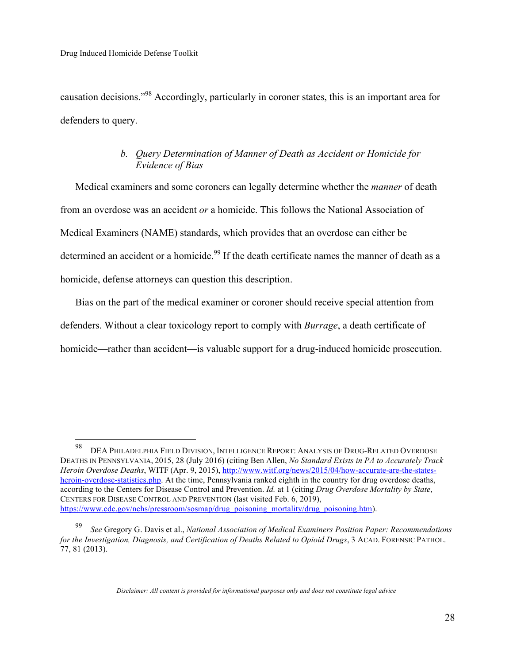causation decisions."98 Accordingly, particularly in coroner states, this is an important area for defenders to query.

# *b. Query Determination of Manner of Death as Accident or Homicide for Evidence of Bias*

Medical examiners and some coroners can legally determine whether the *manner* of death from an overdose was an accident *or* a homicide. This follows the National Association of Medical Examiners (NAME) standards, which provides that an overdose can either be determined an accident or a homicide.<sup>99</sup> If the death certificate names the manner of death as a homicide, defense attorneys can question this description.

Bias on the part of the medical examiner or coroner should receive special attention from defenders. Without a clear toxicology report to comply with *Burrage*, a death certificate of homicide—rather than accident—is valuable support for a drug-induced homicide prosecution.

 <sup>98</sup> DEA PHILADELPHIA FIELD DIVISION, INTELLIGENCE REPORT: ANALYSIS OF DRUG-RELATED OVERDOSE DEATHS IN PENNSYLVANIA, 2015, 28 (July 2016) (citing Ben Allen, *No Standard Exists in PA to Accurately Track Heroin Overdose Deaths*, WITF (Apr. 9, 2015), http://www.witf.org/news/2015/04/how-accurate-are-the-statesheroin-overdose-statistics.php. At the time, Pennsylvania ranked eighth in the country for drug overdose deaths, according to the Centers for Disease Control and Prevention. *Id.* at 1 (citing *Drug Overdose Mortality by State*, CENTERS FOR DISEASE CONTROL AND PREVENTION (last visited Feb. 6, 2019), https://www.cdc.gov/nchs/pressroom/sosmap/drug\_poisoning\_mortality/drug\_poisoning.htm).

<sup>99</sup> *See* Gregory G. Davis et al., *National Association of Medical Examiners Position Paper: Recommendations for the Investigation, Diagnosis, and Certification of Deaths Related to Opioid Drugs*, 3 ACAD. FORENSIC PATHOL. 77, 81 (2013).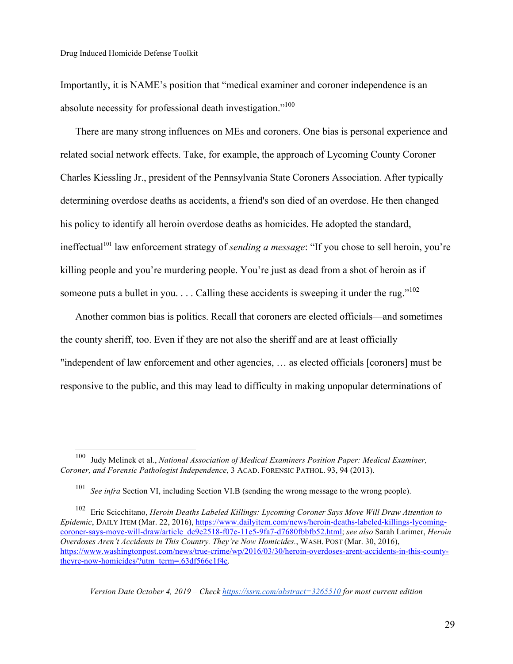Importantly, it is NAME's position that "medical examiner and coroner independence is an absolute necessity for professional death investigation."<sup>100</sup>

There are many strong influences on MEs and coroners. One bias is personal experience and related social network effects. Take, for example, the approach of Lycoming County Coroner Charles Kiessling Jr., president of the Pennsylvania State Coroners Association. After typically determining overdose deaths as accidents, a friend's son died of an overdose. He then changed his policy to identify all heroin overdose deaths as homicides. He adopted the standard, ineffectual<sup>101</sup> law enforcement strategy of *sending a message*: "If you chose to sell heroin, you're killing people and you're murdering people. You're just as dead from a shot of heroin as if someone puts a bullet in you.... Calling these accidents is sweeping it under the rug."<sup>102</sup>

Another common bias is politics. Recall that coroners are elected officials—and sometimes the county sheriff, too. Even if they are not also the sheriff and are at least officially "independent of law enforcement and other agencies, … as elected officials [coroners] must be responsive to the public, and this may lead to difficulty in making unpopular determinations of

 <sup>100</sup> Judy Melinek et al., *National Association of Medical Examiners Position Paper: Medical Examiner, Coroner, and Forensic Pathologist Independence*, 3 ACAD. FORENSIC PATHOL. 93, 94 (2013).

<sup>101</sup> *See infra* Section VI, including Section VI.B (sending the wrong message to the wrong people).

<sup>102</sup> Eric Scicchitano, *Heroin Deaths Labeled Killings: Lycoming Coroner Says Move Will Draw Attention to Epidemic*, DAILY ITEM (Mar. 22, 2016), https://www.dailyitem.com/news/heroin-deaths-labeled-killings-lycomingcoroner-says-move-will-draw/article\_dc9e2518-f07e-11e5-9fa7-d7680fbbfb52.html; *see also* Sarah Larimer, *Heroin Overdoses Aren't Accidents in This Country. They're Now Homicides.*, WASH. POST (Mar. 30, 2016), https://www.washingtonpost.com/news/true-crime/wp/2016/03/30/heroin-overdoses-arent-accidents-in-this-countytheyre-now-homicides/?utm\_term=.63df566e1f4c.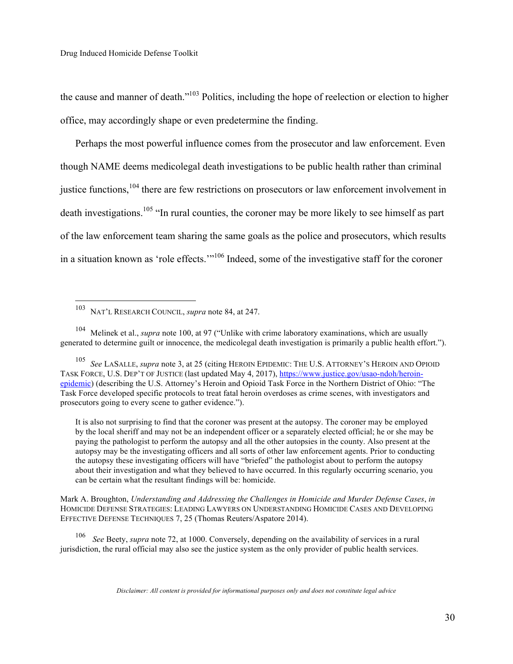the cause and manner of death."103 Politics, including the hope of reelection or election to higher office, may accordingly shape or even predetermine the finding.

Perhaps the most powerful influence comes from the prosecutor and law enforcement. Even though NAME deems medicolegal death investigations to be public health rather than criminal justice functions,<sup>104</sup> there are few restrictions on prosecutors or law enforcement involvement in death investigations.<sup>105</sup> "In rural counties, the coroner may be more likely to see himself as part of the law enforcement team sharing the same goals as the police and prosecutors, which results in a situation known as 'role effects.'"106 Indeed, some of the investigative staff for the coroner

<sup>104</sup> Melinek et al., *supra* note 100, at 97 ("Unlike with crime laboratory examinations, which are usually generated to determine guilt or innocence, the medicolegal death investigation is primarily a public health effort.").

<sup>105</sup> *See* LASALLE, *supra* note 3, at 25 (citing HEROIN EPIDEMIC: THE U.S. ATTORNEY'S HEROIN AND OPIOID TASK FORCE, U.S. DEP'T OF JUSTICE (last updated May 4, 2017), https://www.justice.gov/usao-ndoh/heroinepidemic) (describing the U.S. Attorney's Heroin and Opioid Task Force in the Northern District of Ohio: "The Task Force developed specific protocols to treat fatal heroin overdoses as crime scenes, with investigators and prosecutors going to every scene to gather evidence.").

It is also not surprising to find that the coroner was present at the autopsy. The coroner may be employed by the local sheriff and may not be an independent officer or a separately elected official; he or she may be paying the pathologist to perform the autopsy and all the other autopsies in the county. Also present at the autopsy may be the investigating officers and all sorts of other law enforcement agents. Prior to conducting the autopsy these investigating officers will have "briefed" the pathologist about to perform the autopsy about their investigation and what they believed to have occurred. In this regularly occurring scenario, you can be certain what the resultant findings will be: homicide.

Mark A. Broughton, *Understanding and Addressing the Challenges in Homicide and Murder Defense Cases*, *in* HOMICIDE DEFENSE STRATEGIES: LEADING LAWYERS ON UNDERSTANDING HOMICIDE CASES AND DEVELOPING EFFECTIVE DEFENSE TECHNIQUES 7, 25 (Thomas Reuters/Aspatore 2014).

<sup>106</sup> *See* Beety, *supra* note 72, at 1000. Conversely, depending on the availability of services in a rural jurisdiction, the rural official may also see the justice system as the only provider of public health services.

 <sup>103</sup> NAT'L RESEARCH COUNCIL, *supra* note 84, at 247.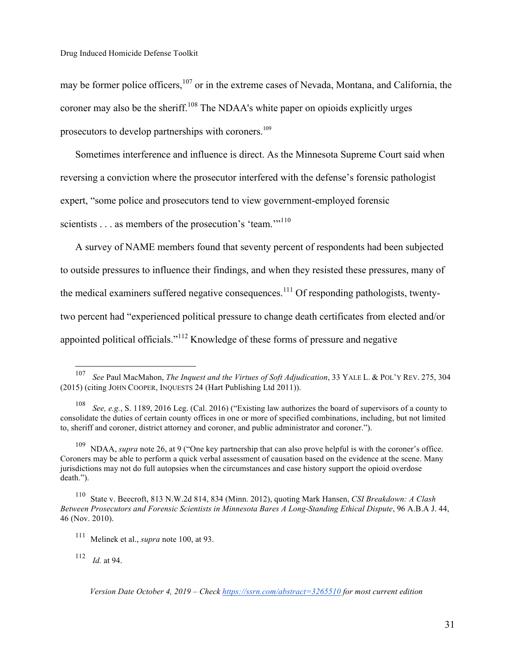may be former police officers,<sup>107</sup> or in the extreme cases of Nevada, Montana, and California, the coroner may also be the sheriff.<sup>108</sup> The NDAA's white paper on opioids explicitly urges prosecutors to develop partnerships with coroners.109

Sometimes interference and influence is direct. As the Minnesota Supreme Court said when reversing a conviction where the prosecutor interfered with the defense's forensic pathologist expert, "some police and prosecutors tend to view government-employed forensic scientists . . . as members of the prosecution's 'team.'"<sup>110</sup>

A survey of NAME members found that seventy percent of respondents had been subjected to outside pressures to influence their findings, and when they resisted these pressures, many of the medical examiners suffered negative consequences.<sup>111</sup> Of responding pathologists, twentytwo percent had "experienced political pressure to change death certificates from elected and/or appointed political officials."112 Knowledge of these forms of pressure and negative

 <sup>107</sup> *See* Paul MacMahon, *The Inquest and the Virtues of Soft Adjudication*, 33 YALE L. & POL'Y REV. 275, 304 (2015) (citing JOHN COOPER, INQUESTS 24 (Hart Publishing Ltd 2011)).

<sup>108</sup> *See, e.g.*, S. 1189, 2016 Leg. (Cal. 2016) ("Existing law authorizes the board of supervisors of a county to consolidate the duties of certain county offices in one or more of specified combinations, including, but not limited to, sheriff and coroner, district attorney and coroner, and public administrator and coroner.").

<sup>109</sup> NDAA, *supra* note 26, at 9 ("One key partnership that can also prove helpful is with the coroner's office. Coroners may be able to perform a quick verbal assessment of causation based on the evidence at the scene. Many jurisdictions may not do full autopsies when the circumstances and case history support the opioid overdose death.").

<sup>110</sup> State v. Beecroft, 813 N.W.2d 814, 834 (Minn. 2012), quoting Mark Hansen, *CSI Breakdown: A Clash Between Prosecutors and Forensic Scientists in Minnesota Bares A Long-Standing Ethical Dispute*, 96 A.B.A J. 44, 46 (Nov. 2010).

<sup>111</sup> Melinek et al., *supra* note 100, at 93.

<sup>112</sup> *Id.* at 94.

*Version Date October 4, 2019 – Check https://ssrn.com/abstract=3265510 for most current edition*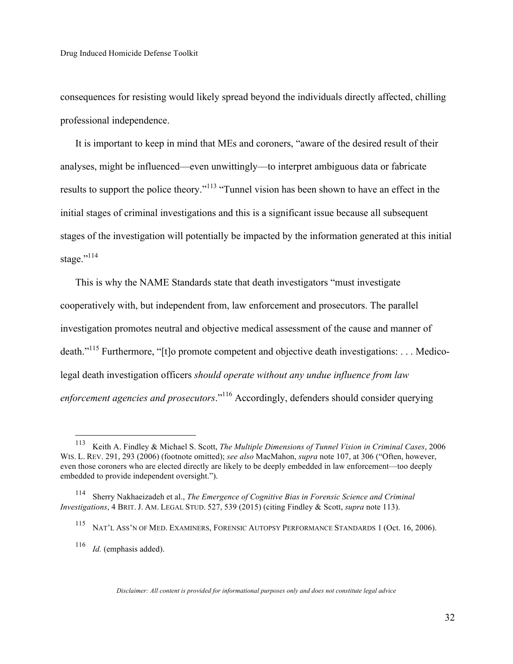consequences for resisting would likely spread beyond the individuals directly affected, chilling professional independence.

It is important to keep in mind that MEs and coroners, "aware of the desired result of their analyses, might be influenced—even unwittingly—to interpret ambiguous data or fabricate results to support the police theory."<sup>113</sup> "Tunnel vision has been shown to have an effect in the initial stages of criminal investigations and this is a significant issue because all subsequent stages of the investigation will potentially be impacted by the information generated at this initial stage."<sup>114</sup>

This is why the NAME Standards state that death investigators "must investigate cooperatively with, but independent from, law enforcement and prosecutors. The parallel investigation promotes neutral and objective medical assessment of the cause and manner of death."115 Furthermore, "[t]o promote competent and objective death investigations: . . . Medicolegal death investigation officers *should operate without any undue influence from law enforcement agencies and prosecutors*."116 Accordingly, defenders should consider querying

 <sup>113</sup> Keith A. Findley & Michael S. Scott, *The Multiple Dimensions of Tunnel Vision in Criminal Cases*, 2006 WIS. L. REV. 291, 293 (2006) (footnote omitted); *see also* MacMahon, *supra* note 107, at 306 ("Often, however, even those coroners who are elected directly are likely to be deeply embedded in law enforcement—too deeply embedded to provide independent oversight.").

<sup>114</sup> Sherry Nakhaeizadeh et al., *The Emergence of Cognitive Bias in Forensic Science and Criminal Investigations*, 4 BRIT. J. AM. LEGAL STUD. 527, 539 (2015) (citing Findley & Scott, *supra* note 113).

<sup>115</sup> NAT'L ASS'N OF MED. EXAMINERS, FORENSIC AUTOPSY PERFORMANCE STANDARDS 1 (Oct. 16, 2006).

<sup>116</sup> *Id.* (emphasis added).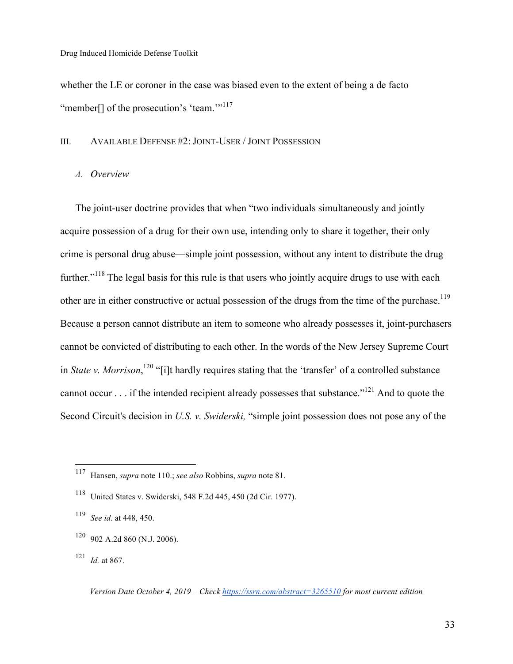whether the LE or coroner in the case was biased even to the extent of being a de facto "member<sup>[]</sup> of the prosecution's 'team."<sup>117</sup>

### III. AVAILABLE DEFENSE #2: JOINT-USER / JOINT POSSESSION

### *A. Overview*

The joint-user doctrine provides that when "two individuals simultaneously and jointly acquire possession of a drug for their own use, intending only to share it together, their only crime is personal drug abuse—simple joint possession, without any intent to distribute the drug further."<sup>118</sup> The legal basis for this rule is that users who jointly acquire drugs to use with each other are in either constructive or actual possession of the drugs from the time of the purchase.<sup>119</sup> Because a person cannot distribute an item to someone who already possesses it, joint-purchasers cannot be convicted of distributing to each other. In the words of the New Jersey Supreme Court in *State v. Morrison*, 120 "[i]t hardly requires stating that the 'transfer' of a controlled substance cannot occur . . . if the intended recipient already possesses that substance."121 And to quote the Second Circuit's decision in *U.S. v. Swiderski,* "simple joint possession does not pose any of the

 <sup>117</sup> Hansen, *supra* note 110.; *see also* Robbins, *supra* note 81.

<sup>118</sup> United States v. Swiderski, 548 F.2d 445, 450 (2d Cir. 1977).

<sup>119</sup> *See id*. at 448, 450.

 $120$  902 A.2d 860 (N.J. 2006).

<sup>121</sup> *Id.* at 867.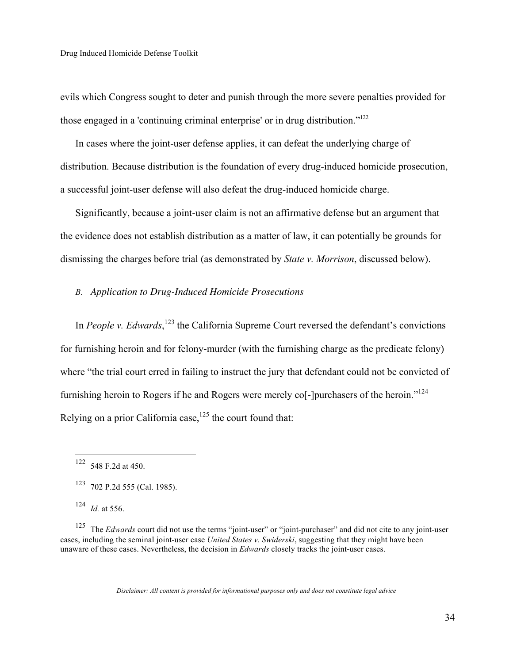evils which Congress sought to deter and punish through the more severe penalties provided for those engaged in a 'continuing criminal enterprise' or in drug distribution."122

In cases where the joint-user defense applies, it can defeat the underlying charge of distribution. Because distribution is the foundation of every drug-induced homicide prosecution, a successful joint-user defense will also defeat the drug-induced homicide charge.

Significantly, because a joint-user claim is not an affirmative defense but an argument that the evidence does not establish distribution as a matter of law, it can potentially be grounds for dismissing the charges before trial (as demonstrated by *State v. Morrison*, discussed below).

### *B. Application to Drug-Induced Homicide Prosecutions*

In *People v. Edwards*,<sup>123</sup> the California Supreme Court reversed the defendant's convictions for furnishing heroin and for felony-murder (with the furnishing charge as the predicate felony) where "the trial court erred in failing to instruct the jury that defendant could not be convicted of furnishing heroin to Rogers if he and Rogers were merely co<sup>[</sup>-]purchasers of the heroin."<sup>124</sup> Relying on a prior California case,<sup>125</sup> the court found that:

 <sup>122</sup> 548 F.2d at 450.

 $123$  702 P.2d 555 (Cal. 1985).

<sup>124</sup> *Id.* at 556.

<sup>&</sup>lt;sup>125</sup> The *Edwards* court did not use the terms "joint-user" or "joint-purchaser" and did not cite to any joint-user cases, including the seminal joint-user case *United States v. Swiderski*, suggesting that they might have been unaware of these cases. Nevertheless, the decision in *Edwards* closely tracks the joint-user cases.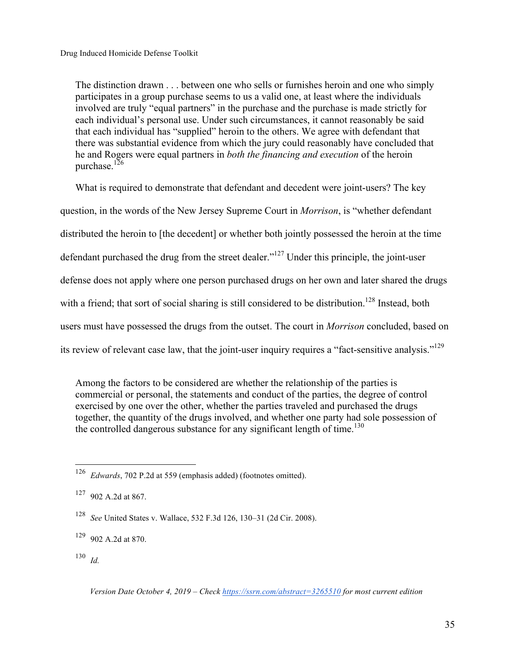The distinction drawn . . . between one who sells or furnishes heroin and one who simply participates in a group purchase seems to us a valid one, at least where the individuals involved are truly "equal partners" in the purchase and the purchase is made strictly for each individual's personal use. Under such circumstances, it cannot reasonably be said that each individual has "supplied" heroin to the others. We agree with defendant that there was substantial evidence from which the jury could reasonably have concluded that he and Rogers were equal partners in *both the financing and execution* of the heroin purchase. $126$ 

What is required to demonstrate that defendant and decedent were joint-users? The key question, in the words of the New Jersey Supreme Court in *Morrison*, is "whether defendant distributed the heroin to [the decedent] or whether both jointly possessed the heroin at the time defendant purchased the drug from the street dealer."<sup>127</sup> Under this principle, the joint-user defense does not apply where one person purchased drugs on her own and later shared the drugs with a friend; that sort of social sharing is still considered to be distribution.<sup>128</sup> Instead, both users must have possessed the drugs from the outset. The court in *Morrison* concluded, based on its review of relevant case law, that the joint-user inquiry requires a "fact-sensitive analysis."<sup>129</sup>

Among the factors to be considered are whether the relationship of the parties is commercial or personal, the statements and conduct of the parties, the degree of control exercised by one over the other, whether the parties traveled and purchased the drugs together, the quantity of the drugs involved, and whether one party had sole possession of the controlled dangerous substance for any significant length of time.<sup>130</sup>

 <sup>126</sup> *Edwards*, 702 P.2d at 559 (emphasis added) (footnotes omitted).

<sup>127</sup> 902 A.2d at 867.

<sup>128</sup> *See* United States v. Wallace, 532 F.3d 126, 130–31 (2d Cir. 2008).

 $129$  902 A.2d at 870.

 $130$  *Id.*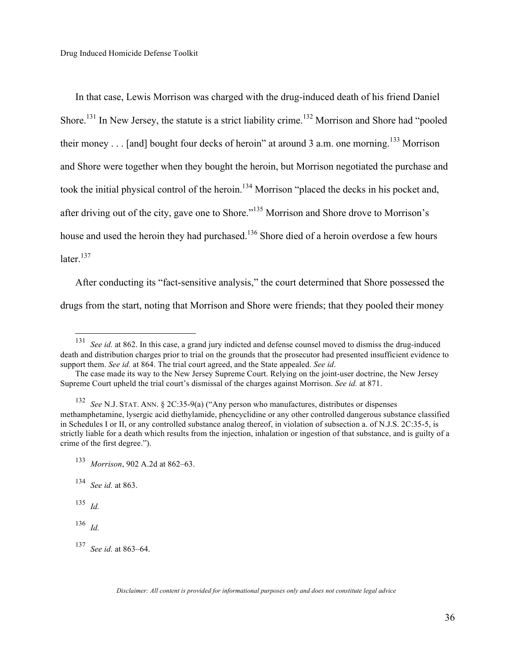In that case, Lewis Morrison was charged with the drug-induced death of his friend Daniel Shore.<sup>131</sup> In New Jersey, the statute is a strict liability crime.<sup>132</sup> Morrison and Shore had "pooled" their money  $\ldots$  [and] bought four decks of heroin" at around 3 a.m. one morning.<sup>133</sup> Morrison and Shore were together when they bought the heroin, but Morrison negotiated the purchase and took the initial physical control of the heroin.<sup>134</sup> Morrison "placed the decks in his pocket and, after driving out of the city, gave one to Shore."135 Morrison and Shore drove to Morrison's house and used the heroin they had purchased.<sup>136</sup> Shore died of a heroin overdose a few hours  $later<sup>137</sup>$ 

After conducting its "fact-sensitive analysis," the court determined that Shore possessed the drugs from the start, noting that Morrison and Shore were friends; that they pooled their money

<sup>134</sup> *See id.* at 863.

<sup>135</sup> *Id.*

<sup>136</sup> *Id.*

 <sup>131</sup> *See id.* at 862. In this case, a grand jury indicted and defense counsel moved to dismiss the drug-induced death and distribution charges prior to trial on the grounds that the prosecutor had presented insufficient evidence to support them. *See id.* at 864. The trial court agreed, and the State appealed. *See id*.

The case made its way to the New Jersey Supreme Court. Relying on the joint-user doctrine, the New Jersey Supreme Court upheld the trial court's dismissal of the charges against Morrison. *See id.* at 871.

<sup>132</sup> *See* N.J. STAT. ANN. § 2C:35-9(a) ("Any person who manufactures, distributes or dispenses methamphetamine, lysergic acid diethylamide, phencyclidine or any other controlled dangerous substance classified in Schedules I or II, or any controlled substance analog thereof, in violation of subsection a. of N.J.S. 2C:35-5, is strictly liable for a death which results from the injection, inhalation or ingestion of that substance, and is guilty of a crime of the first degree.").

<sup>133</sup> *Morrison*, 902 A.2d at 862–63.

<sup>137</sup> *See id.* at 863–64.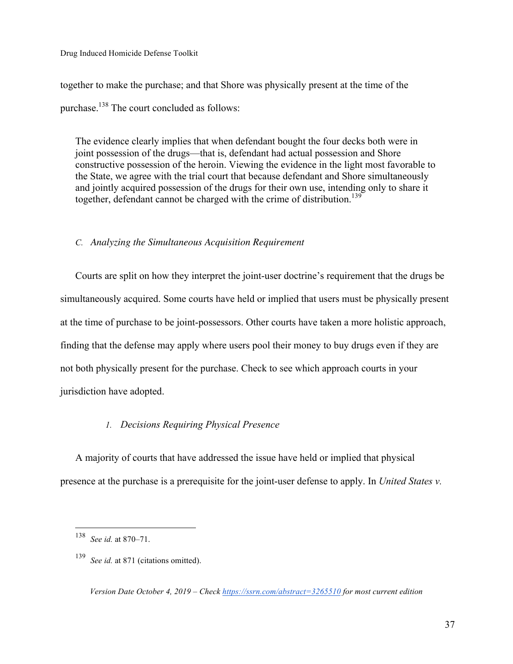together to make the purchase; and that Shore was physically present at the time of the purchase.<sup>138</sup> The court concluded as follows:

The evidence clearly implies that when defendant bought the four decks both were in joint possession of the drugs—that is, defendant had actual possession and Shore constructive possession of the heroin. Viewing the evidence in the light most favorable to the State, we agree with the trial court that because defendant and Shore simultaneously and jointly acquired possession of the drugs for their own use, intending only to share it together, defendant cannot be charged with the crime of distribution.<sup>139</sup>

#### *C. Analyzing the Simultaneous Acquisition Requirement*

Courts are split on how they interpret the joint-user doctrine's requirement that the drugs be simultaneously acquired. Some courts have held or implied that users must be physically present at the time of purchase to be joint-possessors. Other courts have taken a more holistic approach, finding that the defense may apply where users pool their money to buy drugs even if they are not both physically present for the purchase. Check to see which approach courts in your jurisdiction have adopted.

#### *1. Decisions Requiring Physical Presence*

A majority of courts that have addressed the issue have held or implied that physical presence at the purchase is a prerequisite for the joint-user defense to apply. In *United States v.* 

 <sup>138</sup> *See id.* at 870–71.

<sup>139</sup> *See id.* at 871 (citations omitted).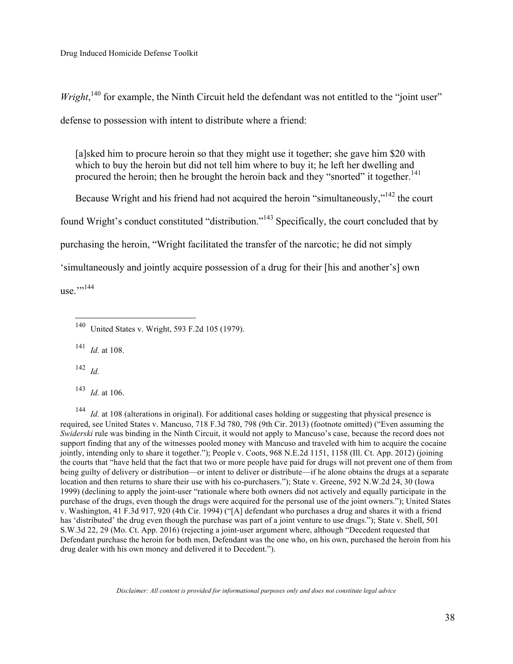*Wright*,<sup>140</sup> for example, the Ninth Circuit held the defendant was not entitled to the "joint user" defense to possession with intent to distribute where a friend:

[a]sked him to procure heroin so that they might use it together; she gave him \$20 with which to buy the heroin but did not tell him where to buy it; he left her dwelling and procured the heroin; then he brought the heroin back and they "snorted" it together.<sup>141</sup>

Because Wright and his friend had not acquired the heroin "simultaneously,"<sup>142</sup> the court

found Wright's conduct constituted "distribution."143 Specifically, the court concluded that by

purchasing the heroin, "Wright facilitated the transfer of the narcotic; he did not simply

'simultaneously and jointly acquire possession of a drug for their [his and another's] own

use.""<sup>144</sup>

<sup>141</sup> *Id.* at 108.

<sup>142</sup> *Id.*

<sup>143</sup> *Id.* at 106.

<sup>144</sup> *Id.* at 108 (alterations in original). For additional cases holding or suggesting that physical presence is required, see United States v. Mancuso, 718 F.3d 780, 798 (9th Cir. 2013) (footnote omitted) ("Even assuming the *Swiderski* rule was binding in the Ninth Circuit, it would not apply to Mancuso's case, because the record does not support finding that any of the witnesses pooled money with Mancuso and traveled with him to acquire the cocaine jointly, intending only to share it together."); People v. Coots, 968 N.E.2d 1151, 1158 (Ill. Ct. App. 2012) (joining the courts that "have held that the fact that two or more people have paid for drugs will not prevent one of them from being guilty of delivery or distribution—or intent to deliver or distribute—if he alone obtains the drugs at a separate location and then returns to share their use with his co-purchasers."); State v. Greene, 592 N.W.2d 24, 30 (Iowa 1999) (declining to apply the joint-user "rationale where both owners did not actively and equally participate in the purchase of the drugs, even though the drugs were acquired for the personal use of the joint owners."); United States v. Washington, 41 F.3d 917, 920 (4th Cir. 1994) ("[A] defendant who purchases a drug and shares it with a friend has 'distributed' the drug even though the purchase was part of a joint venture to use drugs."); State v. Shell, 501 S.W.3d 22, 29 (Mo. Ct. App. 2016) (rejecting a joint-user argument where, although "Decedent requested that Defendant purchase the heroin for both men, Defendant was the one who, on his own, purchased the heroin from his drug dealer with his own money and delivered it to Decedent.").

 <sup>140</sup> United States v. Wright, 593 F.2d 105 (1979).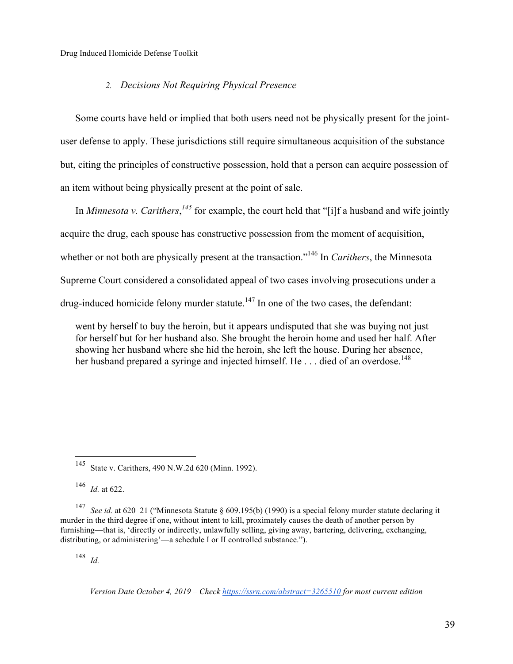#### *2. Decisions Not Requiring Physical Presence*

Some courts have held or implied that both users need not be physically present for the jointuser defense to apply. These jurisdictions still require simultaneous acquisition of the substance but, citing the principles of constructive possession, hold that a person can acquire possession of an item without being physically present at the point of sale.

In *Minnesota v. Carithers*, <sup>145</sup> for example, the court held that "[i]f a husband and wife jointly acquire the drug, each spouse has constructive possession from the moment of acquisition, whether or not both are physically present at the transaction.<sup>"146</sup> In *Carithers*, the Minnesota Supreme Court considered a consolidated appeal of two cases involving prosecutions under a drug-induced homicide felony murder statute.<sup>147</sup> In one of the two cases, the defendant:

went by herself to buy the heroin, but it appears undisputed that she was buying not just for herself but for her husband also*.* She brought the heroin home and used her half. After showing her husband where she hid the heroin, she left the house. During her absence, her husband prepared a syringe and injected himself. He . . . died of an overdose.<sup>148</sup>

<sup>146</sup> *Id.* at 622.

<sup>147</sup> *See id.* at 620–21 ("Minnesota Statute § 609.195(b) (1990) is a special felony murder statute declaring it murder in the third degree if one, without intent to kill, proximately causes the death of another person by furnishing—that is, 'directly or indirectly, unlawfully selling, giving away, bartering, delivering, exchanging, distributing, or administering'—a schedule I or II controlled substance.").

<sup>148</sup> *Id.*

 <sup>145</sup> State v. Carithers, 490 N.W.2d 620 (Minn. 1992).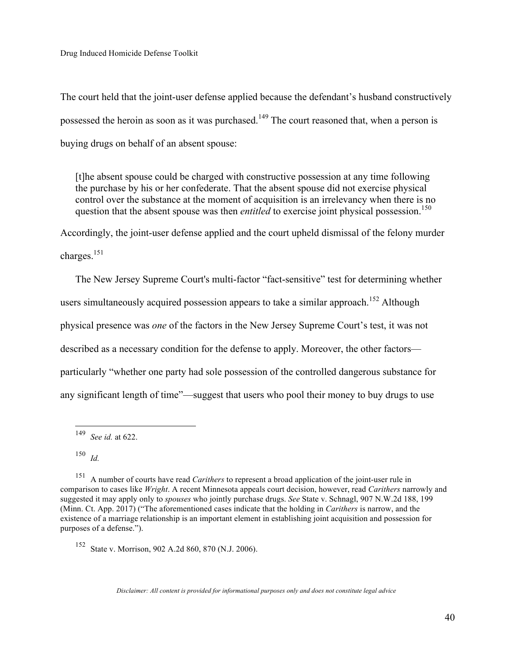The court held that the joint-user defense applied because the defendant's husband constructively possessed the heroin as soon as it was purchased.<sup>149</sup> The court reasoned that, when a person is buying drugs on behalf of an absent spouse:

[t]he absent spouse could be charged with constructive possession at any time following the purchase by his or her confederate. That the absent spouse did not exercise physical control over the substance at the moment of acquisition is an irrelevancy when there is no question that the absent spouse was then *entitled* to exercise joint physical possession.<sup>150</sup>

Accordingly, the joint-user defense applied and the court upheld dismissal of the felony murder charges.<sup>151</sup>

The New Jersey Supreme Court's multi-factor "fact-sensitive" test for determining whether users simultaneously acquired possession appears to take a similar approach.<sup>152</sup> Although physical presence was *one* of the factors in the New Jersey Supreme Court's test, it was not described as a necessary condition for the defense to apply. Moreover, the other factors particularly "whether one party had sole possession of the controlled dangerous substance for any significant length of time"—suggest that users who pool their money to buy drugs to use

 <sup>149</sup> *See id.* at 622.

<sup>150</sup> *Id.*

<sup>151</sup> A number of courts have read *Carithers* to represent a broad application of the joint-user rule in comparison to cases like *Wright*. A recent Minnesota appeals court decision, however, read *Carithers* narrowly and suggested it may apply only to *spouses* who jointly purchase drugs. *See* State v. Schnagl, 907 N.W.2d 188, 199 (Minn. Ct. App. 2017) ("The aforementioned cases indicate that the holding in *Carithers* is narrow, and the existence of a marriage relationship is an important element in establishing joint acquisition and possession for purposes of a defense.").

<sup>152</sup> State v. Morrison, 902 A.2d 860, 870 (N.J. 2006).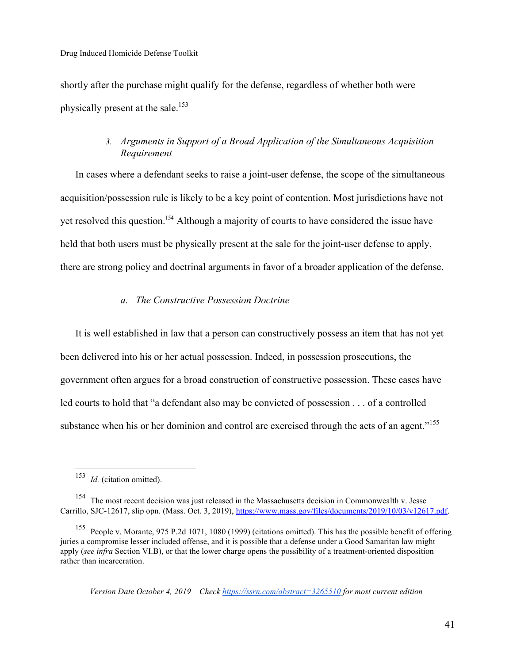shortly after the purchase might qualify for the defense, regardless of whether both were physically present at the sale.<sup>153</sup>

## *3. Arguments in Support of a Broad Application of the Simultaneous Acquisition Requirement*

In cases where a defendant seeks to raise a joint-user defense, the scope of the simultaneous acquisition/possession rule is likely to be a key point of contention. Most jurisdictions have not yet resolved this question.154 Although a majority of courts to have considered the issue have held that both users must be physically present at the sale for the joint-user defense to apply, there are strong policy and doctrinal arguments in favor of a broader application of the defense.

## *a. The Constructive Possession Doctrine*

It is well established in law that a person can constructively possess an item that has not yet been delivered into his or her actual possession. Indeed, in possession prosecutions, the government often argues for a broad construction of constructive possession. These cases have led courts to hold that "a defendant also may be convicted of possession . . . of a controlled substance when his or her dominion and control are exercised through the acts of an agent."<sup>155</sup>

 <sup>153</sup> *Id.* (citation omitted).

<sup>&</sup>lt;sup>154</sup> The most recent decision was just released in the Massachusetts decision in Commonwealth v. Jesse Carrillo, SJC-12617, slip opn. (Mass. Oct. 3, 2019), https://www.mass.gov/files/documents/2019/10/03/v12617.pdf.

<sup>155</sup> People v. Morante, 975 P.2d 1071, 1080 (1999) (citations omitted). This has the possible benefit of offering juries a compromise lesser included offense, and it is possible that a defense under a Good Samaritan law might apply (*see infra* Section VI.B), or that the lower charge opens the possibility of a treatment-oriented disposition rather than incarceration.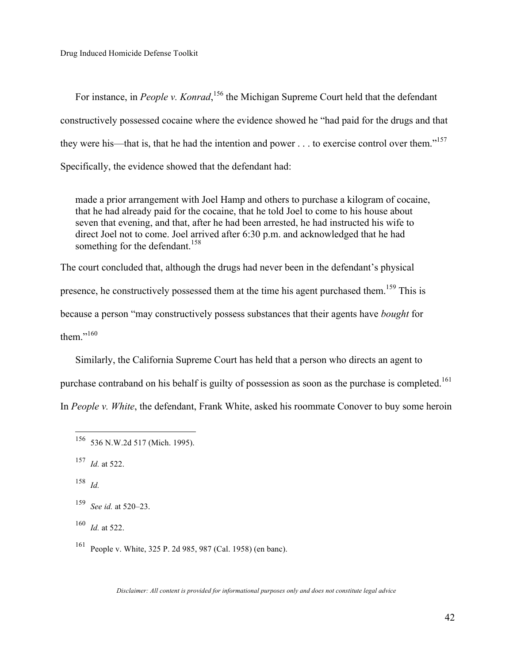For instance, in *People v. Konrad*, <sup>156</sup> the Michigan Supreme Court held that the defendant constructively possessed cocaine where the evidence showed he "had paid for the drugs and that they were his—that is, that he had the intention and power  $\dots$  to exercise control over them."<sup>157</sup> Specifically, the evidence showed that the defendant had:

made a prior arrangement with Joel Hamp and others to purchase a kilogram of cocaine, that he had already paid for the cocaine, that he told Joel to come to his house about seven that evening, and that, after he had been arrested, he had instructed his wife to direct Joel not to come. Joel arrived after 6:30 p.m. and acknowledged that he had something for the defendant.<sup>158</sup>

The court concluded that, although the drugs had never been in the defendant's physical presence, he constructively possessed them at the time his agent purchased them.<sup>159</sup> This is

because a person "may constructively possess substances that their agents have *bought* for

them."<sup>160</sup>

Similarly, the California Supreme Court has held that a person who directs an agent to

purchase contraband on his behalf is guilty of possession as soon as the purchase is completed.<sup>161</sup>

In *People v. White*, the defendant, Frank White, asked his roommate Conover to buy some heroin

<sup>158</sup> *Id.*

<sup>160</sup> *Id.* at 522.

<sup>161</sup> People v. White, 325 P. 2d 985, 987 (Cal. 1958) (en banc).

 <sup>156</sup> 536 N.W.2d 517 (Mich. 1995).

<sup>157</sup> *Id.* at 522.

<sup>159</sup> *See id.* at 520–23.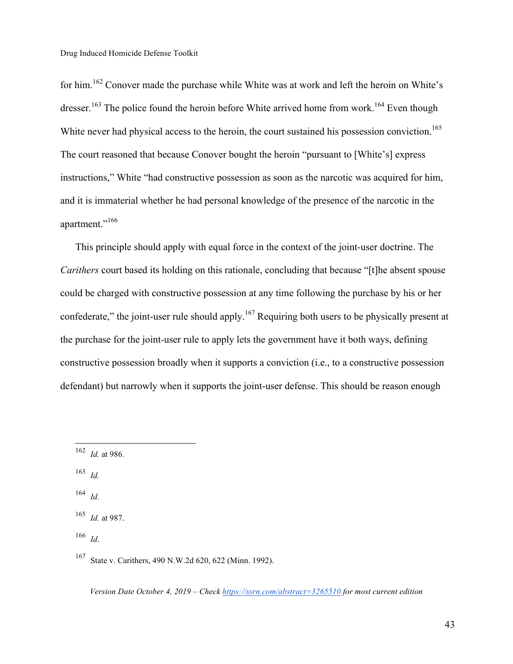for him.<sup>162</sup> Conover made the purchase while White was at work and left the heroin on White's dresser.<sup>163</sup> The police found the heroin before White arrived home from work.<sup>164</sup> Even though White never had physical access to the heroin, the court sustained his possession conviction.<sup>165</sup> The court reasoned that because Conover bought the heroin "pursuant to [White's] express instructions," White "had constructive possession as soon as the narcotic was acquired for him, and it is immaterial whether he had personal knowledge of the presence of the narcotic in the apartment."<sup>166</sup>

This principle should apply with equal force in the context of the joint-user doctrine. The *Carithers* court based its holding on this rationale, concluding that because "[t]he absent spouse could be charged with constructive possession at any time following the purchase by his or her confederate," the joint-user rule should apply.<sup>167</sup> Requiring both users to be physically present at the purchase for the joint-user rule to apply lets the government have it both ways, defining constructive possession broadly when it supports a conviction (i.e., to a constructive possession defendant) but narrowly when it supports the joint-user defense. This should be reason enough

<sup>163</sup> *Id.*

<sup>164</sup> *Id.*

<sup>166</sup> *Id*.

 <sup>162</sup> *Id.* at 986.

<sup>165</sup> *Id.* at 987.

<sup>167</sup> State v. Carithers, 490 N.W.2d 620, 622 (Minn. 1992).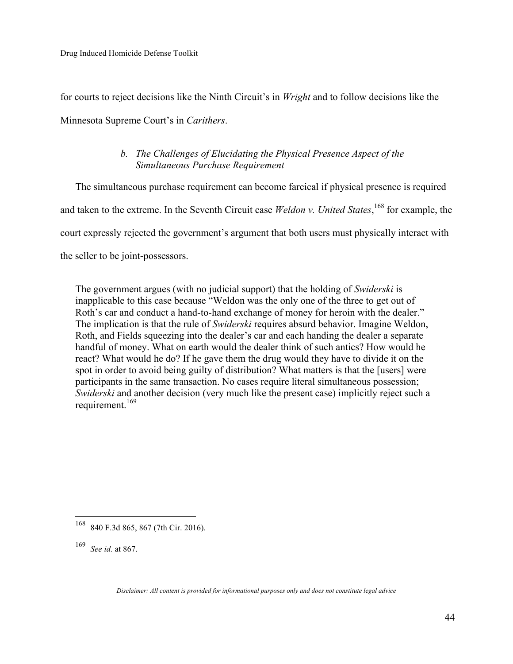for courts to reject decisions like the Ninth Circuit's in *Wright* and to follow decisions like the Minnesota Supreme Court's in *Carithers*.

# *b. The Challenges of Elucidating the Physical Presence Aspect of the Simultaneous Purchase Requirement*

The simultaneous purchase requirement can become farcical if physical presence is required and taken to the extreme. In the Seventh Circuit case *Weldon v. United States*, 168 for example, the court expressly rejected the government's argument that both users must physically interact with the seller to be joint-possessors.

The government argues (with no judicial support) that the holding of *Swiderski* is inapplicable to this case because "Weldon was the only one of the three to get out of Roth's car and conduct a hand-to-hand exchange of money for heroin with the dealer." The implication is that the rule of *Swiderski* requires absurd behavior. Imagine Weldon, Roth, and Fields squeezing into the dealer's car and each handing the dealer a separate handful of money. What on earth would the dealer think of such antics? How would he react? What would he do? If he gave them the drug would they have to divide it on the spot in order to avoid being guilty of distribution? What matters is that the [users] were participants in the same transaction. No cases require literal simultaneous possession; *Swiderski* and another decision (very much like the present case) implicitly reject such a requirement.<sup>169</sup>

 <sup>168</sup> 840 F.3d 865, 867 (7th Cir. 2016).

<sup>169</sup> *See id.* at 867.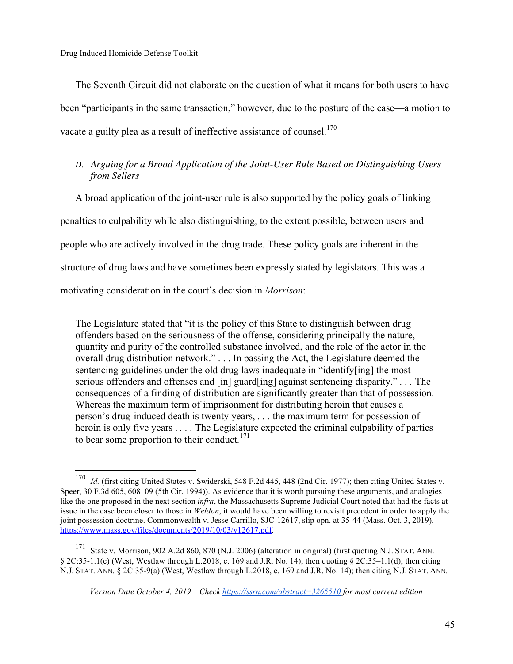The Seventh Circuit did not elaborate on the question of what it means for both users to have been "participants in the same transaction," however, due to the posture of the case—a motion to vacate a guilty plea as a result of ineffective assistance of counsel.<sup>170</sup>

## *D. Arguing for a Broad Application of the Joint-User Rule Based on Distinguishing Users from Sellers*

A broad application of the joint-user rule is also supported by the policy goals of linking penalties to culpability while also distinguishing, to the extent possible, between users and people who are actively involved in the drug trade. These policy goals are inherent in the structure of drug laws and have sometimes been expressly stated by legislators. This was a motivating consideration in the court's decision in *Morrison*:

The Legislature stated that "it is the policy of this State to distinguish between drug offenders based on the seriousness of the offense, considering principally the nature, quantity and purity of the controlled substance involved, and the role of the actor in the overall drug distribution network." . . . In passing the Act, the Legislature deemed the sentencing guidelines under the old drug laws inadequate in "identify[ing] the most serious offenders and offenses and [in] guard[ing] against sentencing disparity." *. . .* The consequences of a finding of distribution are significantly greater than that of possession. Whereas the maximum term of imprisonment for distributing heroin that causes a person's drug-induced death is twenty years, *. . .* the maximum term for possession of heroin is only five years . *. . .* The Legislature expected the criminal culpability of parties to bear some proportion to their conduct*.* 171

 <sup>170</sup> *Id.* (first citing United States v. Swiderski, 548 F.2d 445, 448 (2nd Cir. 1977); then citing United States v. Speer, 30 F.3d 605, 608–09 (5th Cir. 1994)). As evidence that it is worth pursuing these arguments, and analogies like the one proposed in the next section *infra*, the Massachusetts Supreme Judicial Court noted that had the facts at issue in the case been closer to those in *Weldon*, it would have been willing to revisit precedent in order to apply the joint possession doctrine. Commonwealth v. Jesse Carrillo, SJC-12617, slip opn. at 35-44 (Mass. Oct. 3, 2019), https://www.mass.gov/files/documents/2019/10/03/v12617.pdf.

<sup>171</sup> State v. Morrison, 902 A.2d 860, 870 (N.J. 2006) (alteration in original) (first quoting N.J. STAT. ANN.  $\S 2C:35-1.1(c)$  (West, Westlaw through L.2018, c. 169 and J.R. No. 14); then quoting  $\S 2C:35-1.1(d)$ ; then citing N.J. STAT. ANN. § 2C:35-9(a) (West, Westlaw through L.2018, c. 169 and J.R. No. 14); then citing N.J. STAT. ANN.

*Version Date October 4, 2019 – Check https://ssrn.com/abstract=3265510 for most current edition*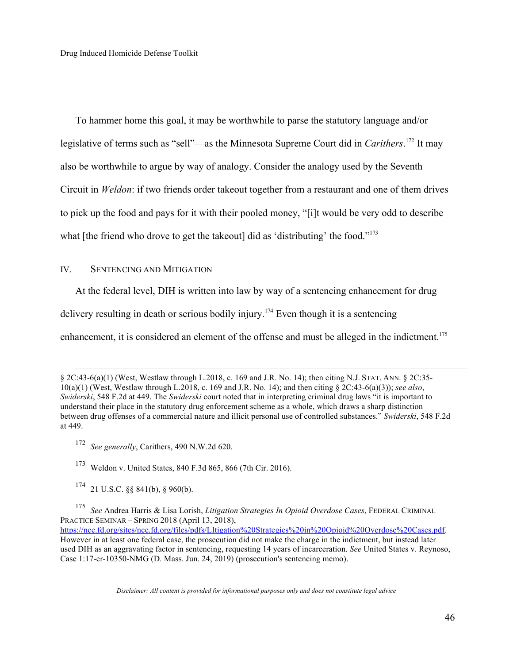To hammer home this goal, it may be worthwhile to parse the statutory language and/or legislative of terms such as "sell"—as the Minnesota Supreme Court did in *Carithers*. 172 It may also be worthwhile to argue by way of analogy. Consider the analogy used by the Seventh Circuit in *Weldon*: if two friends order takeout together from a restaurant and one of them drives to pick up the food and pays for it with their pooled money, "[i]t would be very odd to describe what [the friend who drove to get the takeout] did as 'distributing' the food."<sup>173</sup>

### IV. SENTENCING AND MITIGATION

 $\overline{a}$ 

At the federal level, DIH is written into law by way of a sentencing enhancement for drug

delivery resulting in death or serious bodily injury.<sup>174</sup> Even though it is a sentencing

enhancement, it is considered an element of the offense and must be alleged in the indictment.<sup>175</sup>

- <sup>172</sup> *See generally*, Carithers, 490 N.W.2d 620.
- <sup>173</sup> Weldon v. United States, 840 F.3d 865, 866 (7th Cir. 2016).
- $174$  21 U.S.C. §§ 841(b), § 960(b).

<sup>§</sup> 2C:43-6(a)(1) (West, Westlaw through L.2018, c. 169 and J.R. No. 14); then citing N.J. STAT. ANN. § 2C:35- 10(a)(1) (West, Westlaw through L.2018, c. 169 and J.R. No. 14); and then citing § 2C:43-6(a)(3)); *see also*, *Swiderski*, 548 F.2d at 449. The *Swiderski* court noted that in interpreting criminal drug laws "it is important to understand their place in the statutory drug enforcement scheme as a whole, which draws a sharp distinction between drug offenses of a commercial nature and illicit personal use of controlled substances." *Swiderski*, 548 F.2d at 449.

<sup>175</sup> *See* Andrea Harris & Lisa Lorish, *Litigation Strategies In Opioid Overdose Cases*, FEDERAL CRIMINAL PRACTICE SEMINAR – SPRING 2018 (April 13, 2018), https://nce.fd.org/sites/nce.fd.org/files/pdfs/LItigation%20Strategies%20in%20Opioid%20Overdose%20Cases.pdf. However in at least one federal case, the prosecution did not make the charge in the indictment, but instead later used DIH as an aggravating factor in sentencing, requesting 14 years of incarceration. *See* United States v. Reynoso, Case 1:17-cr-10350-NMG (D. Mass. Jun. 24, 2019) (prosecution's sentencing memo).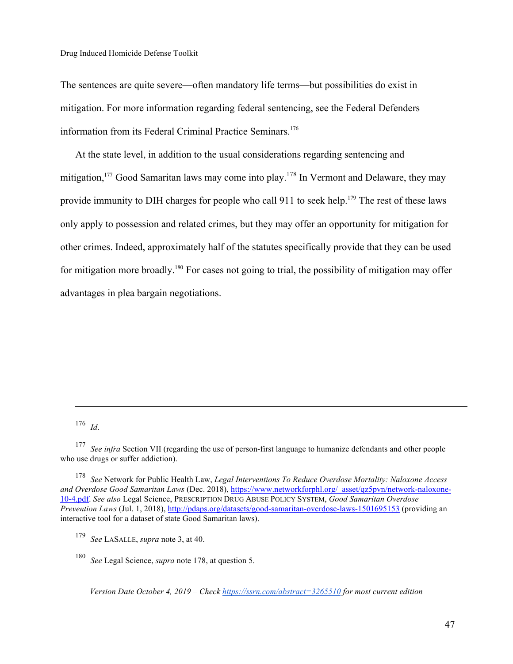The sentences are quite severe—often mandatory life terms—but possibilities do exist in mitigation. For more information regarding federal sentencing, see the Federal Defenders information from its Federal Criminal Practice Seminars.<sup>176</sup>

At the state level, in addition to the usual considerations regarding sentencing and mitigation,<sup>177</sup> Good Samaritan laws may come into play.<sup>178</sup> In Vermont and Delaware, they may provide immunity to DIH charges for people who call 911 to seek help.<sup>179</sup> The rest of these laws only apply to possession and related crimes, but they may offer an opportunity for mitigation for other crimes. Indeed, approximately half of the statutes specifically provide that they can be used for mitigation more broadly.<sup>180</sup> For cases not going to trial, the possibility of mitigation may offer advantages in plea bargain negotiations.

<sup>176</sup> *Id*.

 $\overline{a}$ 

<sup>177</sup> *See infra* Section VII (regarding the use of person-first language to humanize defendants and other people who use drugs or suffer addiction).

<sup>178</sup> *See* Network for Public Health Law, *Legal Interventions To Reduce Overdose Mortality: Naloxone Access and Overdose Good Samaritan Laws* (Dec. 2018), https://www.networkforphl.org/\_asset/qz5pvn/network-naloxone-10-4.pdf. *See also* Legal Science, PRESCRIPTION DRUG ABUSE POLICY SYSTEM, *Good Samaritan Overdose Prevention Laws* (Jul. 1, 2018), http://pdaps.org/datasets/good-samaritan-overdose-laws-1501695153 (providing an interactive tool for a dataset of state Good Samaritan laws).

<sup>179</sup> *See* LASALLE, *supra* note 3, at 40.

<sup>180</sup> *See* Legal Science, *supra* note 178, at question 5.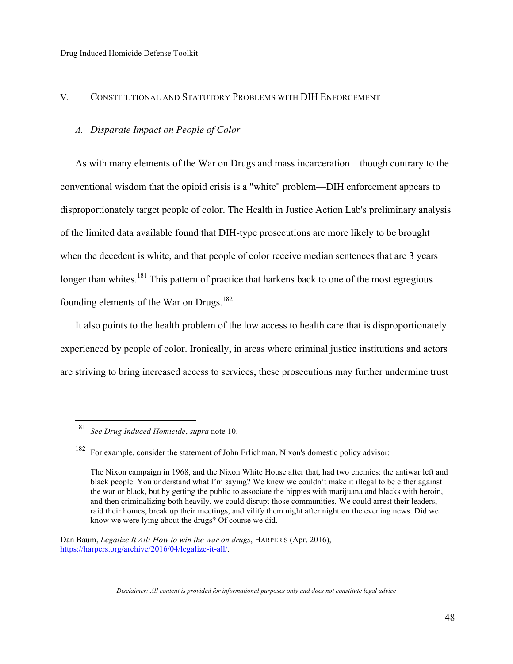### V. CONSTITUTIONAL AND STATUTORY PROBLEMS WITH DIH ENFORCEMENT

### *A. Disparate Impact on People of Color*

As with many elements of the War on Drugs and mass incarceration—though contrary to the conventional wisdom that the opioid crisis is a "white" problem—DIH enforcement appears to disproportionately target people of color. The Health in Justice Action Lab's preliminary analysis of the limited data available found that DIH-type prosecutions are more likely to be brought when the decedent is white, and that people of color receive median sentences that are 3 years longer than whites.<sup>181</sup> This pattern of practice that harkens back to one of the most egregious founding elements of the War on Drugs.<sup>182</sup>

It also points to the health problem of the low access to health care that is disproportionately experienced by people of color. Ironically, in areas where criminal justice institutions and actors are striving to bring increased access to services, these prosecutions may further undermine trust

 <sup>181</sup> *See Drug Induced Homicide*, *supra* note 10.

<sup>182</sup> For example, consider the statement of John Erlichman, Nixon's domestic policy advisor:

The Nixon campaign in 1968, and the Nixon White House after that, had two enemies: the antiwar left and black people. You understand what I'm saying? We knew we couldn't make it illegal to be either against the war or black, but by getting the public to associate the hippies with marijuana and blacks with heroin, and then criminalizing both heavily, we could disrupt those communities. We could arrest their leaders, raid their homes, break up their meetings, and vilify them night after night on the evening news. Did we know we were lying about the drugs? Of course we did.

Dan Baum, *Legalize It All: How to win the war on drugs*, HARPER'S (Apr. 2016), https://harpers.org/archive/2016/04/legalize-it-all/.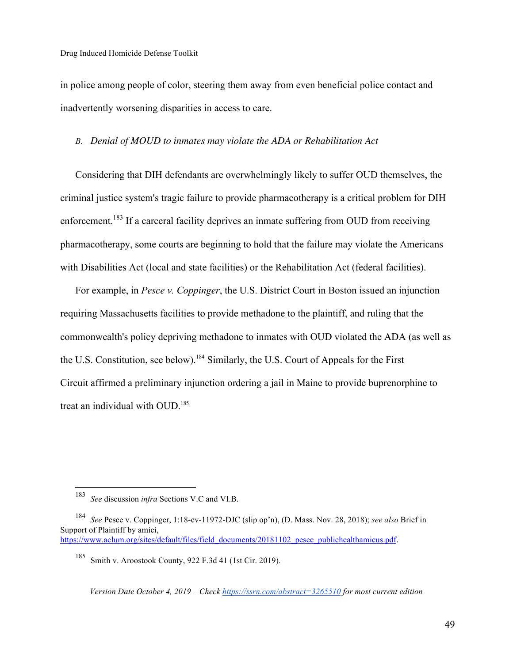in police among people of color, steering them away from even beneficial police contact and inadvertently worsening disparities in access to care.

### *B. Denial of MOUD to inmates may violate the ADA or Rehabilitation Act*

Considering that DIH defendants are overwhelmingly likely to suffer OUD themselves, the criminal justice system's tragic failure to provide pharmacotherapy is a critical problem for DIH enforcement.<sup>183</sup> If a carceral facility deprives an inmate suffering from OUD from receiving pharmacotherapy, some courts are beginning to hold that the failure may violate the Americans with Disabilities Act (local and state facilities) or the Rehabilitation Act (federal facilities).

For example, in *Pesce v. Coppinger*, the U.S. District Court in Boston issued an injunction requiring Massachusetts facilities to provide methadone to the plaintiff, and ruling that the commonwealth's policy depriving methadone to inmates with OUD violated the ADA (as well as the U.S. Constitution, see below).<sup>184</sup> Similarly, the U.S. Court of Appeals for the First Circuit affirmed a preliminary injunction ordering a jail in Maine to provide buprenorphine to treat an individual with OUD.<sup>185</sup>

 <sup>183</sup> *See* discussion *infra* Sections V.C and VI.B.

<sup>184</sup> *See* Pesce v. Coppinger, 1:18-cv-11972-DJC (slip op'n), (D. Mass. Nov. 28, 2018); *see also* Brief in Support of Plaintiff by amici, https://www.aclum.org/sites/default/files/field\_documents/20181102\_pesce\_publichealthamicus.pdf.

<sup>185</sup> Smith v. Aroostook County, 922 F.3d 41 (1st Cir. 2019).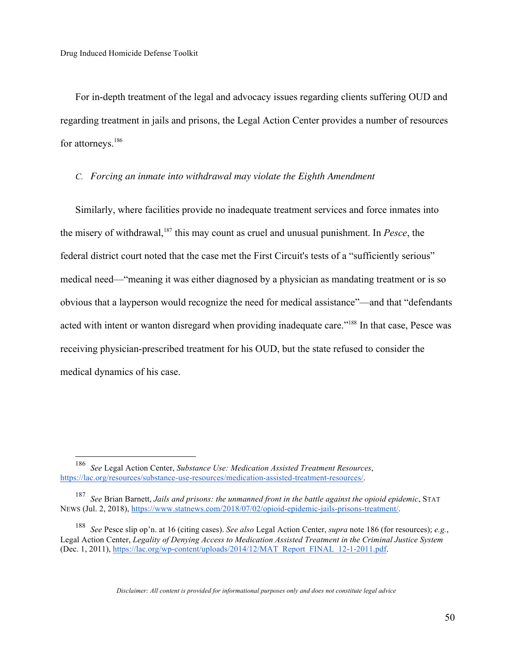For in-depth treatment of the legal and advocacy issues regarding clients suffering OUD and regarding treatment in jails and prisons, the Legal Action Center provides a number of resources for attorneys.<sup>186</sup>

### *C. Forcing an inmate into withdrawal may violate the Eighth Amendment*

Similarly, where facilities provide no inadequate treatment services and force inmates into the misery of withdrawal,187 this may count as cruel and unusual punishment. In *Pesce*, the federal district court noted that the case met the First Circuit's tests of a "sufficiently serious" medical need—"meaning it was either diagnosed by a physician as mandating treatment or is so obvious that a layperson would recognize the need for medical assistance"—and that "defendants acted with intent or wanton disregard when providing inadequate care."<sup>188</sup> In that case, Pesce was receiving physician-prescribed treatment for his OUD, but the state refused to consider the medical dynamics of his case.

 <sup>186</sup> *See* Legal Action Center, *Substance Use: Medication Assisted Treatment Resources*, https://lac.org/resources/substance-use-resources/medication-assisted-treatment-resources/.

<sup>187</sup> *See* Brian Barnett, *Jails and prisons: the unmanned front in the battle against the opioid epidemic*, STAT NEWS (Jul. 2, 2018), https://www.statnews.com/2018/07/02/opioid-epidemic-jails-prisons-treatment/.

<sup>188</sup> *See* Pesce slip op'n. at 16 (citing cases). *See also* Legal Action Center, *supra* note 186 (for resources); *e.g.*, Legal Action Center, *Legality of Denying Access to Medication Assisted Treatment in the Criminal Justice System* (Dec. 1, 2011), https://lac.org/wp-content/uploads/2014/12/MAT\_Report\_FINAL\_12-1-2011.pdf.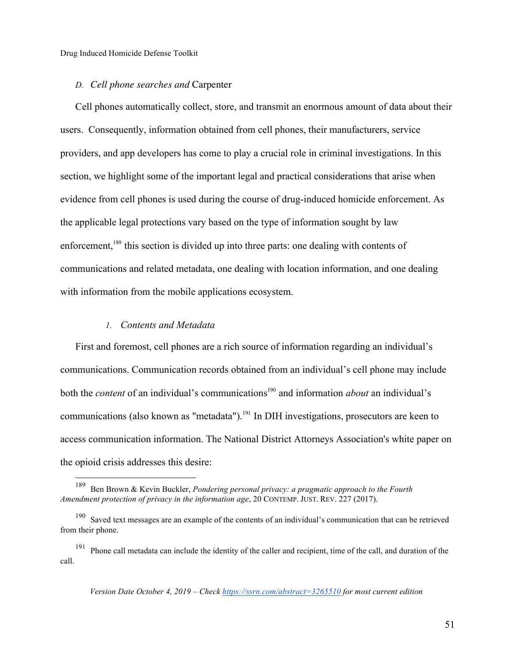### *D. Cell phone searches and* Carpenter

Cell phones automatically collect, store, and transmit an enormous amount of data about their users. Consequently, information obtained from cell phones, their manufacturers, service providers, and app developers has come to play a crucial role in criminal investigations. In this section, we highlight some of the important legal and practical considerations that arise when evidence from cell phones is used during the course of drug-induced homicide enforcement. As the applicable legal protections vary based on the type of information sought by law enforcement.<sup>189</sup> this section is divided up into three parts: one dealing with contents of communications and related metadata, one dealing with location information, and one dealing with information from the mobile applications ecosystem.

### *1. Contents and Metadata*

First and foremost, cell phones are a rich source of information regarding an individual's communications. Communication records obtained from an individual's cell phone may include both the *content* of an individual's communications<sup>190</sup> and information *about* an individual's communications (also known as "metadata").<sup>191</sup> In DIH investigations, prosecutors are keen to access communication information. The National District Attorneys Association's white paper on the opioid crisis addresses this desire:

 <sup>189</sup> Ben Brown & Kevin Buckler, *Pondering personal privacy: a pragmatic approach to the Fourth Amendment protection of privacy in the information age*, 20 CONTEMP. JUST. REV. 227 (2017).

<sup>&</sup>lt;sup>190</sup> Saved text messages are an example of the contents of an individual's communication that can be retrieved from their phone.

<sup>&</sup>lt;sup>191</sup> Phone call metadata can include the identity of the caller and recipient, time of the call, and duration of the call.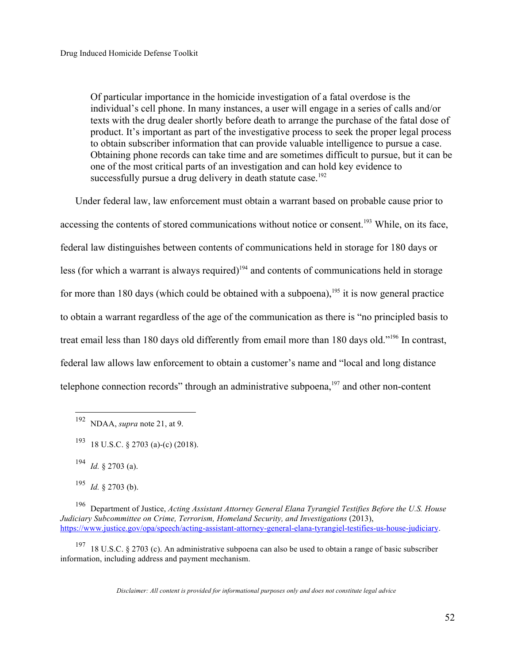Of particular importance in the homicide investigation of a fatal overdose is the individual's cell phone. In many instances, a user will engage in a series of calls and/or texts with the drug dealer shortly before death to arrange the purchase of the fatal dose of product. It's important as part of the investigative process to seek the proper legal process to obtain subscriber information that can provide valuable intelligence to pursue a case. Obtaining phone records can take time and are sometimes difficult to pursue, but it can be one of the most critical parts of an investigation and can hold key evidence to successfully pursue a drug delivery in death statute case.<sup>192</sup>

Under federal law, law enforcement must obtain a warrant based on probable cause prior to accessing the contents of stored communications without notice or consent.<sup>193</sup> While, on its face, federal law distinguishes between contents of communications held in storage for 180 days or less (for which a warrant is always required) $194$  and contents of communications held in storage for more than 180 days (which could be obtained with a subpoena), <sup>195</sup> it is now general practice to obtain a warrant regardless of the age of the communication as there is "no principled basis to treat email less than 180 days old differently from email more than 180 days old."196 In contrast, federal law allows law enforcement to obtain a customer's name and "local and long distance telephone connection records" through an administrative subpoena,<sup>197</sup> and other non-content

<sup>197</sup> 18 U.S.C. § 2703 (c). An administrative subpoena can also be used to obtain a range of basic subscriber information, including address and payment mechanism.

 <sup>192</sup> NDAA, *supra* note 21, at 9.

<sup>193</sup> 18 U.S.C. § 2703 (a)-(c) (2018).

<sup>194</sup> *Id.* § 2703 (a).

<sup>195</sup> *Id.* § 2703 (b).

<sup>196</sup> Department of Justice, *Acting Assistant Attorney General Elana Tyrangiel Testifies Before the U.S. House Judiciary Subcommittee on Crime, Terrorism, Homeland Security, and Investigations* (2013), https://www.justice.gov/opa/speech/acting-assistant-attorney-general-elana-tyrangiel-testifies-us-house-judiciary.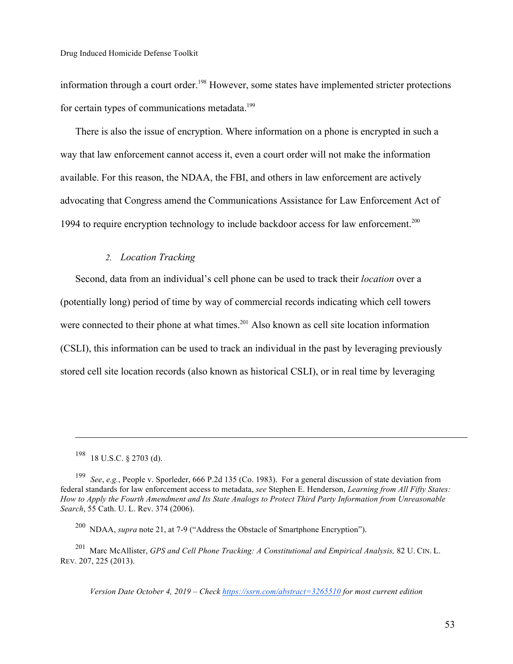information through a court order.198 However, some states have implemented stricter protections for certain types of communications metadata.<sup>199</sup>

There is also the issue of encryption. Where information on a phone is encrypted in such a way that law enforcement cannot access it, even a court order will not make the information available. For this reason, the NDAA, the FBI, and others in law enforcement are actively advocating that Congress amend the Communications Assistance for Law Enforcement Act of 1994 to require encryption technology to include backdoor access for law enforcement.<sup>200</sup>

## *2. Location Tracking*

Second, data from an individual's cell phone can be used to track their *location* over a (potentially long) period of time by way of commercial records indicating which cell towers were connected to their phone at what times.<sup>201</sup> Also known as cell site location information (CSLI), this information can be used to track an individual in the past by leveraging previously stored cell site location records (also known as historical CSLI), or in real time by leveraging

 $\overline{a}$ 

<sup>198</sup> 18 U.S.C. § 2703 (d).

<sup>199</sup> *See*, *e.g.*, People v. Sporleder, 666 P.2d 135 (Co. 1983). For a general discussion of state deviation from federal standards for law enforcement access to metadata, *see* Stephen E. Henderson, *Learning from All Fifty States: How to Apply the Fourth Amendment and Its State Analogs to Protect Third Party Information from Unreasonable Search*, 55 Cath. U. L. Rev. 374 (2006).

<sup>200</sup> NDAA, *supra* note 21, at 7-9 ("Address the Obstacle of Smartphone Encryption").

<sup>201</sup> Marc McAllister, *GPS and Cell Phone Tracking: A Constitutional and Empirical Analysis,* 82 U. CIN. L. REV. 207, 225 (2013).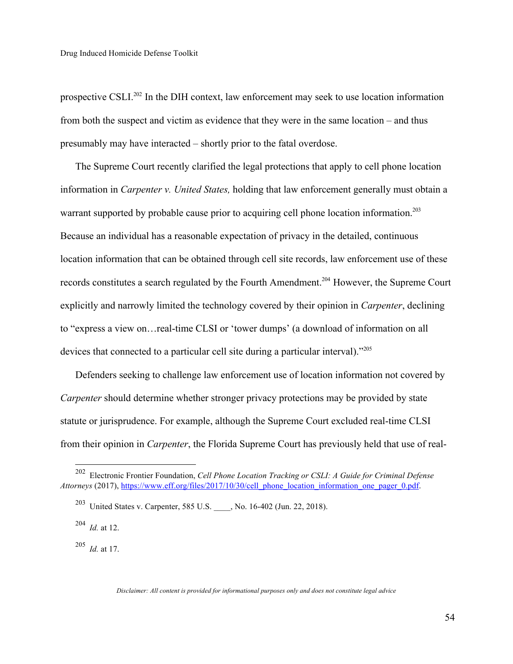prospective CSLI.202 In the DIH context, law enforcement may seek to use location information from both the suspect and victim as evidence that they were in the same location – and thus presumably may have interacted – shortly prior to the fatal overdose.

The Supreme Court recently clarified the legal protections that apply to cell phone location information in *Carpenter v. United States,* holding that law enforcement generally must obtain a warrant supported by probable cause prior to acquiring cell phone location information.<sup>203</sup> Because an individual has a reasonable expectation of privacy in the detailed, continuous location information that can be obtained through cell site records, law enforcement use of these records constitutes a search regulated by the Fourth Amendment.<sup>204</sup> However, the Supreme Court explicitly and narrowly limited the technology covered by their opinion in *Carpenter*, declining to "express a view on…real-time CLSI or 'tower dumps' (a download of information on all devices that connected to a particular cell site during a particular interval)."205

Defenders seeking to challenge law enforcement use of location information not covered by *Carpenter* should determine whether stronger privacy protections may be provided by state statute or jurisprudence. For example, although the Supreme Court excluded real-time CLSI from their opinion in *Carpenter*, the Florida Supreme Court has previously held that use of real-

205 *Id.* at 17.

 <sup>202</sup> Electronic Frontier Foundation, *Cell Phone Location Tracking or CSLI: A Guide for Criminal Defense Attorneys* (2017), https://www.eff.org/files/2017/10/30/cell\_phone\_location\_information\_one\_pager\_0.pdf.

<sup>&</sup>lt;sup>203</sup> United States v. Carpenter, 585 U.S. , No. 16-402 (Jun. 22, 2018).

<sup>204</sup> *Id.* at 12.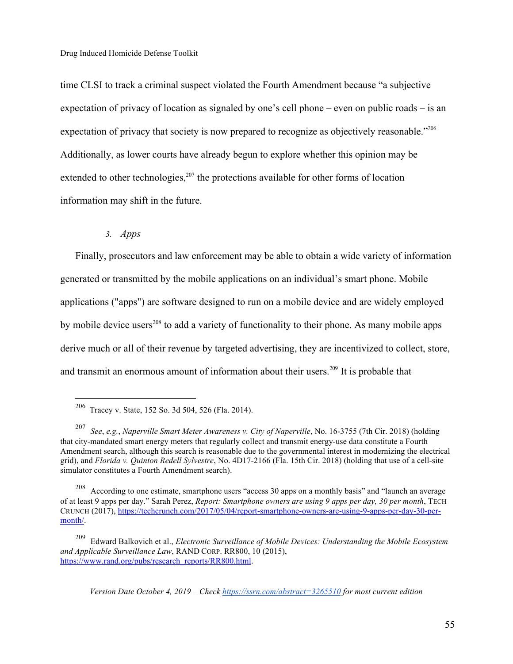time CLSI to track a criminal suspect violated the Fourth Amendment because "a subjective expectation of privacy of location as signaled by one's cell phone – even on public roads – is an expectation of privacy that society is now prepared to recognize as objectively reasonable."<sup>206</sup> Additionally, as lower courts have already begun to explore whether this opinion may be extended to other technologies, $207$  the protections available for other forms of location information may shift in the future.

*3. Apps*

Finally, prosecutors and law enforcement may be able to obtain a wide variety of information generated or transmitted by the mobile applications on an individual's smart phone. Mobile applications ("apps") are software designed to run on a mobile device and are widely employed by mobile device users<sup>208</sup> to add a variety of functionality to their phone. As many mobile apps derive much or all of their revenue by targeted advertising, they are incentivized to collect, store, and transmit an enormous amount of information about their users.<sup>209</sup> It is probable that

 <sup>206</sup> Tracey v. State, 152 So. 3d 504, 526 (Fla. 2014).

<sup>207</sup> *See*, *e.g.*, *Naperville Smart Meter Awareness v. City of Naperville*, No. 16-3755 (7th Cir. 2018) (holding that city-mandated smart energy meters that regularly collect and transmit energy-use data constitute a Fourth Amendment search, although this search is reasonable due to the governmental interest in modernizing the electrical grid), and *Florida v. Quinton Redell Sylvestre*, No. 4D17-2166 (Fla. 15th Cir. 2018) (holding that use of a cell-site simulator constitutes a Fourth Amendment search).

<sup>&</sup>lt;sup>208</sup> According to one estimate, smartphone users "access 30 apps on a monthly basis" and "launch an average of at least 9 apps per day." Sarah Perez, *Report: Smartphone owners are using 9 apps per day, 30 per month*, TECH CRUNCH (2017), https://techcrunch.com/2017/05/04/report-smartphone-owners-are-using-9-apps-per-day-30-permonth/.

<sup>209</sup> Edward Balkovich et al., *Electronic Surveillance of Mobile Devices: Understanding the Mobile Ecosystem and Applicable Surveillance Law*, RAND CORP. RR800, 10 (2015), https://www.rand.org/pubs/research\_reports/RR800.html.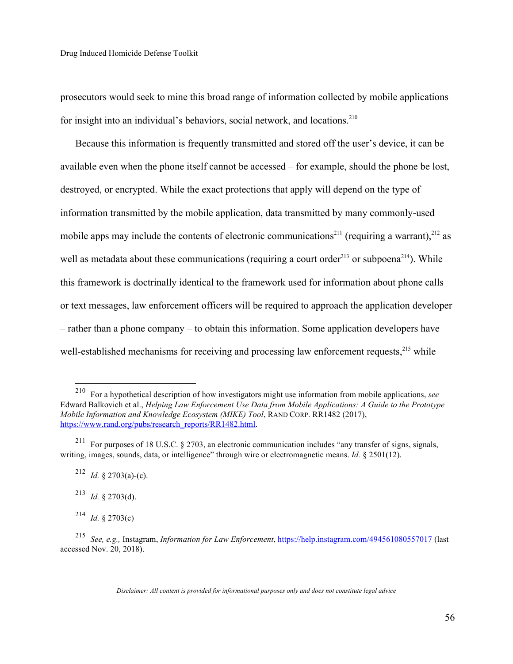prosecutors would seek to mine this broad range of information collected by mobile applications for insight into an individual's behaviors, social network, and locations.<sup>210</sup>

Because this information is frequently transmitted and stored off the user's device, it can be available even when the phone itself cannot be accessed – for example, should the phone be lost, destroyed, or encrypted. While the exact protections that apply will depend on the type of information transmitted by the mobile application, data transmitted by many commonly-used mobile apps may include the contents of electronic communications<sup>211</sup> (requiring a warrant), <sup>212</sup> as well as metadata about these communications (requiring a court order<sup>213</sup> or subpoena<sup>214</sup>). While this framework is doctrinally identical to the framework used for information about phone calls or text messages, law enforcement officers will be required to approach the application developer – rather than a phone company – to obtain this information. Some application developers have well-established mechanisms for receiving and processing law enforcement requests.<sup>215</sup> while

 <sup>210</sup> For a hypothetical description of how investigators might use information from mobile applications, *see* Edward Balkovich et al., *Helping Law Enforcement Use Data from Mobile Applications: A Guide to the Prototype Mobile Information and Knowledge Ecosystem (MIKE) Tool*, RAND CORP. RR1482 (2017), https://www.rand.org/pubs/research\_reports/RR1482.html.

<sup>211</sup> For purposes of 18 U.S.C. § 2703, an electronic communication includes "any transfer of signs, signals, writing, images, sounds, data, or intelligence" through wire or electromagnetic means. *Id.* § 2501(12).

<sup>&</sup>lt;sup>212</sup> *Id.* § 2703(a)-(c).

<sup>213</sup> *Id.* § 2703(d).

 $^{214}$  *Id.* § 2703(c)

<sup>215</sup> *See, e.g.,* Instagram, *Information for Law Enforcement*, https://help.instagram.com/494561080557017 (last accessed Nov. 20, 2018).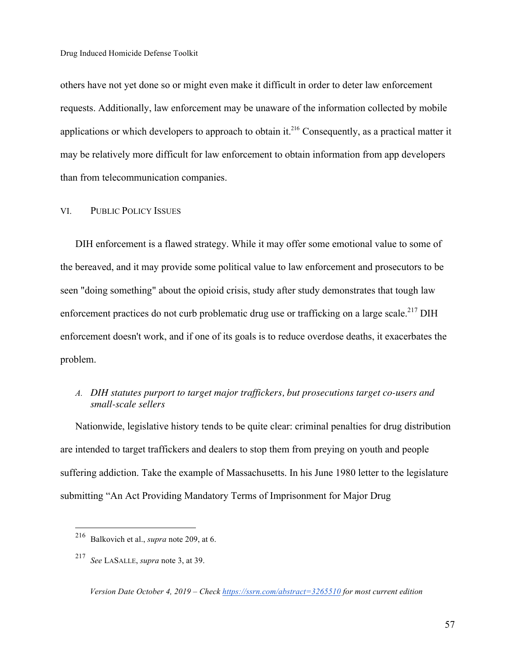others have not yet done so or might even make it difficult in order to deter law enforcement requests. Additionally, law enforcement may be unaware of the information collected by mobile applications or which developers to approach to obtain it.<sup>216</sup> Consequently, as a practical matter it may be relatively more difficult for law enforcement to obtain information from app developers than from telecommunication companies.

VI. PUBLIC POLICY ISSUES

DIH enforcement is a flawed strategy. While it may offer some emotional value to some of the bereaved, and it may provide some political value to law enforcement and prosecutors to be seen "doing something" about the opioid crisis, study after study demonstrates that tough law enforcement practices do not curb problematic drug use or trafficking on a large scale.<sup>217</sup> DIH enforcement doesn't work, and if one of its goals is to reduce overdose deaths, it exacerbates the problem.

## *A. DIH statutes purport to target major traffickers, but prosecutions target co-users and small-scale sellers*

Nationwide, legislative history tends to be quite clear: criminal penalties for drug distribution are intended to target traffickers and dealers to stop them from preying on youth and people suffering addiction. Take the example of Massachusetts. In his June 1980 letter to the legislature submitting "An Act Providing Mandatory Terms of Imprisonment for Major Drug

 <sup>216</sup> Balkovich et al., *supra* note 209, at 6.

<sup>217</sup> *See* LASALLE, *supra* note 3, at 39.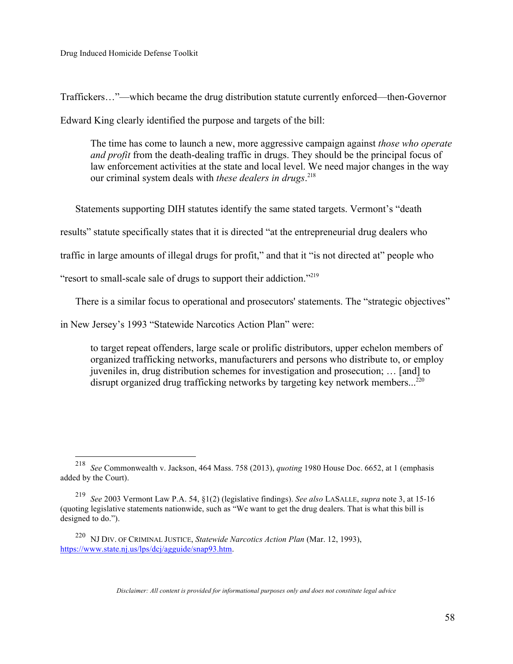Traffickers…"—which became the drug distribution statute currently enforced—then-Governor Edward King clearly identified the purpose and targets of the bill:

The time has come to launch a new, more aggressive campaign against *those who operate and profit* from the death-dealing traffic in drugs. They should be the principal focus of law enforcement activities at the state and local level. We need major changes in the way our criminal system deals with *these dealers in drugs*. 218

Statements supporting DIH statutes identify the same stated targets. Vermont's "death

results" statute specifically states that it is directed "at the entrepreneurial drug dealers who

traffic in large amounts of illegal drugs for profit," and that it "is not directed at" people who

"resort to small-scale sale of drugs to support their addiction."219

There is a similar focus to operational and prosecutors' statements. The "strategic objectives"

in New Jersey's 1993 "Statewide Narcotics Action Plan" were:

to target repeat offenders, large scale or prolific distributors, upper echelon members of organized trafficking networks, manufacturers and persons who distribute to, or employ juveniles in, drug distribution schemes for investigation and prosecution; … [and] to disrupt organized drug trafficking networks by targeting key network members...<sup>220</sup>

 <sup>218</sup> *See* Commonwealth v. Jackson, 464 Mass. 758 (2013), *quoting* 1980 House Doc. 6652, at 1 (emphasis added by the Court).

<sup>219</sup> *See* 2003 Vermont Law P.A. 54, §1(2) (legislative findings). *See also* LASALLE, *supra* note 3, at 15-16 (quoting legislative statements nationwide, such as "We want to get the drug dealers. That is what this bill is designed to do.").

<sup>220</sup> NJ DIV. OF CRIMINAL JUSTICE, *Statewide Narcotics Action Plan* (Mar. 12, 1993), https://www.state.nj.us/lps/dcj/agguide/snap93.htm.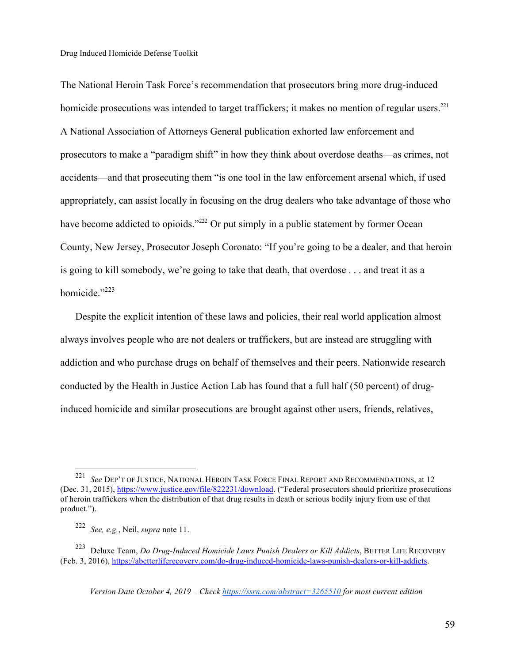The National Heroin Task Force's recommendation that prosecutors bring more drug-induced homicide prosecutions was intended to target traffickers; it makes no mention of regular users.<sup>221</sup> A National Association of Attorneys General publication exhorted law enforcement and prosecutors to make a "paradigm shift" in how they think about overdose deaths—as crimes, not accidents—and that prosecuting them "is one tool in the law enforcement arsenal which, if used appropriately, can assist locally in focusing on the drug dealers who take advantage of those who have become addicted to opioids."<sup>222</sup> Or put simply in a public statement by former Ocean County, New Jersey, Prosecutor Joseph Coronato: "If you're going to be a dealer, and that heroin is going to kill somebody, we're going to take that death, that overdose . . . and treat it as a homicide."<sup>223</sup>

Despite the explicit intention of these laws and policies, their real world application almost always involves people who are not dealers or traffickers, but are instead are struggling with addiction and who purchase drugs on behalf of themselves and their peers. Nationwide research conducted by the Health in Justice Action Lab has found that a full half (50 percent) of druginduced homicide and similar prosecutions are brought against other users, friends, relatives,

 <sup>221</sup> *See* DEP'T OF JUSTICE, NATIONAL HEROIN TASK FORCE FINAL REPORT AND RECOMMENDATIONS, at 12 (Dec. 31, 2015), https://www.justice.gov/file/822231/download. ("Federal prosecutors should prioritize prosecutions of heroin traffickers when the distribution of that drug results in death or serious bodily injury from use of that product.").

<sup>222</sup> *See, e.g.*, Neil, *supra* note 11.

<sup>223</sup> Deluxe Team, *Do Drug-Induced Homicide Laws Punish Dealers or Kill Addicts*, BETTER LIFE RECOVERY (Feb. 3, 2016), https://abetterliferecovery.com/do-drug-induced-homicide-laws-punish-dealers-or-kill-addicts.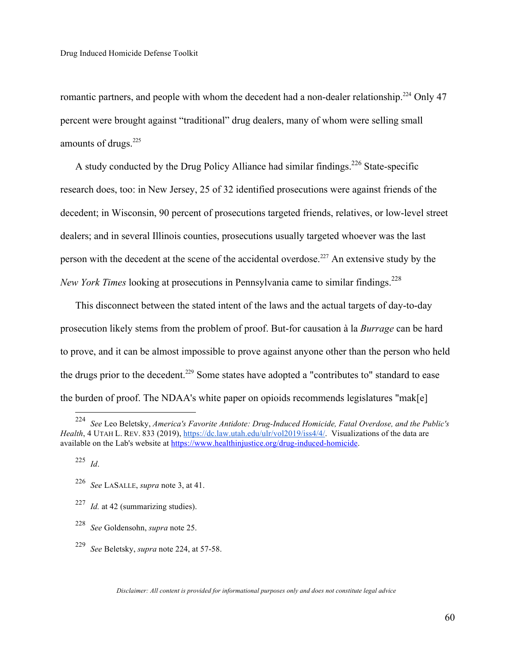romantic partners, and people with whom the decedent had a non-dealer relationship.<sup>224</sup> Only 47 percent were brought against "traditional" drug dealers, many of whom were selling small amounts of drugs.<sup>225</sup>

A study conducted by the Drug Policy Alliance had similar findings.<sup>226</sup> State-specific research does, too: in New Jersey, 25 of 32 identified prosecutions were against friends of the decedent; in Wisconsin, 90 percent of prosecutions targeted friends, relatives, or low-level street dealers; and in several Illinois counties, prosecutions usually targeted whoever was the last person with the decedent at the scene of the accidental overdose.<sup>227</sup> An extensive study by the *New York Times* looking at prosecutions in Pennsylvania came to similar findings.<sup>228</sup>

This disconnect between the stated intent of the laws and the actual targets of day-to-day prosecution likely stems from the problem of proof. But-for causation à la *Burrage* can be hard to prove, and it can be almost impossible to prove against anyone other than the person who held the drugs prior to the decedent.<sup>229</sup> Some states have adopted a "contributes to" standard to ease the burden of proof. The NDAA's white paper on opioids recommends legislatures "mak[e]

 <sup>224</sup> *See* Leo Beletsky, *America's Favorite Antidote: Drug-Induced Homicide, Fatal Overdose, and the Public's Health*, 4 UTAH L. REV. 833 (2019), https://dc.law.utah.edu/ulr/vol2019/iss4/4/. Visualizations of the data are available on the Lab's website at https://www.healthinjustice.org/drug-induced-homicide.

<sup>225</sup> *Id*.

<sup>226</sup> *See* LASALLE, *supra* note 3, at 41.

<sup>227</sup> *Id.* at 42 (summarizing studies).

<sup>228</sup> *See* Goldensohn, *supra* note 25.

<sup>229</sup> *See* Beletsky, *supra* note 224, at 57-58.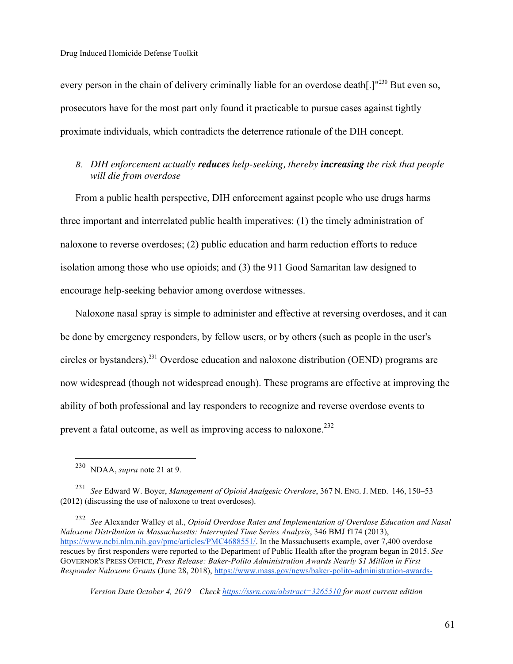every person in the chain of delivery criminally liable for an overdose death[.]"<sup>230</sup> But even so, prosecutors have for the most part only found it practicable to pursue cases against tightly proximate individuals, which contradicts the deterrence rationale of the DIH concept.

# *B. DIH enforcement actually reduces help-seeking, thereby increasing the risk that people will die from overdose*

From a public health perspective, DIH enforcement against people who use drugs harms three important and interrelated public health imperatives: (1) the timely administration of naloxone to reverse overdoses; (2) public education and harm reduction efforts to reduce isolation among those who use opioids; and (3) the 911 Good Samaritan law designed to encourage help-seeking behavior among overdose witnesses.

Naloxone nasal spray is simple to administer and effective at reversing overdoses, and it can be done by emergency responders, by fellow users, or by others (such as people in the user's circles or bystanders).231 Overdose education and naloxone distribution (OEND) programs are now widespread (though not widespread enough). These programs are effective at improving the ability of both professional and lay responders to recognize and reverse overdose events to prevent a fatal outcome, as well as improving access to naloxone.<sup>232</sup>

 <sup>230</sup> NDAA, *supra* note 21 at 9.

<sup>231</sup> *See* Edward W. Boyer, *Management of Opioid Analgesic Overdose*, 367 N. ENG. J. MED. 146, 150–53 (2012) (discussing the use of naloxone to treat overdoses).

<sup>232</sup> *See* Alexander Walley et al., *Opioid Overdose Rates and Implementation of Overdose Education and Nasal Naloxone Distribution in Massachusetts: Interrupted Time Series Analysis*, 346 BMJ f174 (2013), https://www.ncbi.nlm.nih.gov/pmc/articles/PMC4688551/. In the Massachusetts example, over 7,400 overdose rescues by first responders were reported to the Department of Public Health after the program began in 2015. *See* GOVERNOR'S PRESS OFFICE, *Press Release: Baker-Polito Administration Awards Nearly \$1 Million in First Responder Naloxone Grants* (June 28, 2018), https://www.mass.gov/news/baker-polito-administration-awards-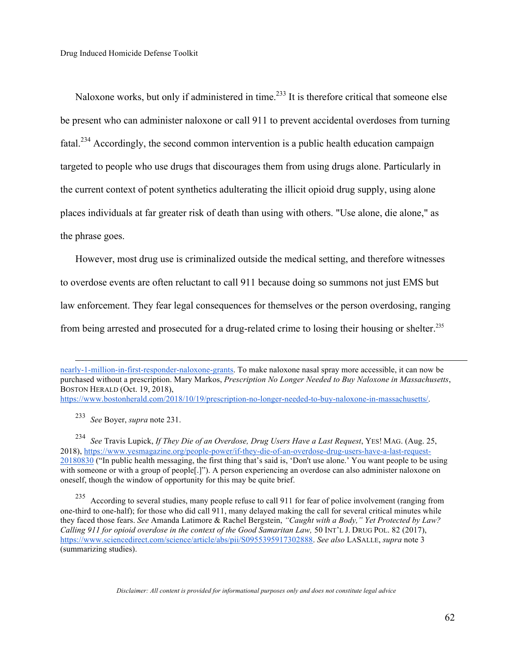Naloxone works, but only if administered in time.<sup>233</sup> It is therefore critical that someone else be present who can administer naloxone or call 911 to prevent accidental overdoses from turning fatal.<sup>234</sup> Accordingly, the second common intervention is a public health education campaign targeted to people who use drugs that discourages them from using drugs alone. Particularly in the current context of potent synthetics adulterating the illicit opioid drug supply, using alone places individuals at far greater risk of death than using with others. "Use alone, die alone," as the phrase goes.

However, most drug use is criminalized outside the medical setting, and therefore witnesses to overdose events are often reluctant to call 911 because doing so summons not just EMS but law enforcement. They fear legal consequences for themselves or the person overdosing, ranging from being arrested and prosecuted for a drug-related crime to losing their housing or shelter.235

 nearly-1-million-in-first-responder-naloxone-grants. To make naloxone nasal spray more accessible, it can now be purchased without a prescription. Mary Markos, *Prescription No Longer Needed to Buy Naloxone in Massachusetts*, BOSTON HERALD (Oct. 19, 2018),

https://www.bostonherald.com/2018/10/19/prescription-no-longer-needed-to-buy-naloxone-in-massachusetts/.

<sup>233</sup> *See* Boyer, *supra* note 231.

<sup>234</sup> See Travis Lupick, *If They Die of an Overdose, Drug Users Have a Last Request*, YES! MAG. (Aug. 25, 2018), https://www.yesmagazine.org/people-power/if-they-die-of-an-overdose-drug-users-have-a-last-request-20180830 ("In public health messaging, the first thing that's said is, 'Don't use alone.' You want people to be using with someone or with a group of people<sup>[.]"</sup>). A person experiencing an overdose can also administer naloxone on oneself, though the window of opportunity for this may be quite brief.

<sup>235</sup> According to several studies, many people refuse to call 911 for fear of police involvement (ranging from one-third to one-half); for those who did call 911, many delayed making the call for several critical minutes while they faced those fears. *See* Amanda Latimore & Rachel Bergstein, *"Caught with a Body," Yet Protected by Law? Calling 911 for opioid overdose in the context of the Good Samaritan Law, 50 INT'L J. DRUG POL. 82 (2017),* https://www.sciencedirect.com/science/article/abs/pii/S0955395917302888. *See also* LASALLE, *supra* note 3 (summarizing studies).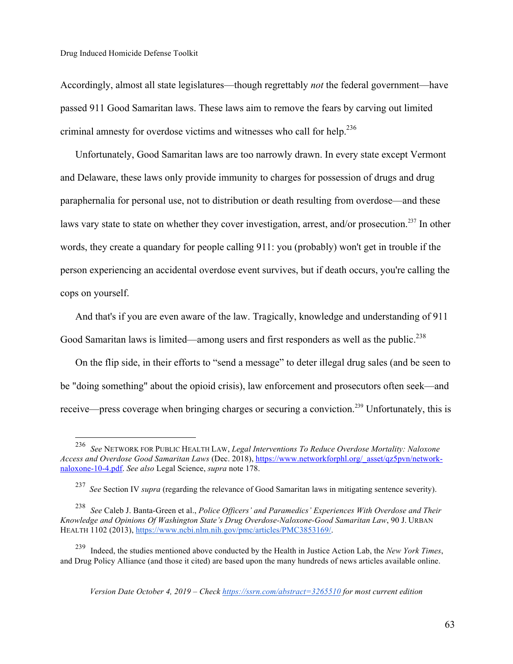Accordingly, almost all state legislatures—though regrettably *not* the federal government—have passed 911 Good Samaritan laws. These laws aim to remove the fears by carving out limited criminal amnesty for overdose victims and witnesses who call for help.<sup>236</sup>

Unfortunately, Good Samaritan laws are too narrowly drawn. In every state except Vermont and Delaware, these laws only provide immunity to charges for possession of drugs and drug paraphernalia for personal use, not to distribution or death resulting from overdose—and these laws vary state to state on whether they cover investigation, arrest, and/or prosecution.<sup>237</sup> In other words, they create a quandary for people calling 911: you (probably) won't get in trouble if the person experiencing an accidental overdose event survives, but if death occurs, you're calling the cops on yourself.

And that's if you are even aware of the law. Tragically, knowledge and understanding of 911 Good Samaritan laws is limited—among users and first responders as well as the public.<sup>238</sup>

On the flip side, in their efforts to "send a message" to deter illegal drug sales (and be seen to be "doing something" about the opioid crisis), law enforcement and prosecutors often seek—and receive—press coverage when bringing charges or securing a conviction.<sup>239</sup> Unfortunately, this is

 <sup>236</sup> *See* NETWORK FOR PUBLIC HEALTH LAW, *Legal Interventions To Reduce Overdose Mortality: Naloxone Access and Overdose Good Samaritan Laws* (Dec. 2018), https://www.networkforphl.org/\_asset/qz5pvn/networknaloxone-10-4.pdf. *See also* Legal Science, *supra* note 178.

<sup>237</sup> *See* Section IV *supra* (regarding the relevance of Good Samaritan laws in mitigating sentence severity).

<sup>238</sup> *See* Caleb J. Banta-Green et al., *Police Officers' and Paramedics' Experiences With Overdose and Their Knowledge and Opinions Of Washington State's Drug Overdose-Naloxone-Good Samaritan Law*, 90 J. URBAN HEALTH 1102 (2013), https://www.ncbi.nlm.nih.gov/pmc/articles/PMC3853169/.

<sup>239</sup> Indeed, the studies mentioned above conducted by the Health in Justice Action Lab, the *New York Times*, and Drug Policy Alliance (and those it cited) are based upon the many hundreds of news articles available online.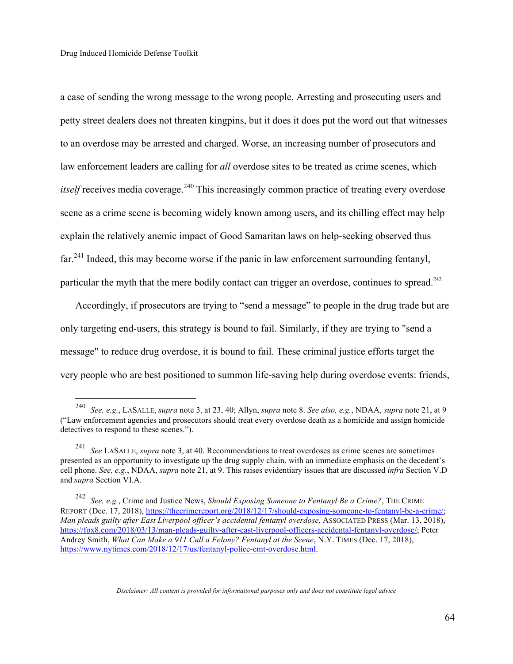a case of sending the wrong message to the wrong people. Arresting and prosecuting users and petty street dealers does not threaten kingpins, but it does it does put the word out that witnesses to an overdose may be arrested and charged. Worse, an increasing number of prosecutors and law enforcement leaders are calling for *all* overdose sites to be treated as crime scenes, which *itself* receives media coverage.<sup>240</sup> This increasingly common practice of treating every overdose scene as a crime scene is becoming widely known among users, and its chilling effect may help explain the relatively anemic impact of Good Samaritan laws on help-seeking observed thus far.<sup>241</sup> Indeed, this may become worse if the panic in law enforcement surrounding fentanyl, particular the myth that the mere bodily contact can trigger an overdose, continues to spread.<sup>242</sup>

Accordingly, if prosecutors are trying to "send a message" to people in the drug trade but are only targeting end-users, this strategy is bound to fail. Similarly, if they are trying to "send a message" to reduce drug overdose, it is bound to fail. These criminal justice efforts target the very people who are best positioned to summon life-saving help during overdose events: friends,

 <sup>240</sup> *See, e.g.*, LASALLE, *supra* note 3, at 23, 40; Allyn, *supra* note 8. *See also, e.g.*, NDAA, *supra* note 21, at 9 ("Law enforcement agencies and prosecutors should treat every overdose death as a homicide and assign homicide detectives to respond to these scenes.").

<sup>241</sup> *See* LASALLE, *supra* note 3, at 40. Recommendations to treat overdoses as crime scenes are sometimes presented as an opportunity to investigate up the drug supply chain, with an immediate emphasis on the decedent's cell phone. *See, e.g.*, NDAA, *supra* note 21, at 9. This raises evidentiary issues that are discussed *infra* Section V.D and *supra* Section VI.A.

<sup>242</sup> *See, e.g.*, Crime and Justice News, *Should Exposing Someone to Fentanyl Be a Crime?*, THE CRIME REPORT (Dec. 17, 2018), https://thecrimereport.org/2018/12/17/should-exposing-someone-to-fentanyl-be-a-crime/; *Man pleads guilty after East Liverpool officer's accidental fentanyl overdose*, ASSOCIATED PRESS (Mar. 13, 2018), https://fox8.com/2018/03/13/man-pleads-guilty-after-east-liverpool-officers-accidental-fentanyl-overdose/; Peter Andrey Smith, *What Can Make a 911 Call a Felony? Fentanyl at the Scene*, N.Y. TIMES (Dec. 17, 2018), https://www.nytimes.com/2018/12/17/us/fentanyl-police-emt-overdose.html.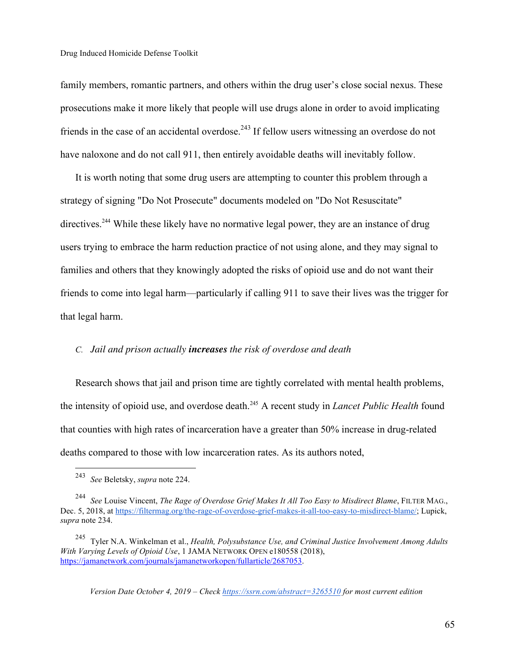family members, romantic partners, and others within the drug user's close social nexus. These prosecutions make it more likely that people will use drugs alone in order to avoid implicating friends in the case of an accidental overdose.<sup>243</sup> If fellow users witnessing an overdose do not have naloxone and do not call 911, then entirely avoidable deaths will inevitably follow.

It is worth noting that some drug users are attempting to counter this problem through a strategy of signing "Do Not Prosecute" documents modeled on "Do Not Resuscitate" directives.<sup>244</sup> While these likely have no normative legal power, they are an instance of drug users trying to embrace the harm reduction practice of not using alone, and they may signal to families and others that they knowingly adopted the risks of opioid use and do not want their friends to come into legal harm—particularly if calling 911 to save their lives was the trigger for that legal harm.

#### *C. Jail and prison actually increases the risk of overdose and death*

Research shows that jail and prison time are tightly correlated with mental health problems, the intensity of opioid use, and overdose death.245 A recent study in *Lancet Public Health* found that counties with high rates of incarceration have a greater than 50% increase in drug-related deaths compared to those with low incarceration rates. As its authors noted,

 <sup>243</sup> *See* Beletsky, *supra* note 224.

<sup>244</sup> *See* Louise Vincent, *The Rage of Overdose Grief Makes It All Too Easy to Misdirect Blame*, FILTER MAG., Dec. 5, 2018, at https://filtermag.org/the-rage-of-overdose-grief-makes-it-all-too-easy-to-misdirect-blame/; Lupick, *supra* note 234.

<sup>245</sup> Tyler N.A. Winkelman et al., *Health, Polysubstance Use, and Criminal Justice Involvement Among Adults With Varying Levels of Opioid Use*, 1 JAMA NETWORK OPEN e180558 (2018), https://jamanetwork.com/journals/jamanetworkopen/fullarticle/2687053.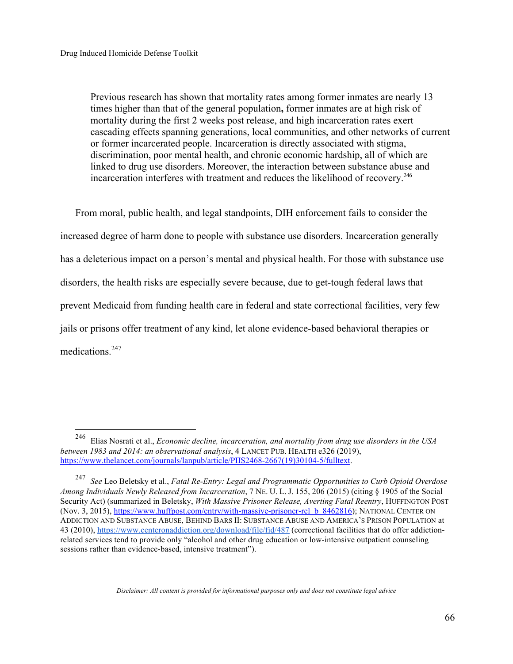Previous research has shown that mortality rates among former inmates are nearly 13 times higher than that of the general population**,** former inmates are at high risk of mortality during the first 2 weeks post release, and high incarceration rates exert cascading effects spanning generations, local communities, and other networks of current or former incarcerated people. Incarceration is directly associated with stigma, discrimination, poor mental health, and chronic economic hardship, all of which are linked to drug use disorders. Moreover, the interaction between substance abuse and incarceration interferes with treatment and reduces the likelihood of recovery.246

From moral, public health, and legal standpoints, DIH enforcement fails to consider the increased degree of harm done to people with substance use disorders. Incarceration generally has a deleterious impact on a person's mental and physical health. For those with substance use disorders, the health risks are especially severe because, due to get-tough federal laws that prevent Medicaid from funding health care in federal and state correctional facilities, very few jails or prisons offer treatment of any kind, let alone evidence-based behavioral therapies or medications<sup>247</sup>

 <sup>246</sup> Elias Nosrati et al., *Economic decline, incarceration, and mortality from drug use disorders in the USA between 1983 and 2014: an observational analysis*, 4 LANCET PUB. HEALTH e326 (2019), https://www.thelancet.com/journals/lanpub/article/PIIS2468-2667(19)30104-5/fulltext.

<sup>247</sup> *See* Leo Beletsky et al., *Fatal Re-Entry: Legal and Programmatic Opportunities to Curb Opioid Overdose Among Individuals Newly Released from Incarceration*, 7 NE. U. L. J. 155, 206 (2015) (citing § 1905 of the Social Security Act) (summarized in Beletsky, *With Massive Prisoner Release, Averting Fatal Reentry*, HUFFINGTON POST (Nov. 3, 2015), https://www.huffpost.com/entry/with-massive-prisoner-rel\_b\_8462816); NATIONAL CENTER ON ADDICTION AND SUBSTANCE ABUSE, BEHIND BARS II: SUBSTANCE ABUSE AND AMERICA'S PRISON POPULATION at 43 (2010), https://www.centeronaddiction.org/download/file/fid/487 (correctional facilities that do offer addictionrelated services tend to provide only "alcohol and other drug education or low-intensive outpatient counseling sessions rather than evidence-based, intensive treatment").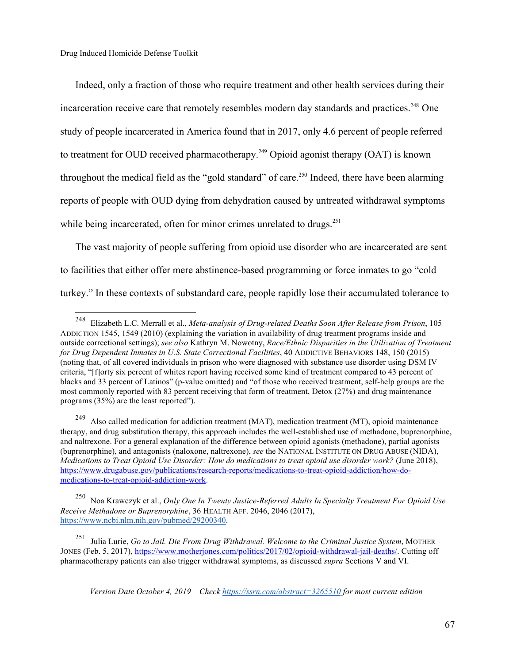Indeed, only a fraction of those who require treatment and other health services during their incarceration receive care that remotely resembles modern day standards and practices.<sup>248</sup> One study of people incarcerated in America found that in 2017, only 4.6 percent of people referred to treatment for OUD received pharmacotherapy.<sup>249</sup> Opioid agonist therapy (OAT) is known throughout the medical field as the "gold standard" of care.<sup>250</sup> Indeed, there have been alarming reports of people with OUD dying from dehydration caused by untreated withdrawal symptoms while being incarcerated, often for minor crimes unrelated to drugs.<sup>251</sup>

The vast majority of people suffering from opioid use disorder who are incarcerated are sent to facilities that either offer mere abstinence-based programming or force inmates to go "cold turkey." In these contexts of substandard care, people rapidly lose their accumulated tolerance to

 <sup>248</sup> Elizabeth L.C. Merrall et al., *Meta-analysis of Drug-related Deaths Soon After Release from Prison*, 105 ADDICTION 1545, 1549 (2010) (explaining the variation in availability of drug treatment programs inside and outside correctional settings); *see also* Kathryn M. Nowotny, *Race/Ethnic Disparities in the Utilization of Treatment for Drug Dependent Inmates in U.S. State Correctional Facilities*, 40 ADDICTIVE BEHAVIORS 148, 150 (2015) (noting that, of all covered individuals in prison who were diagnosed with substance use disorder using DSM IV criteria, "[f]orty six percent of whites report having received some kind of treatment compared to 43 percent of blacks and 33 percent of Latinos" (p-value omitted) and "of those who received treatment, self-help groups are the most commonly reported with 83 percent receiving that form of treatment, Detox (27%) and drug maintenance programs (35%) are the least reported").

<sup>249</sup> Also called medication for addiction treatment (MAT), medication treatment (MT), opioid maintenance therapy, and drug substitution therapy, this approach includes the well-established use of methadone, buprenorphine, and naltrexone. For a general explanation of the difference between opioid agonists (methadone), partial agonists (buprenorphine), and antagonists (naloxone, naltrexone), *see* the NATIONAL INSTITUTE ON DRUG ABUSE (NIDA), *Medications to Treat Opioid Use Disorder: How do medications to treat opioid use disorder work?* (June 2018), https://www.drugabuse.gov/publications/research-reports/medications-to-treat-opioid-addiction/how-domedications-to-treat-opioid-addiction-work.

<sup>250</sup> Noa Krawczyk et al., *Only One In Twenty Justice-Referred Adults In Specialty Treatment For Opioid Use Receive Methadone or Buprenorphine*, 36 HEALTH AFF. 2046, 2046 (2017), https://www.ncbi.nlm.nih.gov/pubmed/29200340.

<sup>251</sup> Julia Lurie, *Go to Jail. Die From Drug Withdrawal. Welcome to the Criminal Justice System*, MOTHER JONES (Feb. 5, 2017), https://www.motherjones.com/politics/2017/02/opioid-withdrawal-jail-deaths/. Cutting off pharmacotherapy patients can also trigger withdrawal symptoms, as discussed *supra* Sections V and VI.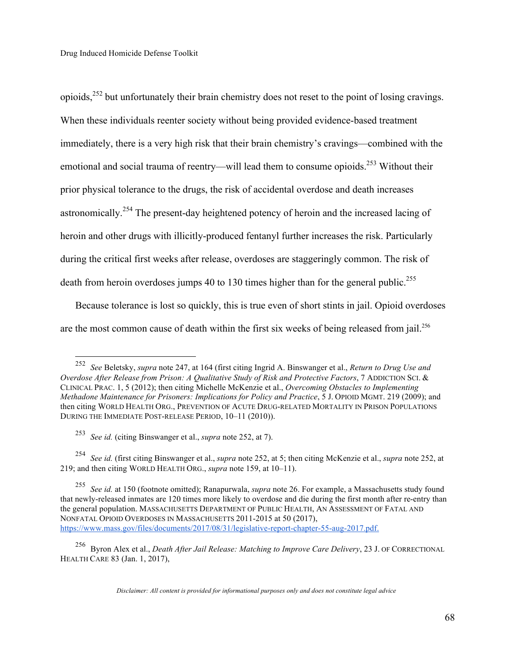opioids,252 but unfortunately their brain chemistry does not reset to the point of losing cravings. When these individuals reenter society without being provided evidence-based treatment immediately, there is a very high risk that their brain chemistry's cravings—combined with the emotional and social trauma of reentry—will lead them to consume opioids.<sup>253</sup> Without their prior physical tolerance to the drugs, the risk of accidental overdose and death increases astronomically.254 The present-day heightened potency of heroin and the increased lacing of heroin and other drugs with illicitly-produced fentanyl further increases the risk. Particularly during the critical first weeks after release, overdoses are staggeringly common. The risk of death from heroin overdoses jumps 40 to 130 times higher than for the general public.<sup>255</sup>

Because tolerance is lost so quickly, this is true even of short stints in jail. Opioid overdoses are the most common cause of death within the first six weeks of being released from jail.<sup>256</sup>

 <sup>252</sup> *See* Beletsky, *supra* note 247, at 164 (first citing Ingrid A. Binswanger et al., *Return to Drug Use and Overdose After Release from Prison: A Qualitative Study of Risk and Protective Factors*, 7 ADDICTION SCI. & CLINICAL PRAC. 1, 5 (2012); then citing Michelle McKenzie et al., *Overcoming Obstacles to Implementing Methadone Maintenance for Prisoners: Implications for Policy and Practice*, 5 J. OPIOID MGMT. 219 (2009); and then citing WORLD HEALTH ORG., PREVENTION OF ACUTE DRUG-RELATED MORTALITY IN PRISON POPULATIONS DURING THE IMMEDIATE POST-RELEASE PERIOD, 10–11 (2010)).

<sup>253</sup> *See id.* (citing Binswanger et al., *supra* note 252, at 7).

<sup>254</sup> *See id.* (first citing Binswanger et al., *supra* note 252, at 5; then citing McKenzie et al., *supra* note 252, at 219; and then citing WORLD HEALTH ORG., *supra* note 159, at 10–11).

<sup>255</sup> *See id.* at 150 (footnote omitted); Ranapurwala, *supra* note 26. For example, a Massachusetts study found that newly-released inmates are 120 times more likely to overdose and die during the first month after re-entry than the general population. MASSACHUSETTS DEPARTMENT OF PUBLIC HEALTH, AN ASSESSMENT OF FATAL AND NONFATAL OPIOID OVERDOSES IN MASSACHUSETTS 2011-2015 at 50 (2017), https://www.mass.gov/files/documents/2017/08/31/legislative-report-chapter-55-aug-2017.pdf.

<sup>256</sup> Byron Alex et al., *Death After Jail Release: Matching to Improve Care Delivery*, 23 J. OF CORRECTIONAL HEALTH CARE 83 (Jan. 1, 2017),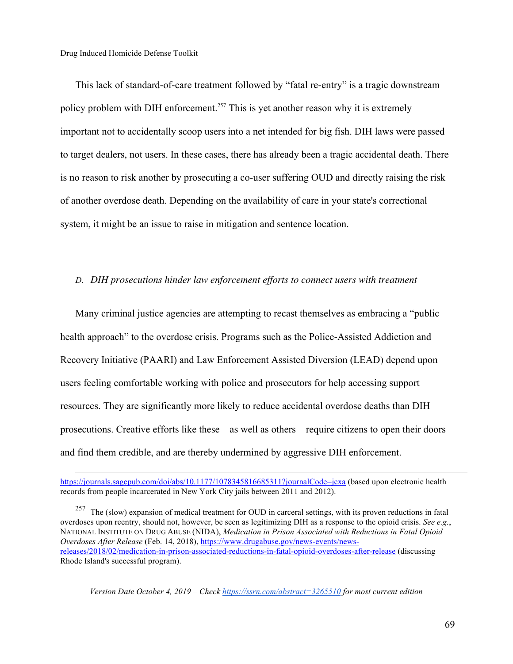This lack of standard-of-care treatment followed by "fatal re-entry" is a tragic downstream policy problem with DIH enforcement.<sup>257</sup> This is yet another reason why it is extremely important not to accidentally scoop users into a net intended for big fish. DIH laws were passed to target dealers, not users. In these cases, there has already been a tragic accidental death. There is no reason to risk another by prosecuting a co-user suffering OUD and directly raising the risk of another overdose death. Depending on the availability of care in your state's correctional system, it might be an issue to raise in mitigation and sentence location.

#### *D. DIH prosecutions hinder law enforcement efforts to connect users with treatment*

Many criminal justice agencies are attempting to recast themselves as embracing a "public health approach" to the overdose crisis. Programs such as the Police-Assisted Addiction and Recovery Initiative (PAARI) and Law Enforcement Assisted Diversion (LEAD) depend upon users feeling comfortable working with police and prosecutors for help accessing support resources. They are significantly more likely to reduce accidental overdose deaths than DIH prosecutions. Creative efforts like these—as well as others—require citizens to open their doors and find them credible, and are thereby undermined by aggressive DIH enforcement.

<sup>257</sup> The (slow) expansion of medical treatment for OUD in carceral settings, with its proven reductions in fatal overdoses upon reentry, should not, however, be seen as legitimizing DIH as a response to the opioid crisis. *See e.g.*, NATIONAL INSTITUTE ON DRUG ABUSE (NIDA), *Medication in Prison Associated with Reductions in Fatal Opioid Overdoses After Release* (Feb. 14, 2018), https://www.drugabuse.gov/news-events/newsreleases/2018/02/medication-in-prison-associated-reductions-in-fatal-opioid-overdoses-after-release (discussing Rhode Island's successful program).

https://journals.sagepub.com/doi/abs/10.1177/1078345816685311?journalCode=jcxa (based upon electronic health records from people incarcerated in New York City jails between 2011 and 2012).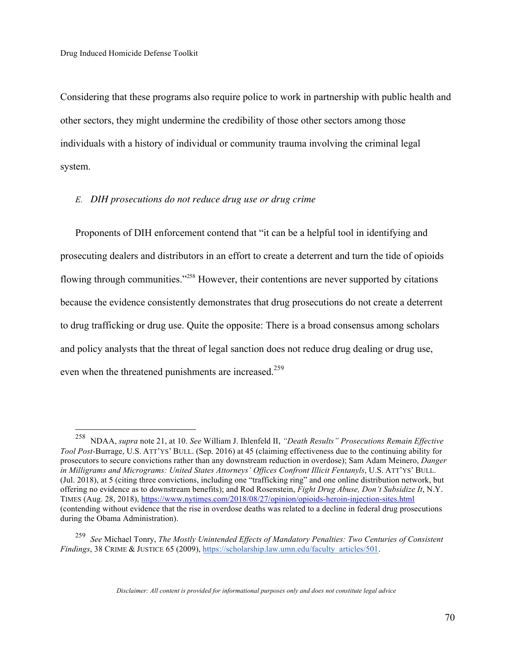Considering that these programs also require police to work in partnership with public health and other sectors, they might undermine the credibility of those other sectors among those individuals with a history of individual or community trauma involving the criminal legal system.

#### *E. DIH prosecutions do not reduce drug use or drug crime*

Proponents of DIH enforcement contend that "it can be a helpful tool in identifying and prosecuting dealers and distributors in an effort to create a deterrent and turn the tide of opioids flowing through communities."<sup>258</sup> However, their contentions are never supported by citations because the evidence consistently demonstrates that drug prosecutions do not create a deterrent to drug trafficking or drug use. Quite the opposite: There is a broad consensus among scholars and policy analysts that the threat of legal sanction does not reduce drug dealing or drug use, even when the threatened punishments are increased.<sup>259</sup>

 <sup>258</sup> NDAA, *supra* note 21, at 10. *See* William J. Ihlenfeld II, *"Death Results" Prosecutions Remain Effective Tool Post-*Burrage, U.S. ATT'YS' BULL. (Sep. 2016) at 45 (claiming effectiveness due to the continuing ability for prosecutors to secure convictions rather than any downstream reduction in overdose); Sam Adam Meinero, *Danger in Milligrams and Micrograms: United States Attorneys' Offices Confront Illicit Fentanyls*, U.S. ATT'YS' BULL. (Jul. 2018), at 5 (citing three convictions, including one "trafficking ring" and one online distribution network, but offering no evidence as to downstream benefits); and Rod Rosenstein, *Fight Drug Abuse, Don't Subsidize It*, N.Y. TIMES (Aug. 28, 2018), https://www.nytimes.com/2018/08/27/opinion/opioids-heroin-injection-sites.html (contending without evidence that the rise in overdose deaths was related to a decline in federal drug prosecutions during the Obama Administration).

<sup>259</sup> *See* Michael Tonry, *The Mostly Unintended Effects of Mandatory Penalties: Two Centuries of Consistent Findings*, 38 CRIME & JUSTICE 65 (2009), https://scholarship.law.umn.edu/faculty\_articles/501.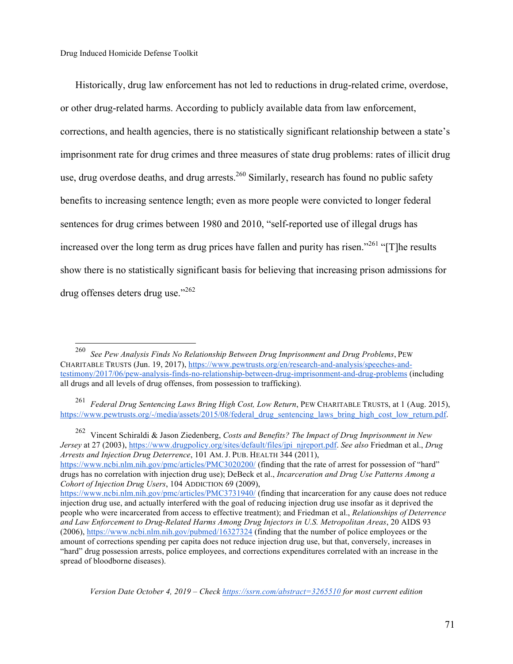Historically, drug law enforcement has not led to reductions in drug-related crime, overdose, or other drug-related harms. According to publicly available data from law enforcement, corrections, and health agencies, there is no statistically significant relationship between a state's imprisonment rate for drug crimes and three measures of state drug problems: rates of illicit drug use, drug overdose deaths, and drug arrests.<sup>260</sup> Similarly, research has found no public safety benefits to increasing sentence length; even as more people were convicted to longer federal sentences for drug crimes between 1980 and 2010, "self-reported use of illegal drugs has increased over the long term as drug prices have fallen and purity has risen.<sup> $261$ </sup> "[T]he results show there is no statistically significant basis for believing that increasing prison admissions for drug offenses deters drug use."<sup>262</sup>

 260 *See Pew Analysis Finds No Relationship Between Drug Imprisonment and Drug Problems*, PEW CHARITABLE TRUSTS (Jun. 19, 2017), https://www.pewtrusts.org/en/research-and-analysis/speeches-andtestimony/2017/06/pew-analysis-finds-no-relationship-between-drug-imprisonment-and-drug-problems (including all drugs and all levels of drug offenses, from possession to trafficking).

<sup>262</sup> Vincent Schiraldi & Jason Ziedenberg, *Costs and Benefits? The Impact of Drug Imprisonment in New Jersey* at 27 (2003), https://www.drugpolicy.org/sites/default/files/jpi\_njreport.pdf. *See also* Friedman et al., *Drug Arrests and Injection Drug Deterrence*, 101 AM. J. PUB. HEALTH 344 (2011), https://www.ncbi.nlm.nih.gov/pmc/articles/PMC3020200/ (finding that the rate of arrest for possession of "hard"

drugs has no correlation with injection drug use); DeBeck et al., *Incarceration and Drug Use Patterns Among a Cohort of Injection Drug Users*, 104 ADDICTION 69 (2009),

<sup>261</sup> *Federal Drug Sentencing Laws Bring High Cost, Low Return*, PEW CHARITABLE TRUSTS, at 1 (Aug. 2015), https://www.pewtrusts.org/-/media/assets/2015/08/federal\_drug\_sentencing\_laws\_bring\_high\_cost\_low\_return.pdf.

https://www.ncbi.nlm.nih.gov/pmc/articles/PMC3731940/ (finding that incarceration for any cause does not reduce injection drug use, and actually interfered with the goal of reducing injection drug use insofar as it deprived the people who were incarcerated from access to effective treatment); and Friedman et al., *Relationships of Deterrence and Law Enforcement to Drug-Related Harms Among Drug Injectors in U.S. Metropolitan Areas*, 20 AIDS 93 (2006), https://www.ncbi.nlm.nih.gov/pubmed/16327324 (finding that the number of police employees or the amount of corrections spending per capita does not reduce injection drug use, but that, conversely, increases in "hard" drug possession arrests, police employees, and corrections expenditures correlated with an increase in the spread of bloodborne diseases).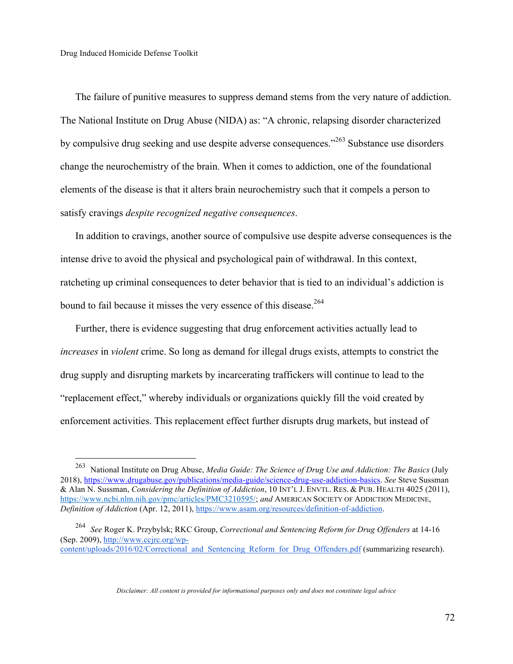The failure of punitive measures to suppress demand stems from the very nature of addiction. The National Institute on Drug Abuse (NIDA) as: "A chronic, relapsing disorder characterized by compulsive drug seeking and use despite adverse consequences."<sup>263</sup> Substance use disorders change the neurochemistry of the brain. When it comes to addiction, one of the foundational elements of the disease is that it alters brain neurochemistry such that it compels a person to satisfy cravings *despite recognized negative consequences*.

In addition to cravings, another source of compulsive use despite adverse consequences is the intense drive to avoid the physical and psychological pain of withdrawal. In this context, ratcheting up criminal consequences to deter behavior that is tied to an individual's addiction is bound to fail because it misses the very essence of this disease.<sup>264</sup>

Further, there is evidence suggesting that drug enforcement activities actually lead to *increases* in *violent* crime. So long as demand for illegal drugs exists, attempts to constrict the drug supply and disrupting markets by incarcerating traffickers will continue to lead to the "replacement effect," whereby individuals or organizations quickly fill the void created by enforcement activities. This replacement effect further disrupts drug markets, but instead of

 <sup>263</sup> National Institute on Drug Abuse, *Media Guide: The Science of Drug Use and Addiction: The Basics* (July 2018), https://www.drugabuse.gov/publications/media-guide/science-drug-use-addiction-basics. *See* Steve Sussman & Alan N. Sussman, *Considering the Definition of Addiction*, 10 INT'L J. ENVTL. RES. & PUB. HEALTH 4025 (2011), https://www.ncbi.nlm.nih.gov/pmc/articles/PMC3210595/; *and* AMERICAN SOCIETY OF ADDICTION MEDICINE, *Definition of Addiction* (Apr. 12, 2011), https://www.asam.org/resources/definition-of-addiction.

<sup>264</sup> *See* Roger K. Przybylsk; RKC Group, *Correctional and Sentencing Reform for Drug Offenders* at 14-16 (Sep. 2009), http://www.ccjrc.org/wpcontent/uploads/2016/02/Correctional\_and\_Sentencing\_Reform\_for\_Drug\_Offenders.pdf (summarizing research).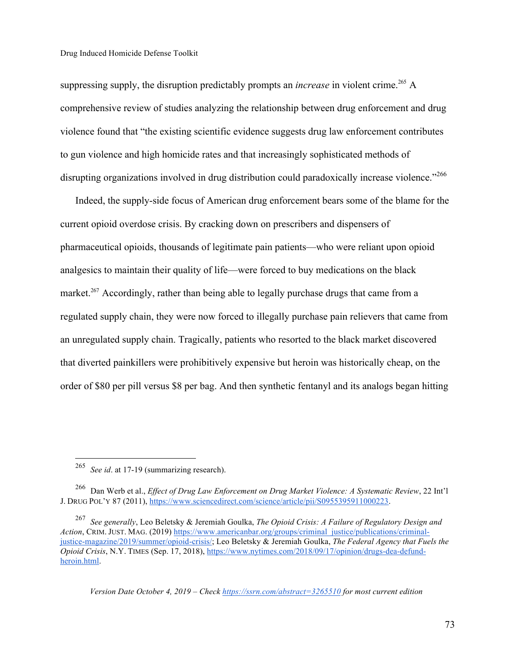suppressing supply, the disruption predictably prompts an *increase* in violent crime.<sup>265</sup> A comprehensive review of studies analyzing the relationship between drug enforcement and drug violence found that "the existing scientific evidence suggests drug law enforcement contributes to gun violence and high homicide rates and that increasingly sophisticated methods of disrupting organizations involved in drug distribution could paradoxically increase violence."<sup>266</sup>

Indeed, the supply-side focus of American drug enforcement bears some of the blame for the current opioid overdose crisis. By cracking down on prescribers and dispensers of pharmaceutical opioids, thousands of legitimate pain patients—who were reliant upon opioid analgesics to maintain their quality of life—were forced to buy medications on the black market.<sup>267</sup> Accordingly, rather than being able to legally purchase drugs that came from a regulated supply chain, they were now forced to illegally purchase pain relievers that came from an unregulated supply chain. Tragically, patients who resorted to the black market discovered that diverted painkillers were prohibitively expensive but heroin was historically cheap, on the order of \$80 per pill versus \$8 per bag. And then synthetic fentanyl and its analogs began hitting

 <sup>265</sup> *See id*. at 17-19 (summarizing research).

<sup>266</sup> Dan Werb et al., *Effect of Drug Law Enforcement on Drug Market Violence: A Systematic Review*, 22 Int'l J. DRUG POL'Y 87 (2011), https://www.sciencedirect.com/science/article/pii/S0955395911000223.

<sup>267</sup> *See generally*, Leo Beletsky & Jeremiah Goulka, *The Opioid Crisis: A Failure of Regulatory Design and Action*, CRIM. JUST. MAG. (2019) https://www.americanbar.org/groups/criminal\_justice/publications/criminaljustice-magazine/2019/summer/opioid-crisis/; Leo Beletsky & Jeremiah Goulka, *The Federal Agency that Fuels the Opioid Crisis*, N.Y. TIMES (Sep. 17, 2018), https://www.nytimes.com/2018/09/17/opinion/drugs-dea-defundheroin.html.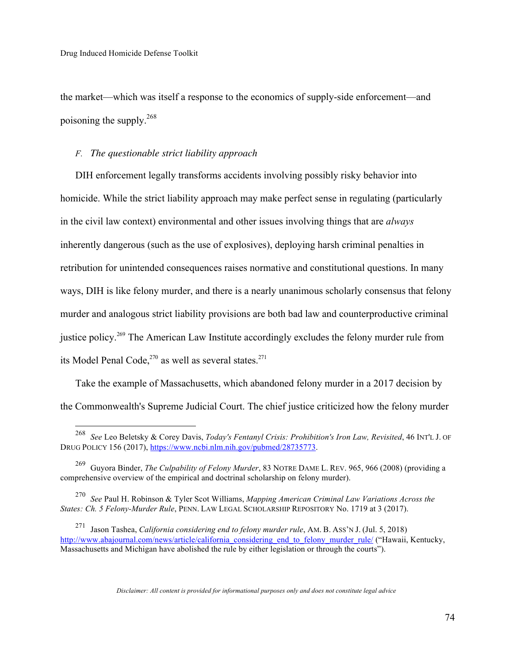the market—which was itself a response to the economics of supply-side enforcement—and poisoning the supply.268

#### *F. The questionable strict liability approach*

DIH enforcement legally transforms accidents involving possibly risky behavior into homicide. While the strict liability approach may make perfect sense in regulating (particularly in the civil law context) environmental and other issues involving things that are *always*  inherently dangerous (such as the use of explosives), deploying harsh criminal penalties in retribution for unintended consequences raises normative and constitutional questions. In many ways, DIH is like felony murder, and there is a nearly unanimous scholarly consensus that felony murder and analogous strict liability provisions are both bad law and counterproductive criminal justice policy.<sup>269</sup> The American Law Institute accordingly excludes the felony murder rule from its Model Penal Code,<sup>270</sup> as well as several states.<sup>271</sup>

Take the example of Massachusetts, which abandoned felony murder in a 2017 decision by the Commonwealth's Supreme Judicial Court. The chief justice criticized how the felony murder

 <sup>268</sup> *See* Leo Beletsky & Corey Davis, *Today's Fentanyl Crisis: Prohibition's Iron Law, Revisited*, 46 INT'L J. OF DRUG POLICY 156 (2017), https://www.ncbi.nlm.nih.gov/pubmed/28735773.

<sup>269</sup> Guyora Binder, *The Culpability of Felony Murder*, 83 NOTRE DAME L. REV. 965, 966 (2008) (providing a comprehensive overview of the empirical and doctrinal scholarship on felony murder).

<sup>270</sup> *See* Paul H. Robinson & Tyler Scot Williams, *Mapping American Criminal Law Variations Across the States: Ch. 5 Felony-Murder Rule*, PENN. LAW LEGAL SCHOLARSHIP REPOSITORY No. 1719 at 3 (2017).

<sup>271</sup> Jason Tashea, *California considering end to felony murder rule*, AM. B. ASS'N J. (Jul. 5, 2018) http://www.abajournal.com/news/article/california\_considering\_end\_to\_felony\_murder\_rule/ ("Hawaii, Kentucky, Massachusetts and Michigan have abolished the rule by either legislation or through the courts").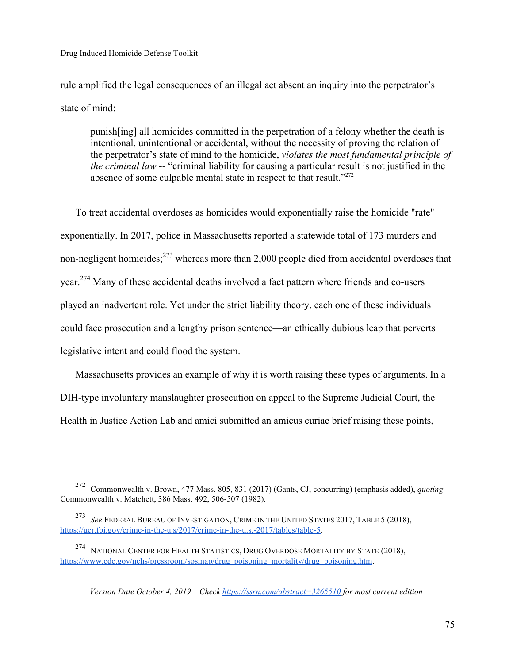rule amplified the legal consequences of an illegal act absent an inquiry into the perpetrator's state of mind:

punish[ing] all homicides committed in the perpetration of a felony whether the death is intentional, unintentional or accidental, without the necessity of proving the relation of the perpetrator's state of mind to the homicide, *violates the most fundamental principle of the criminal law* -- "criminal liability for causing a particular result is not justified in the absence of some culpable mental state in respect to that result."<sup>272</sup>

To treat accidental overdoses as homicides would exponentially raise the homicide "rate" exponentially. In 2017, police in Massachusetts reported a statewide total of 173 murders and non-negligent homicides;<sup>273</sup> whereas more than 2,000 people died from accidental overdoses that year.274 Many of these accidental deaths involved a fact pattern where friends and co-users played an inadvertent role. Yet under the strict liability theory, each one of these individuals could face prosecution and a lengthy prison sentence—an ethically dubious leap that perverts legislative intent and could flood the system.

Massachusetts provides an example of why it is worth raising these types of arguments. In a DIH-type involuntary manslaughter prosecution on appeal to the Supreme Judicial Court, the Health in Justice Action Lab and amici submitted an amicus curiae brief raising these points,

 <sup>272</sup> Commonwealth v. Brown, 477 Mass. 805, 831 (2017) (Gants, CJ, concurring) (emphasis added), *quoting* Commonwealth v. Matchett, 386 Mass. 492, 506-507 (1982).

<sup>273</sup> *See* FEDERAL BUREAU OF INVESTIGATION, CRIME IN THE UNITED STATES 2017, TABLE 5 (2018), https://ucr.fbi.gov/crime-in-the-u.s/2017/crime-in-the-u.s.-2017/tables/table-5.

<sup>274</sup> NATIONAL CENTER FOR HEALTH STATISTICS, DRUG OVERDOSE MORTALITY BY STATE (2018), https://www.cdc.gov/nchs/pressroom/sosmap/drug\_poisoning\_mortality/drug\_poisoning.htm.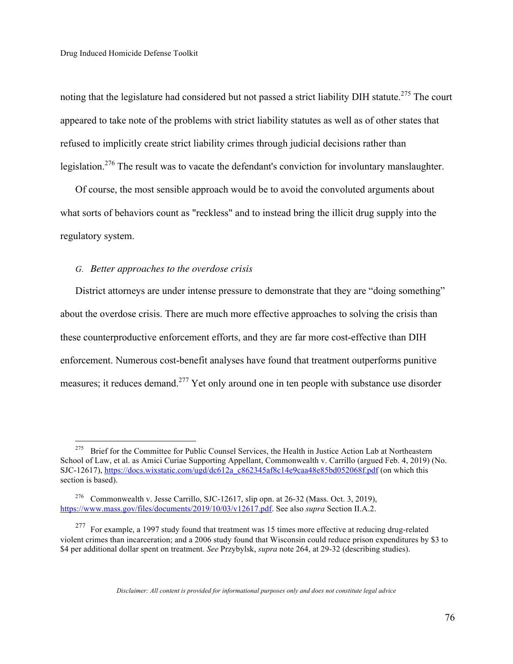noting that the legislature had considered but not passed a strict liability DIH statute.<sup>275</sup> The court appeared to take note of the problems with strict liability statutes as well as of other states that refused to implicitly create strict liability crimes through judicial decisions rather than legislation.<sup>276</sup> The result was to vacate the defendant's conviction for involuntary manslaughter.

Of course, the most sensible approach would be to avoid the convoluted arguments about what sorts of behaviors count as "reckless" and to instead bring the illicit drug supply into the regulatory system.

## *G. Better approaches to the overdose crisis*

District attorneys are under intense pressure to demonstrate that they are "doing something" about the overdose crisis. There are much more effective approaches to solving the crisis than these counterproductive enforcement efforts, and they are far more cost-effective than DIH enforcement. Numerous cost-benefit analyses have found that treatment outperforms punitive measures; it reduces demand.<sup>277</sup> Yet only around one in ten people with substance use disorder

<sup>&</sup>lt;sup>275</sup> Brief for the Committee for Public Counsel Services, the Health in Justice Action Lab at Northeastern School of Law, et al. as Amici Curiae Supporting Appellant, Commonwealth v. Carrillo (argued Feb. 4, 2019) (No. SJC-12617), https://docs.wixstatic.com/ugd/dc612a\_c862345af8c14e9caa48e85bd052068f.pdf (on which this section is based).

<sup>&</sup>lt;sup>276</sup> Commonwealth v. Jesse Carrillo, SJC-12617, slip opn. at 26-32 (Mass. Oct. 3, 2019), https://www.mass.gov/files/documents/2019/10/03/v12617.pdf. See also *supra* Section II.A.2.

<sup>&</sup>lt;sup>277</sup> For example, a 1997 study found that treatment was 15 times more effective at reducing drug-related violent crimes than incarceration; and a 2006 study found that Wisconsin could reduce prison expenditures by \$3 to \$4 per additional dollar spent on treatment. *See* Przybylsk, *supra* note 264, at 29-32 (describing studies).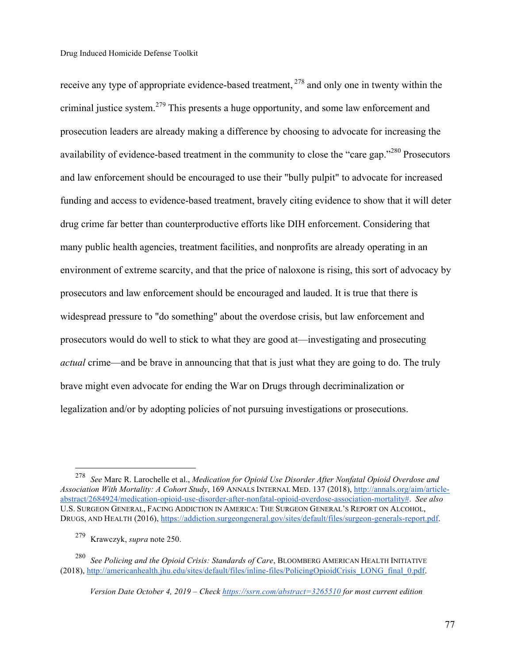receive any type of appropriate evidence-based treatment, <sup>278</sup> and only one in twenty within the criminal justice system.<sup>279</sup> This presents a huge opportunity, and some law enforcement and prosecution leaders are already making a difference by choosing to advocate for increasing the availability of evidence-based treatment in the community to close the "care gap."<sup>280</sup> Prosecutors and law enforcement should be encouraged to use their "bully pulpit" to advocate for increased funding and access to evidence-based treatment, bravely citing evidence to show that it will deter drug crime far better than counterproductive efforts like DIH enforcement. Considering that many public health agencies, treatment facilities, and nonprofits are already operating in an environment of extreme scarcity, and that the price of naloxone is rising, this sort of advocacy by prosecutors and law enforcement should be encouraged and lauded. It is true that there is widespread pressure to "do something" about the overdose crisis, but law enforcement and prosecutors would do well to stick to what they are good at—investigating and prosecuting *actual* crime—and be brave in announcing that that is just what they are going to do. The truly brave might even advocate for ending the War on Drugs through decriminalization or legalization and/or by adopting policies of not pursuing investigations or prosecutions.

 <sup>278</sup> *See* Marc R. Larochelle et al., *Medication for Opioid Use Disorder After Nonfatal Opioid Overdose and Association With Mortality: A Cohort Study*, 169 ANNALS INTERNAL MED. 137 (2018), http://annals.org/aim/articleabstract/2684924/medication-opioid-use-disorder-after-nonfatal-opioid-overdose-association-mortality#. *See also* U.S. SURGEON GENERAL, FACING ADDICTION IN AMERICA: THE SURGEON GENERAL'S REPORT ON ALCOHOL, DRUGS, AND HEALTH (2016), https://addiction.surgeongeneral.gov/sites/default/files/surgeon-generals-report.pdf.

<sup>279</sup> Krawczyk, *supra* note 250.

<sup>280</sup> *See Policing and the Opioid Crisis: Standards of Care*, BLOOMBERG AMERICAN HEALTH INITIATIVE (2018), http://americanhealth.jhu.edu/sites/default/files/inline-files/PolicingOpioidCrisis\_LONG\_final\_0.pdf.

*Version Date October 4, 2019 – Check https://ssrn.com/abstract=3265510 for most current edition*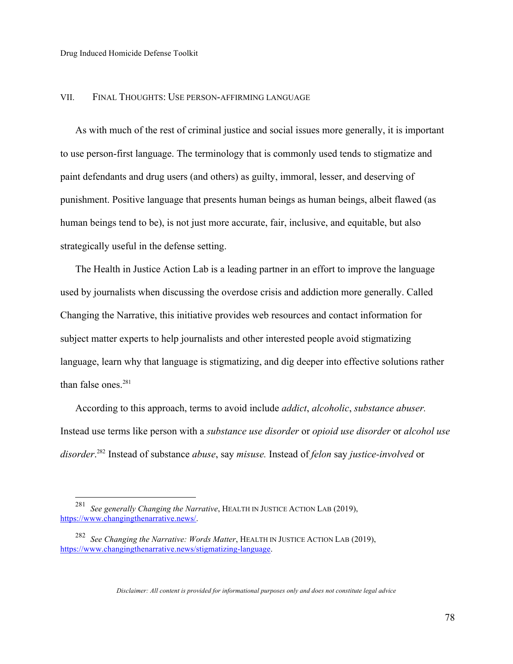#### VII. FINAL THOUGHTS: USE PERSON-AFFIRMING LANGUAGE

As with much of the rest of criminal justice and social issues more generally, it is important to use person-first language. The terminology that is commonly used tends to stigmatize and paint defendants and drug users (and others) as guilty, immoral, lesser, and deserving of punishment. Positive language that presents human beings as human beings, albeit flawed (as human beings tend to be), is not just more accurate, fair, inclusive, and equitable, but also strategically useful in the defense setting.

The Health in Justice Action Lab is a leading partner in an effort to improve the language used by journalists when discussing the overdose crisis and addiction more generally. Called Changing the Narrative, this initiative provides web resources and contact information for subject matter experts to help journalists and other interested people avoid stigmatizing language, learn why that language is stigmatizing, and dig deeper into effective solutions rather than false ones. $281$ 

According to this approach, terms to avoid include *addict*, *alcoholic*, *substance abuser.*  Instead use terms like person with a *substance use disorder* or *opioid use disorder* or *alcohol use disorder*. 282 Instead of substance *abuse*, say *misuse.* Instead of *felon* say *justice-involved* or

 <sup>281</sup> *See generally Changing the Narrative*, HEALTH IN JUSTICE ACTION LAB (2019), https://www.changingthenarrative.news/.

<sup>282</sup> *See Changing the Narrative: Words Matter*, HEALTH IN JUSTICE ACTION LAB (2019), https://www.changingthenarrative.news/stigmatizing-language.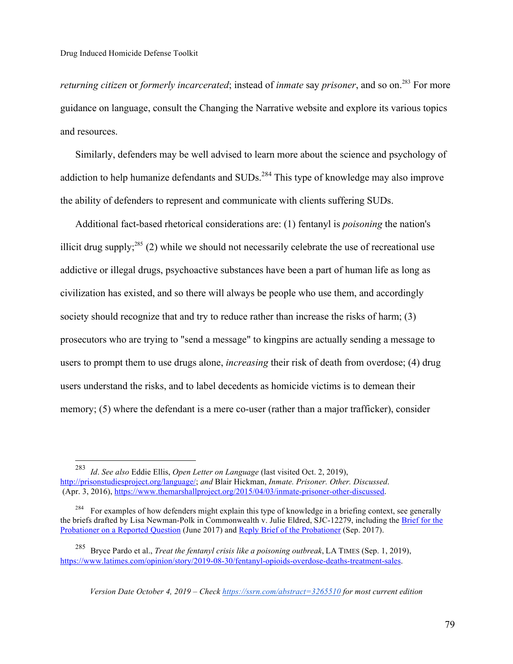*returning citizen* or *formerly incarcerated*; instead of *inmate* say *prisoner*, and so on.283 For more guidance on language, consult the Changing the Narrative website and explore its various topics and resources.

Similarly, defenders may be well advised to learn more about the science and psychology of addiction to help humanize defendants and SUDs.<sup>284</sup> This type of knowledge may also improve the ability of defenders to represent and communicate with clients suffering SUDs.

Additional fact-based rhetorical considerations are: (1) fentanyl is *poisoning* the nation's illicit drug supply;<sup>285</sup> (2) while we should not necessarily celebrate the use of recreational use addictive or illegal drugs, psychoactive substances have been a part of human life as long as civilization has existed, and so there will always be people who use them, and accordingly society should recognize that and try to reduce rather than increase the risks of harm; (3) prosecutors who are trying to "send a message" to kingpins are actually sending a message to users to prompt them to use drugs alone, *increasing* their risk of death from overdose; (4) drug users understand the risks, and to label decedents as homicide victims is to demean their memory; (5) where the defendant is a mere co-user (rather than a major trafficker), consider

 <sup>283</sup> *Id*. *See also* Eddie Ellis, *Open Letter on Language* (last visited Oct. 2, 2019), http://prisonstudiesproject.org/language/; *and* Blair Hickman, *Inmate. Prisoner. Other. Discussed*. (Apr. 3, 2016), https://www.themarshallproject.org/2015/04/03/inmate-prisoner-other-discussed.

<sup>&</sup>lt;sup>284</sup> For examples of how defenders might explain this type of knowledge in a briefing context, see generally the briefs drafted by Lisa Newman-Polk in Commonwealth v. Julie Eldred, SJC-12279, including the Brief for the Probationer on a Reported Question (June 2017) and Reply Brief of the Probationer (Sep. 2017).

<sup>285</sup> Bryce Pardo et al., *Treat the fentanyl crisis like a poisoning outbreak*, LA TIMES (Sep. 1, 2019), https://www.latimes.com/opinion/story/2019-08-30/fentanyl-opioids-overdose-deaths-treatment-sales.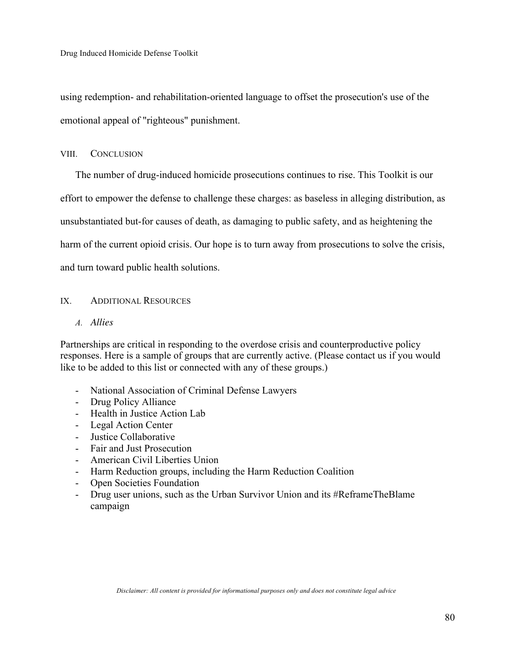using redemption- and rehabilitation-oriented language to offset the prosecution's use of the emotional appeal of "righteous" punishment.

#### VIII. CONCLUSION

The number of drug-induced homicide prosecutions continues to rise. This Toolkit is our effort to empower the defense to challenge these charges: as baseless in alleging distribution, as unsubstantiated but-for causes of death, as damaging to public safety, and as heightening the harm of the current opioid crisis. Our hope is to turn away from prosecutions to solve the crisis, and turn toward public health solutions.

#### IX. ADDITIONAL RESOURCES

*A. Allies*

Partnerships are critical in responding to the overdose crisis and counterproductive policy responses. Here is a sample of groups that are currently active. (Please contact us if you would like to be added to this list or connected with any of these groups.)

- National Association of Criminal Defense Lawyers
- Drug Policy Alliance
- Health in Justice Action Lab
- Legal Action Center
- Justice Collaborative
- Fair and Just Prosecution
- American Civil Liberties Union
- Harm Reduction groups, including the Harm Reduction Coalition
- Open Societies Foundation
- Drug user unions, such as the Urban Survivor Union and its #ReframeTheBlame campaign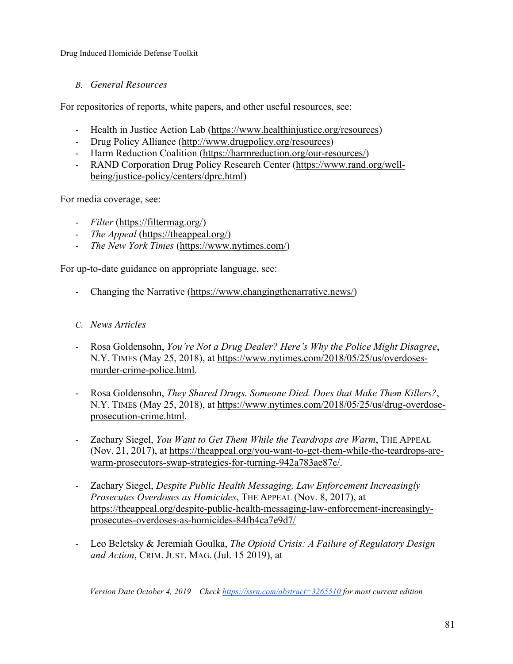# *B. General Resources*

For repositories of reports, white papers, and other useful resources, see:

- Health in Justice Action Lab (https://www.healthinjustice.org/resources)
- Drug Policy Alliance (http://www.drugpolicy.org/resources)
- Harm Reduction Coalition (https://harmreduction.org/our-resources/)
- RAND Corporation Drug Policy Research Center (https://www.rand.org/wellbeing/justice-policy/centers/dprc.html)

For media coverage, see:

- *Filter* (https://filtermag.org/)
- *The Appeal* (https://theappeal.org/)
- *The New York Times* (https://www.nytimes.com/)

For up-to-date guidance on appropriate language, see:

- Changing the Narrative (https://www.changingthenarrative.news/)

## *C. News Articles*

- Rosa Goldensohn, *You're Not a Drug Dealer? Here's Why the Police Might Disagree*, N.Y. TIMES (May 25, 2018), at https://www.nytimes.com/2018/05/25/us/overdosesmurder-crime-police.html.
- Rosa Goldensohn, *They Shared Drugs. Someone Died. Does that Make Them Killers?*, N.Y. TIMES (May 25, 2018), at https://www.nytimes.com/2018/05/25/us/drug-overdoseprosecution-crime.html.
- Zachary Siegel, *You Want to Get Them While the Teardrops are Warm*, THE APPEAL (Nov. 21, 2017), at https://theappeal.org/you-want-to-get-them-while-the-teardrops-arewarm-prosecutors-swap-strategies-for-turning-942a783ae87c/.
- Zachary Siegel, *Despite Public Health Messaging, Law Enforcement Increasingly Prosecutes Overdoses as Homicides*, THE APPEAL (Nov. 8, 2017), at https://theappeal.org/despite-public-health-messaging-law-enforcement-increasinglyprosecutes-overdoses-as-homicides-84fb4ca7e9d7/
- Leo Beletsky & Jeremiah Goulka, *The Opioid Crisis: A Failure of Regulatory Design and Action*, CRIM. JUST. MAG. (Jul. 15 2019), at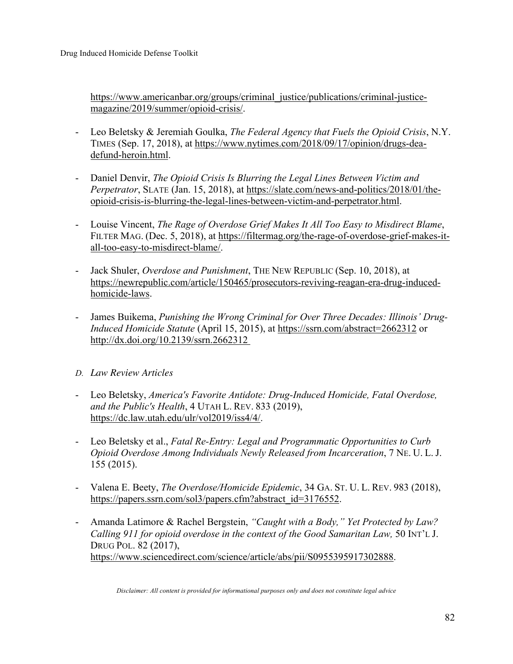https://www.americanbar.org/groups/criminal\_justice/publications/criminal-justicemagazine/2019/summer/opioid-crisis/.

- Leo Beletsky & Jeremiah Goulka, *The Federal Agency that Fuels the Opioid Crisis*, N.Y. TIMES (Sep. 17, 2018), at https://www.nytimes.com/2018/09/17/opinion/drugs-deadefund-heroin.html.
- Daniel Denvir, *The Opioid Crisis Is Blurring the Legal Lines Between Victim and Perpetrator*, SLATE (Jan. 15, 2018), at https://slate.com/news-and-politics/2018/01/theopioid-crisis-is-blurring-the-legal-lines-between-victim-and-perpetrator.html.
- Louise Vincent, *The Rage of Overdose Grief Makes It All Too Easy to Misdirect Blame*, FILTER MAG. (Dec. 5, 2018), at https://filtermag.org/the-rage-of-overdose-grief-makes-itall-too-easy-to-misdirect-blame/.
- Jack Shuler, *Overdose and Punishment*, THE NEW REPUBLIC (Sep. 10, 2018), at https://newrepublic.com/article/150465/prosecutors-reviving-reagan-era-drug-inducedhomicide-laws.
- James Buikema, *Punishing the Wrong Criminal for Over Three Decades: Illinois' Drug-Induced Homicide Statute* (April 15, 2015), at https://ssrn.com/abstract=2662312 or http://dx.doi.org/10.2139/ssrn.2662312
- *D. Law Review Articles*
- Leo Beletsky, *America's Favorite Antidote: Drug-Induced Homicide, Fatal Overdose, and the Public's Health*, 4 UTAH L. REV. 833 (2019), https://dc.law.utah.edu/ulr/vol2019/iss4/4/.
- Leo Beletsky et al., *Fatal Re-Entry: Legal and Programmatic Opportunities to Curb Opioid Overdose Among Individuals Newly Released from Incarceration*, 7 NE. U. L. J. 155 (2015).
- Valena E. Beety, *The Overdose/Homicide Epidemic*, 34 GA. ST. U. L. REV. 983 (2018), https://papers.ssrn.com/sol3/papers.cfm?abstract\_id=3176552.
- Amanda Latimore & Rachel Bergstein, *"Caught with a Body," Yet Protected by Law? Calling 911 for opioid overdose in the context of the Good Samaritan Law,* 50 INT'L J. DRUG POL. 82 (2017), https://www.sciencedirect.com/science/article/abs/pii/S0955395917302888.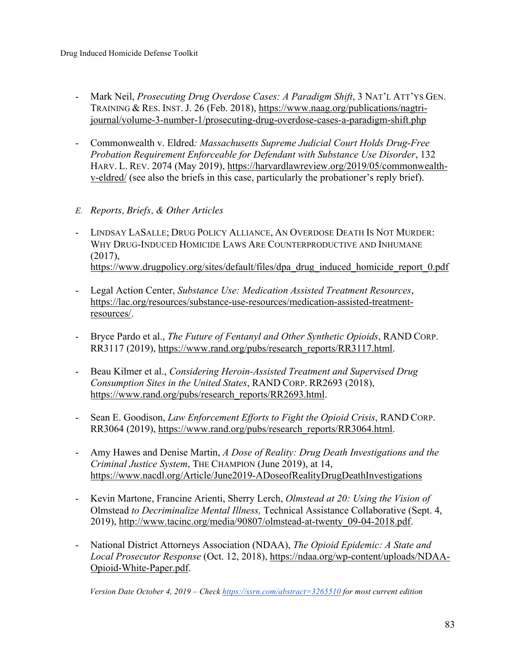- Mark Neil, *Prosecuting Drug Overdose Cases: A Paradigm Shift*, 3 NAT'L ATT'YS GEN. TRAINING & RES. INST. J. 26 (Feb. 2018), https://www.naag.org/publications/nagtriiournal/volume-3-number-1/prosecuting-drug-overdose-cases-a-paradigm-shift.php
- Commonwealth v. Eldred*: Massachusetts Supreme Judicial Court Holds Drug-Free Probation Requirement Enforceable for Defendant with Substance Use Disorder*, 132 HARV. L. REV. 2074 (May 2019), https://harvardlawreview.org/2019/05/commonwealthv-eldred/ (see also the briefs in this case, particularly the probationer's reply brief).
- *E. Reports, Briefs, & Other Articles*
- LINDSAY LASALLE; DRUG POLICY ALLIANCE, AN OVERDOSE DEATH IS NOT MURDER: WHY DRUG-INDUCED HOMICIDE LAWS ARE COUNTERPRODUCTIVE AND INHUMANE (2017), https://www.drugpolicy.org/sites/default/files/dpa\_drug\_induced\_homicide\_report\_0.pdf
- Legal Action Center, *Substance Use: Medication Assisted Treatment Resources*, https://lac.org/resources/substance-use-resources/medication-assisted-treatmentresources/.
- Bryce Pardo et al., *The Future of Fentanyl and Other Synthetic Opioids*, RAND CORP. RR3117 (2019), https://www.rand.org/pubs/research\_reports/RR3117.html.
- Beau Kilmer et al., *Considering Heroin-Assisted Treatment and Supervised Drug Consumption Sites in the United States*, RAND CORP. RR2693 (2018), https://www.rand.org/pubs/research\_reports/RR2693.html.
- Sean E. Goodison, *Law Enforcement Efforts to Fight the Opioid Crisis*, RAND CORP. RR3064 (2019), https://www.rand.org/pubs/research\_reports/RR3064.html.
- Amy Hawes and Denise Martin, *A Dose of Reality: Drug Death Investigations and the Criminal Justice System*, THE CHAMPION (June 2019), at 14, https://www.nacdl.org/Article/June2019-ADoseofRealityDrugDeathInvestigations
- Kevin Martone, Francine Arienti, Sherry Lerch, *Olmstead at 20: Using the Vision of*  Olmstead *to Decriminalize Mental Illness,* Technical Assistance Collaborative (Sept. 4, 2019), http://www.tacinc.org/media/90807/olmstead-at-twenty\_09-04-2018.pdf.
- National District Attorneys Association (NDAA), *The Opioid Epidemic: A State and Local Prosecutor Response* (Oct. 12, 2018), https://ndaa.org/wp-content/uploads/NDAA-Opioid-White-Paper.pdf.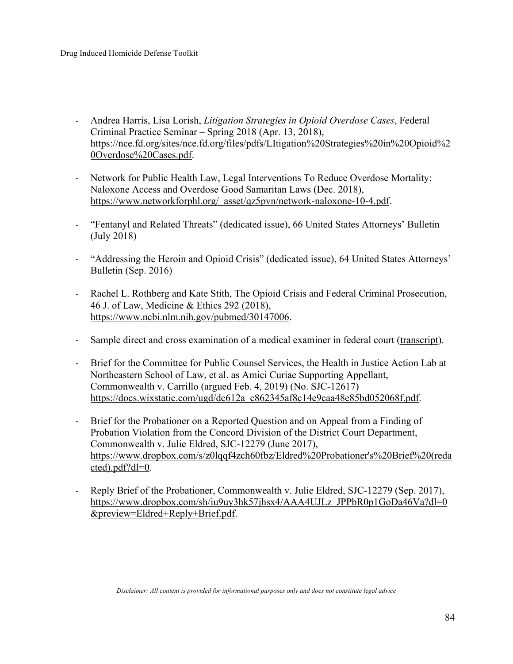- Andrea Harris, Lisa Lorish, *Litigation Strategies in Opioid Overdose Cases*, Federal Criminal Practice Seminar – Spring 2018 (Apr. 13, 2018), https://nce.fd.org/sites/nce.fd.org/files/pdfs/LItigation%20Strategies%20in%20Opioid%2 0Overdose%20Cases.pdf.
- Network for Public Health Law, Legal Interventions To Reduce Overdose Mortality: Naloxone Access and Overdose Good Samaritan Laws (Dec. 2018), https://www.networkforphl.org/\_asset/qz5pvn/network-naloxone-10-4.pdf.
- "Fentanyl and Related Threats" (dedicated issue), 66 United States Attorneys' Bulletin (July 2018)
- "Addressing the Heroin and Opioid Crisis" (dedicated issue), 64 United States Attorneys' Bulletin (Sep. 2016)
- Rachel L. Rothberg and Kate Stith, The Opioid Crisis and Federal Criminal Prosecution, 46 J. of Law, Medicine & Ethics 292 (2018), https://www.ncbi.nlm.nih.gov/pubmed/30147006.
- Sample direct and cross examination of a medical examiner in federal court (transcript).
- Brief for the Committee for Public Counsel Services, the Health in Justice Action Lab at Northeastern School of Law, et al. as Amici Curiae Supporting Appellant, Commonwealth v. Carrillo (argued Feb. 4, 2019) (No. SJC-12617) https://docs.wixstatic.com/ugd/dc612a\_c862345af8c14e9caa48e85bd052068f.pdf.
- Brief for the Probationer on a Reported Question and on Appeal from a Finding of Probation Violation from the Concord Division of the District Court Department, Commonwealth v. Julie Eldred, SJC-12279 (June 2017), https://www.dropbox.com/s/z0lqqf4zch60fbz/Eldred%20Probationer's%20Brief%20(reda cted).pdf?dl=0.
- Reply Brief of the Probationer, Commonwealth v. Julie Eldred, SJC-12279 (Sep. 2017), https://www.dropbox.com/sh/iu9uy3hk57jhsx4/AAA4UJLz\_JPPbR0p1GoDa46Va?dl=0 &preview=Eldred+Reply+Brief.pdf.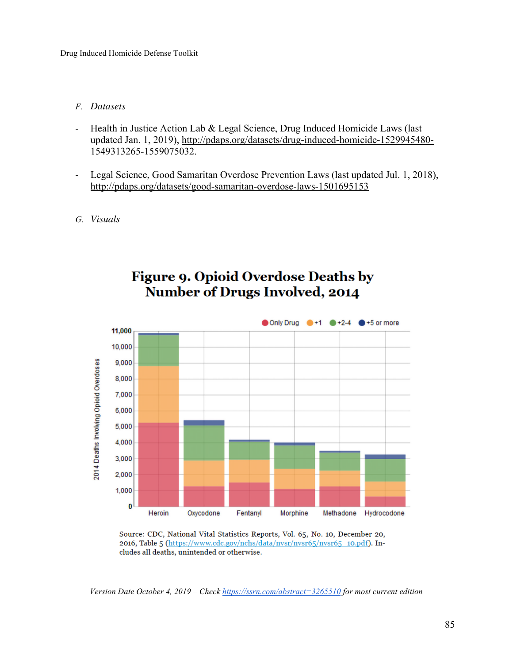## *F. Datasets*

- Health in Justice Action Lab & Legal Science, Drug Induced Homicide Laws (last updated Jan. 1, 2019), http://pdaps.org/datasets/drug-induced-homicide-1529945480- 1549313265-1559075032.
- Legal Science, Good Samaritan Overdose Prevention Laws (last updated Jul. 1, 2018), http://pdaps.org/datasets/good-samaritan-overdose-laws-1501695153
- *G. Visuals*



# **Figure 9. Opioid Overdose Deaths by Number of Drugs Involved, 2014**

Source: CDC, National Vital Statistics Reports, Vol. 65, No. 10, December 20, 2016, Table 5 (https://www.cdc.gov/nchs/data/nvsr/nvsr65/nvsr65\_10.pdf). Includes all deaths, unintended or otherwise.